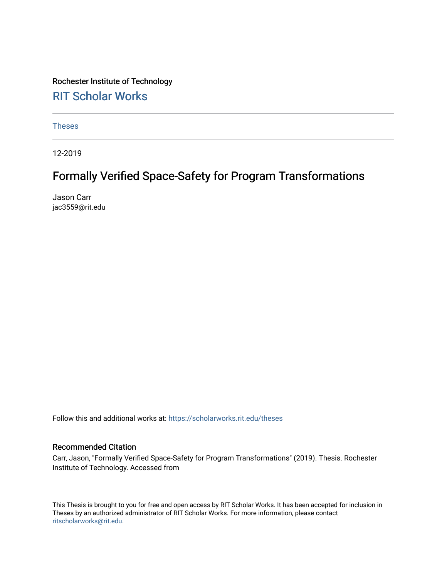# Rochester Institute of Technology [RIT Scholar Works](https://scholarworks.rit.edu/)

[Theses](https://scholarworks.rit.edu/theses) 

12-2019

# Formally Verified Space-Safety for Program Transformations

Jason Carr jac3559@rit.edu

Follow this and additional works at: [https://scholarworks.rit.edu/theses](https://scholarworks.rit.edu/theses?utm_source=scholarworks.rit.edu%2Ftheses%2F10257&utm_medium=PDF&utm_campaign=PDFCoverPages) 

# Recommended Citation

Carr, Jason, "Formally Verified Space-Safety for Program Transformations" (2019). Thesis. Rochester Institute of Technology. Accessed from

This Thesis is brought to you for free and open access by RIT Scholar Works. It has been accepted for inclusion in Theses by an authorized administrator of RIT Scholar Works. For more information, please contact [ritscholarworks@rit.edu](mailto:ritscholarworks@rit.edu).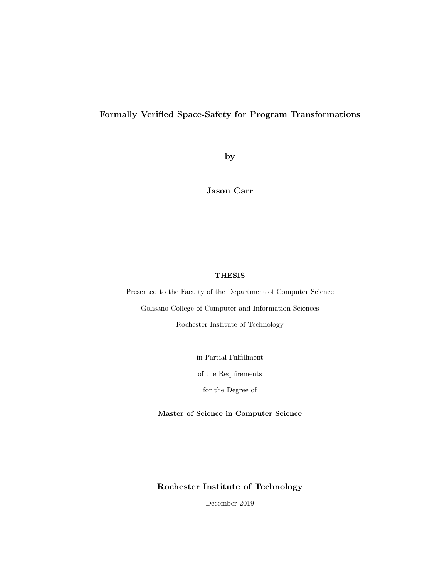# <span id="page-1-0"></span>Formally Verified Space-Safety for Program Transformations

by

Jason Carr

## THESIS

Presented to the Faculty of the Department of Computer Science

Golisano College of Computer and Information Sciences Rochester Institute of Technology

in Partial Fulfillment

of the Requirements

for the Degree of

Master of Science in Computer Science

Rochester Institute of Technology

December 2019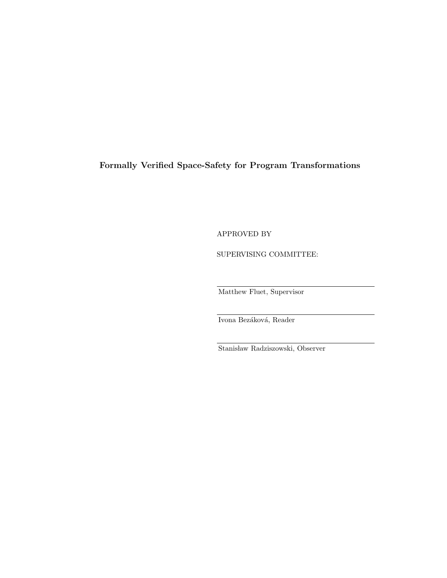# Formally Verified Space-Safety for Program Transformations

APPROVED BY

SUPERVISING COMMITTEE:

Matthew Fluet, Supervisor

Ivona Bezáková, Reader

Stanisław Radziszowski, Observer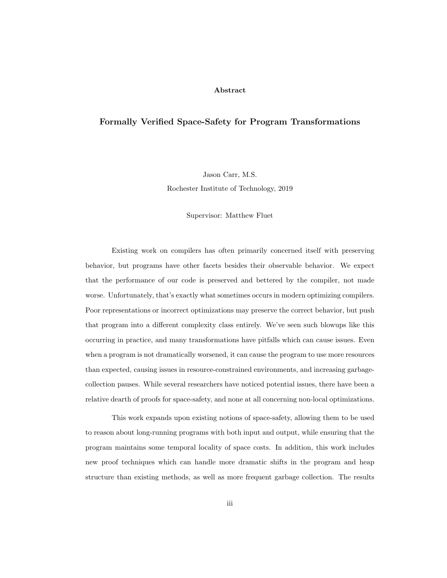#### Abstract

# Formally Verified Space-Safety for Program Transformations

Jason Carr, M.S.

Rochester Institute of Technology, 2019

Supervisor: Matthew Fluet

Existing work on compilers has often primarily concerned itself with preserving behavior, but programs have other facets besides their observable behavior. We expect that the performance of our code is preserved and bettered by the compiler, not made worse. Unfortunately, that's exactly what sometimes occurs in modern optimizing compilers. Poor representations or incorrect optimizations may preserve the correct behavior, but push that program into a different complexity class entirely. We've seen such blowups like this occurring in practice, and many transformations have pitfalls which can cause issues. Even when a program is not dramatically worsened, it can cause the program to use more resources than expected, causing issues in resource-constrained environments, and increasing garbagecollection pauses. While several researchers have noticed potential issues, there have been a relative dearth of proofs for space-safety, and none at all concerning non-local optimizations.

This work expands upon existing notions of space-safety, allowing them to be used to reason about long-running programs with both input and output, while ensuring that the program maintains some temporal locality of space costs. In addition, this work includes new proof techniques which can handle more dramatic shifts in the program and heap structure than existing methods, as well as more frequent garbage collection. The results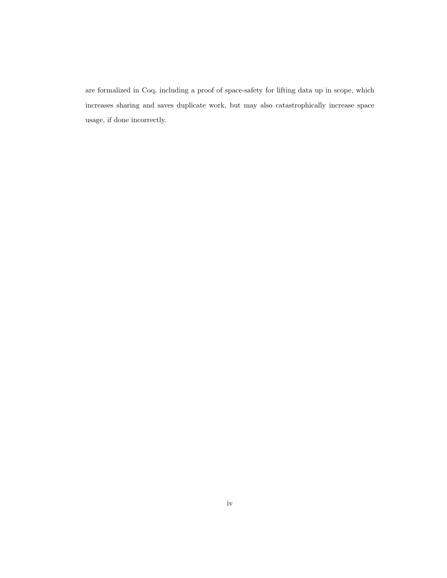are formalized in Coq, including a proof of space-safety for lifting data up in scope, which increases sharing and saves duplicate work, but may also catastrophically increase space usage, if done incorrectly.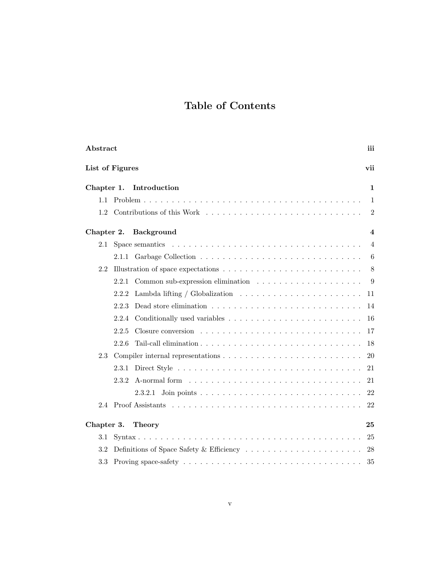# Table of Contents

| Abstract                        |                                                                                                     | iii            |  |  |  |
|---------------------------------|-----------------------------------------------------------------------------------------------------|----------------|--|--|--|
|                                 | List of Figures<br>vii                                                                              |                |  |  |  |
| Chapter 1.                      | Introduction                                                                                        | 1              |  |  |  |
| 1.1                             |                                                                                                     | 1              |  |  |  |
| 1.2                             |                                                                                                     | 2              |  |  |  |
| Chapter 2.<br><b>Background</b> |                                                                                                     |                |  |  |  |
| 2.1                             |                                                                                                     | $\overline{4}$ |  |  |  |
|                                 |                                                                                                     | 6              |  |  |  |
| 2.2                             | Illustration of space expectations $\ldots \ldots \ldots \ldots \ldots \ldots \ldots \ldots \ldots$ | 8              |  |  |  |
|                                 | 2.2.1                                                                                               | 9              |  |  |  |
|                                 | Lambda lifting / Globalization $\ldots \ldots \ldots \ldots \ldots \ldots \ldots$<br>2.2.2          | 11             |  |  |  |
|                                 | Dead store elimination $\ldots \ldots \ldots \ldots \ldots \ldots \ldots \ldots \ldots$<br>2.2.3    | 14             |  |  |  |
|                                 | 2.2.4                                                                                               | 16             |  |  |  |
|                                 | 2.2.5                                                                                               | 17             |  |  |  |
|                                 | 2.2.6                                                                                               | 18             |  |  |  |
| 2.3                             |                                                                                                     | 20             |  |  |  |
|                                 | 2.3.1                                                                                               | 21             |  |  |  |
|                                 | 2.3.2                                                                                               | 21             |  |  |  |
|                                 | 2.3.2.1                                                                                             | 22             |  |  |  |
|                                 |                                                                                                     | 22             |  |  |  |
|                                 | Chapter 3.<br><b>Theory</b><br>25                                                                   |                |  |  |  |
| 3.1                             |                                                                                                     | 25             |  |  |  |
| 3.2                             |                                                                                                     | 28             |  |  |  |
| 3.3                             |                                                                                                     | 35             |  |  |  |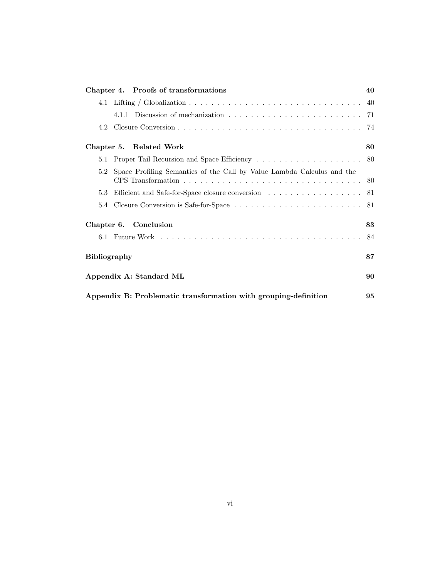| Chapter 4. Proofs of transformations                                          | 40 |  |
|-------------------------------------------------------------------------------|----|--|
|                                                                               |    |  |
|                                                                               |    |  |
|                                                                               |    |  |
| Chapter 5. Related Work<br>80                                                 |    |  |
|                                                                               |    |  |
| Space Profiling Semantics of the Call by Value Lambda Calculus and the<br>5.2 |    |  |
| Efficient and Safe-for-Space closure conversion 81<br>5.3                     |    |  |
|                                                                               |    |  |
| Chapter 6. Conclusion                                                         |    |  |
|                                                                               | 84 |  |
| <b>Bibliography</b>                                                           |    |  |
| Appendix A: Standard ML                                                       |    |  |
| Appendix B: Problematic transformation with grouping-definition               |    |  |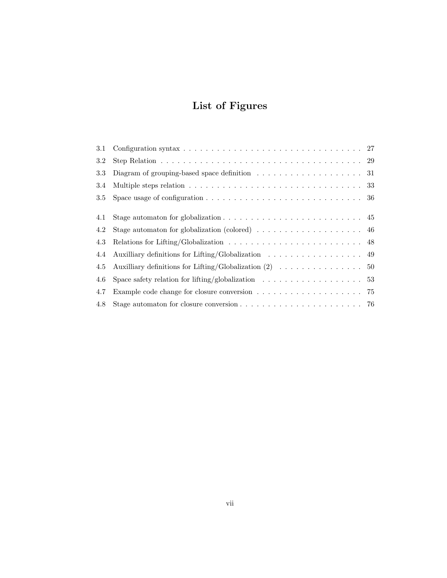# List of Figures

<span id="page-7-0"></span>

| 3.1 |                                                                                                                  |  |
|-----|------------------------------------------------------------------------------------------------------------------|--|
| 3.2 |                                                                                                                  |  |
| 3.3 | Diagram of grouping-based space definition $\dots \dots \dots \dots \dots \dots \dots \dots$                     |  |
| 3.4 | Multiple steps relation $\ldots \ldots \ldots \ldots \ldots \ldots \ldots \ldots \ldots \ldots \ldots 33$        |  |
| 3.5 | Space usage of configuration $\ldots \ldots \ldots \ldots \ldots \ldots \ldots \ldots \ldots \ldots 36$          |  |
|     |                                                                                                                  |  |
| 4.1 | Stage automaton for globalization $\ldots \ldots \ldots \ldots \ldots \ldots \ldots \ldots$ 45                   |  |
| 4.2 | Stage automaton for globalization (colored) $\dots \dots \dots \dots \dots \dots$                                |  |
| 4.3 | Relations for Lifting/Globalization $\ldots \ldots \ldots \ldots \ldots \ldots \ldots \ldots$ 48                 |  |
| 4.4 | Auxilliary definitions for Lifting/Globalization<br>$\hfill\ldots\ldots\ldots\ldots\ldots\ldots\ldots\ldots\ 49$ |  |
| 4.5 |                                                                                                                  |  |
| 4.6 | Space safety relation for lifting/globalization $\dots \dots \dots \dots \dots \dots \dots$ 53                   |  |
| 4.7 |                                                                                                                  |  |
| 4.8 | Stage automaton for closure conversion $\dots \dots \dots \dots \dots \dots \dots \dots \dots$ 76                |  |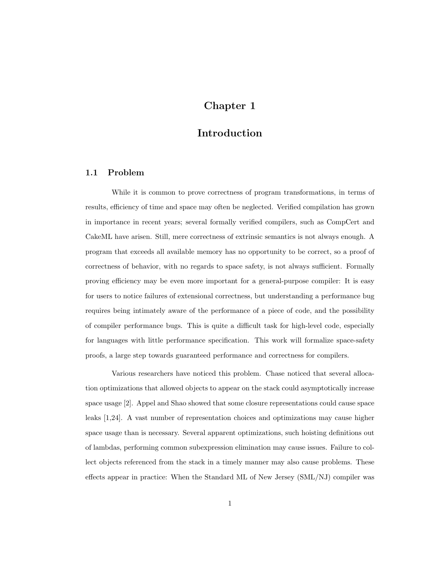# Chapter 1

# Introduction

## <span id="page-8-1"></span><span id="page-8-0"></span>1.1 Problem

While it is common to prove correctness of program transformations, in terms of results, efficiency of time and space may often be neglected. Verified compilation has grown in importance in recent years; several formally verified compilers, such as CompCert and CakeML have arisen. Still, mere correctness of extrinsic semantics is not always enough. A program that exceeds all available memory has no opportunity to be correct, so a proof of correctness of behavior, with no regards to space safety, is not always sufficient. Formally proving efficiency may be even more important for a general-purpose compiler: It is easy for users to notice failures of extensional correctness, but understanding a performance bug requires being intimately aware of the performance of a piece of code, and the possibility of compiler performance bugs. This is quite a difficult task for high-level code, especially for languages with little performance specification. This work will formalize space-safety proofs, a large step towards guaranteed performance and correctness for compilers.

Various researchers have noticed this problem. Chase noticed that several allocation optimizations that allowed objects to appear on the stack could asymptotically increase space usage [\[2\]](#page-94-1). Appel and Shao showed that some closure representations could cause space leaks [\[1,](#page-94-2)[24\]](#page-96-0). A vast number of representation choices and optimizations may cause higher space usage than is necessary. Several apparent optimizations, such hoisting definitions out of lambdas, performing common subexpression elimination may cause issues. Failure to collect objects referenced from the stack in a timely manner may also cause problems. These effects appear in practice: When the Standard ML of New Jersey (SML/NJ) compiler was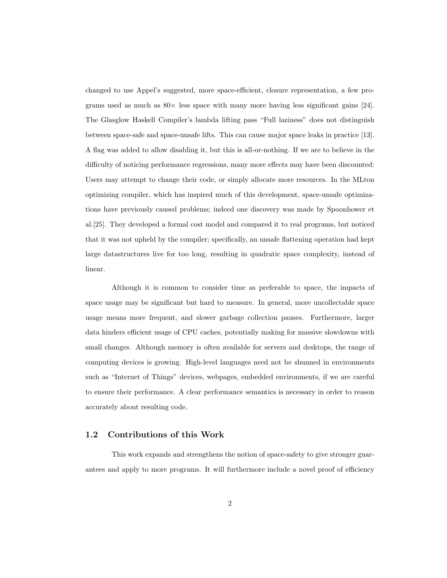changed to use Appel's suggested, more space-efficient, closure representation, a few programs used as much as  $80\times$  less space with many more having less significant gains [\[24\]](#page-96-0). The Glasglow Haskell Compiler's lambda lifting pass "Full laziness" does not distinguish between space-safe and space-unsafe lifts. This can cause major space leaks in practice [\[13\]](#page-95-0). A flag was added to allow disabling it, but this is all-or-nothing. If we are to believe in the difficulty of noticing performance regressions, many more effects may have been discounted: Users may attempt to change their code, or simply allocate more resources. In the MLton optimizing compiler, which has inspired much of this development, space-unsafe optimizations have previously caused problems; indeed one discovery was made by Spoonhower et al.[\[25\]](#page-96-1). They developed a formal cost model and compared it to real programs, but noticed that it was not upheld by the compiler; specifically, an unsafe flattening operation had kept large datastructures live for too long, resulting in quadratic space complexity, instead of linear.

Although it is common to consider time as preferable to space, the impacts of space usage may be significant but hard to measure. In general, more uncollectable space usage means more frequent, and slower garbage collection pauses. Furthermore, larger data hinders efficient usage of CPU caches, potentially making for massive slowdowns with small changes. Although memory is often available for servers and desktops, the range of computing devices is growing. High-level languages need not be shunned in environments such as "Internet of Things" devices, webpages, embedded environments, if we are careful to ensure their performance. A clear performance semantics is necessary in order to reason accurately about resulting code.

## <span id="page-9-0"></span>1.2 Contributions of this Work

This work expands and strengthens the notion of space-safety to give stronger guarantees and apply to more programs. It will furthermore include a novel proof of efficiency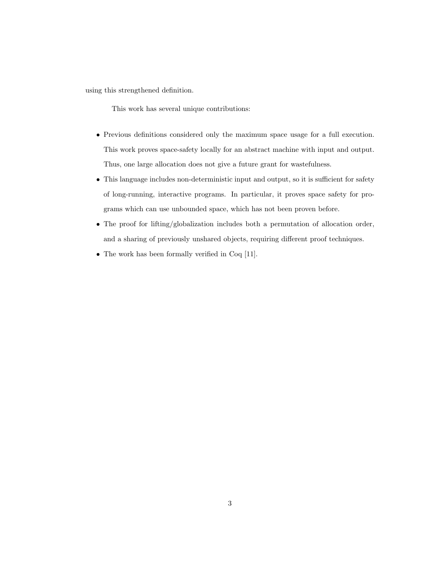using this strengthened definition.

This work has several unique contributions:

- Previous definitions considered only the maximum space usage for a full execution. This work proves space-safety locally for an abstract machine with input and output. Thus, one large allocation does not give a future grant for wastefulness.
- This language includes non-deterministic input and output, so it is sufficient for safety of long-running, interactive programs. In particular, it proves space safety for programs which can use unbounded space, which has not been proven before.
- The proof for lifting/globalization includes both a permutation of allocation order, and a sharing of previously unshared objects, requiring different proof techniques.
- The work has been formally verified in Coq [\[11\]](#page-95-1).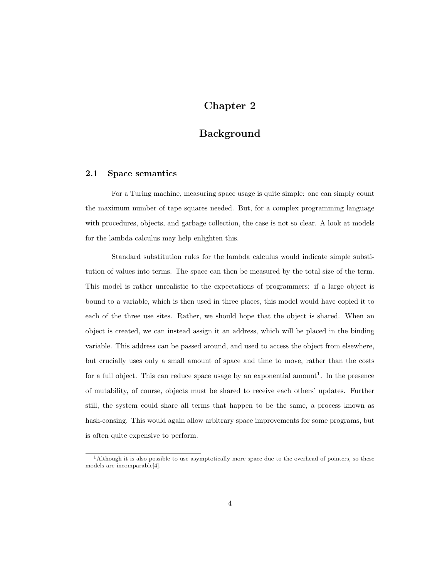# Chapter 2

# Background

## <span id="page-11-1"></span><span id="page-11-0"></span>2.1 Space semantics

For a Turing machine, measuring space usage is quite simple: one can simply count the maximum number of tape squares needed. But, for a complex programming language with procedures, objects, and garbage collection, the case is not so clear. A look at models for the lambda calculus may help enlighten this.

Standard substitution rules for the lambda calculus would indicate simple substitution of values into terms. The space can then be measured by the total size of the term. This model is rather unrealistic to the expectations of programmers: if a large object is bound to a variable, which is then used in three places, this model would have copied it to each of the three use sites. Rather, we should hope that the object is shared. When an object is created, we can instead assign it an address, which will be placed in the binding variable. This address can be passed around, and used to access the object from elsewhere, but crucially uses only a small amount of space and time to move, rather than the costs for a full object. This can reduce space usage by an exponential amount<sup>[1](#page-11-2)</sup>. In the presence of mutability, of course, objects must be shared to receive each others' updates. Further still, the system could share all terms that happen to be the same, a process known as hash-consing. This would again allow arbitrary space improvements for some programs, but is often quite expensive to perform.

<span id="page-11-2"></span><sup>&</sup>lt;sup>1</sup>Although it is also possible to use asymptotically more space due to the overhead of pointers, so these models are incomparable[\[4\]](#page-94-3).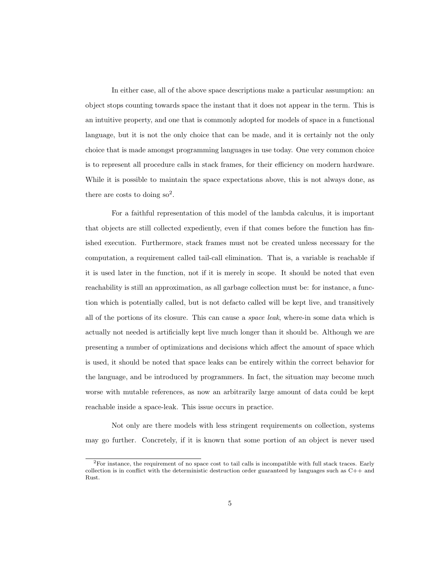In either case, all of the above space descriptions make a particular assumption: an object stops counting towards space the instant that it does not appear in the term. This is an intuitive property, and one that is commonly adopted for models of space in a functional language, but it is not the only choice that can be made, and it is certainly not the only choice that is made amongst programming languages in use today. One very common choice is to represent all procedure calls in stack frames, for their efficiency on modern hardware. While it is possible to maintain the space expectations above, this is not always done, as there are costs to doing  ${so}^2$  ${so}^2$ .

For a faithful representation of this model of the lambda calculus, it is important that objects are still collected expediently, even if that comes before the function has finished execution. Furthermore, stack frames must not be created unless necessary for the computation, a requirement called tail-call elimination. That is, a variable is reachable if it is used later in the function, not if it is merely in scope. It should be noted that even reachability is still an approximation, as all garbage collection must be: for instance, a function which is potentially called, but is not defacto called will be kept live, and transitively all of the portions of its closure. This can cause a space leak, where-in some data which is actually not needed is artificially kept live much longer than it should be. Although we are presenting a number of optimizations and decisions which affect the amount of space which is used, it should be noted that space leaks can be entirely within the correct behavior for the language, and be introduced by programmers. In fact, the situation may become much worse with mutable references, as now an arbitrarily large amount of data could be kept reachable inside a space-leak. This issue occurs in practice.

Not only are there models with less stringent requirements on collection, systems may go further. Concretely, if it is known that some portion of an object is never used

<span id="page-12-0"></span> ${}^{2}$ For instance, the requirement of no space cost to tail calls is incompatible with full stack traces. Early collection is in conflict with the deterministic destruction order guaranteed by languages such as C++ and Rust.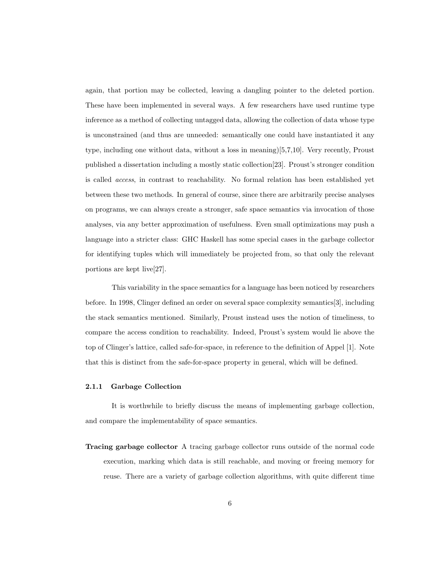again, that portion may be collected, leaving a dangling pointer to the deleted portion. These have been implemented in several ways. A few researchers have used runtime type inference as a method of collecting untagged data, allowing the collection of data whose type is unconstrained (and thus are unneeded: semantically one could have instantiated it any type, including one without data, without a loss in meaning)[\[5,](#page-94-4)[7,](#page-94-5)[10\]](#page-95-2). Very recently, Proust published a dissertation including a mostly static collection[\[23\]](#page-96-2). Proust's stronger condition is called access, in contrast to reachability. No formal relation has been established yet between these two methods. In general of course, since there are arbitrarily precise analyses on programs, we can always create a stronger, safe space semantics via invocation of those analyses, via any better approximation of usefulness. Even small optimizations may push a language into a stricter class: GHC Haskell has some special cases in the garbage collector for identifying tuples which will immediately be projected from, so that only the relevant portions are kept live[\[27\]](#page-96-3).

This variability in the space semantics for a language has been noticed by researchers before. In 1998, Clinger defined an order on several space complexity semantics[\[3\]](#page-94-6), including the stack semantics mentioned. Similarly, Proust instead uses the notion of timeliness, to compare the access condition to reachability. Indeed, Proust's system would lie above the top of Clinger's lattice, called safe-for-space, in reference to the definition of Appel [\[1\]](#page-94-2). Note that this is distinct from the safe-for-space property in general, which will be defined.

#### <span id="page-13-0"></span>2.1.1 Garbage Collection

It is worthwhile to briefly discuss the means of implementing garbage collection, and compare the implementability of space semantics.

Tracing garbage collector A tracing garbage collector runs outside of the normal code execution, marking which data is still reachable, and moving or freeing memory for reuse. There are a variety of garbage collection algorithms, with quite different time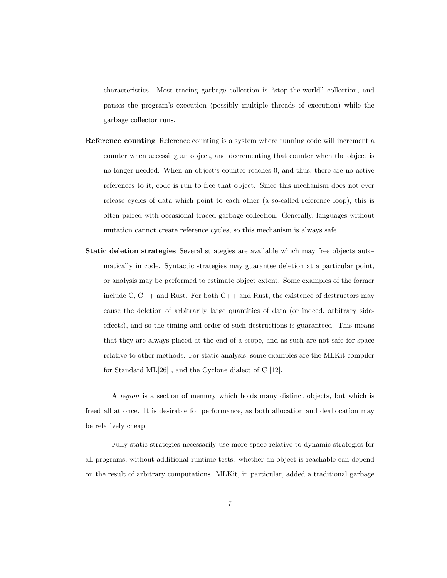characteristics. Most tracing garbage collection is "stop-the-world" collection, and pauses the program's execution (possibly multiple threads of execution) while the garbage collector runs.

- Reference counting Reference counting is a system where running code will increment a counter when accessing an object, and decrementing that counter when the object is no longer needed. When an object's counter reaches 0, and thus, there are no active references to it, code is run to free that object. Since this mechanism does not ever release cycles of data which point to each other (a so-called reference loop), this is often paired with occasional traced garbage collection. Generally, languages without mutation cannot create reference cycles, so this mechanism is always safe.
- Static deletion strategies Several strategies are available which may free objects automatically in code. Syntactic strategies may guarantee deletion at a particular point, or analysis may be performed to estimate object extent. Some examples of the former include C,  $C_{++}$  and Rust. For both  $C_{++}$  and Rust, the existence of destructors may cause the deletion of arbitrarily large quantities of data (or indeed, arbitrary sideeffects), and so the timing and order of such destructions is guaranteed. This means that they are always placed at the end of a scope, and as such are not safe for space relative to other methods. For static analysis, some examples are the MLKit compiler for Standard ML[\[26\]](#page-96-4) , and the Cyclone dialect of C [\[12\]](#page-95-3).

A region is a section of memory which holds many distinct objects, but which is freed all at once. It is desirable for performance, as both allocation and deallocation may be relatively cheap.

Fully static strategies necessarily use more space relative to dynamic strategies for all programs, without additional runtime tests: whether an object is reachable can depend on the result of arbitrary computations. MLKit, in particular, added a traditional garbage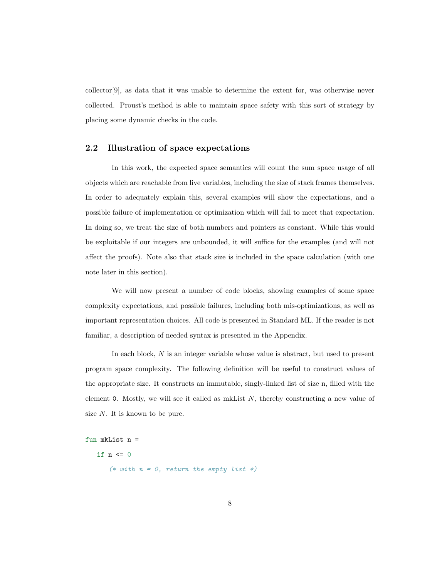collector[\[9\]](#page-94-7), as data that it was unable to determine the extent for, was otherwise never collected. Proust's method is able to maintain space safety with this sort of strategy by placing some dynamic checks in the code.

## <span id="page-15-0"></span>2.2 Illustration of space expectations

In this work, the expected space semantics will count the sum space usage of all objects which are reachable from live variables, including the size of stack frames themselves. In order to adequately explain this, several examples will show the expectations, and a possible failure of implementation or optimization which will fail to meet that expectation. In doing so, we treat the size of both numbers and pointers as constant. While this would be exploitable if our integers are unbounded, it will suffice for the examples (and will not affect the proofs). Note also that stack size is included in the space calculation (with one note later in this section).

We will now present a number of code blocks, showing examples of some space complexity expectations, and possible failures, including both mis-optimizations, as well as important representation choices. All code is presented in Standard ML. If the reader is not familiar, a description of needed syntax is presented in the Appendix.

In each block, N is an integer variable whose value is abstract, but used to present program space complexity. The following definition will be useful to construct values of the appropriate size. It constructs an immutable, singly-linked list of size n, filled with the element 0. Mostly, we will see it called as mkList  $N$ , thereby constructing a new value of size N. It is known to be pure.

```
fun mkList n =
```
if  $n \leq 0$ 

(\* with  $n = 0$ , return the empty list \*)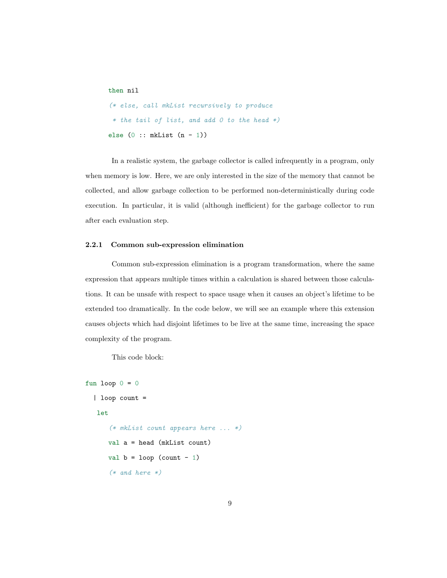```
then nil
(* else, call mkList recursively to produce
 * the tail of list, and add 0 to the head *)
else (0 : : mkList(n - 1))
```
In a realistic system, the garbage collector is called infrequently in a program, only when memory is low. Here, we are only interested in the size of the memory that cannot be collected, and allow garbage collection to be performed non-deterministically during code execution. In particular, it is valid (although inefficient) for the garbage collector to run after each evaluation step.

## <span id="page-16-0"></span>2.2.1 Common sub-expression elimination

Common sub-expression elimination is a program transformation, where the same expression that appears multiple times within a calculation is shared between those calculations. It can be unsafe with respect to space usage when it causes an object's lifetime to be extended too dramatically. In the code below, we will see an example where this extension causes objects which had disjoint lifetimes to be live at the same time, increasing the space complexity of the program.

This code block:

```
fun loop 0 = 0| loop count =
  let
      (* mkList count appears here ... *)
     val a = head (mkList count)
     val b = loop (count - 1)
      (* and here *)
```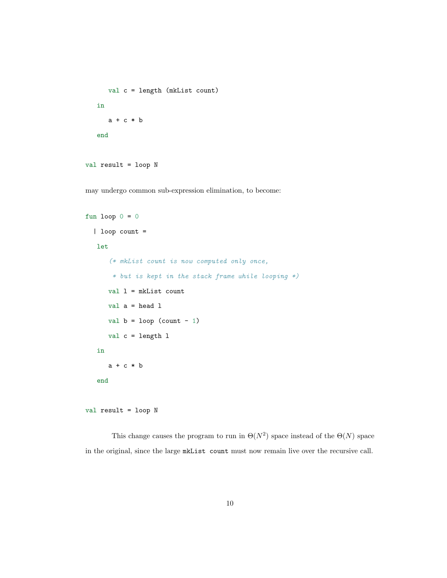```
val c = length (mkList count)
in
  a + c * bend
```

```
val result = loop N
```
may undergo common sub-expression elimination, to become:

```
fun loop 0 = 0| loop count =
   let
      (* mkList count is now computed only once,
       * but is kept in the stack frame while looping *)
      val l = mkList count
      val a = head 1val b = loop (count - 1)
      val c = length l
   in
      a + c * bend
```

```
val result = loop N
```
This change causes the program to run in  $\Theta(N^2)$  space instead of the  $\Theta(N)$  space in the original, since the large mkList count must now remain live over the recursive call.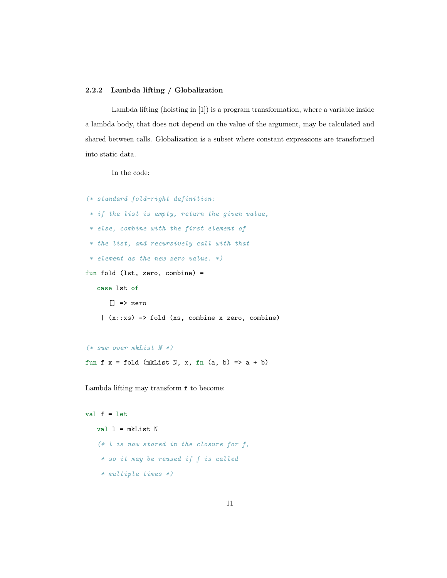### <span id="page-18-0"></span>2.2.2 Lambda lifting / Globalization

Lambda lifting (hoisting in [\[1\]](#page-94-2)) is a program transformation, where a variable inside a lambda body, that does not depend on the value of the argument, may be calculated and shared between calls. Globalization is a subset where constant expressions are transformed into static data.

In the code:

```
(* standard fold-right definition:
 * if the list is empty, return the given value,
 * else, combine with the first element of
 * the list, and recursively call with that
 * element as the new zero value. *)
fun fold (lst, zero, combine) =
   case lst of
      ] => zero
    |(x::xs)| \Rightarrow fold (xs, combine x zero, combine)
```

```
(*\; sum\; over\; mkList\; N*)
```
fun f  $x =$  fold (mkList N, x, fn (a, b) => a + b)

Lambda lifting may transform f to become:

```
val f = letval l = mkList N(*\;l\;is\;now\;stored\;in\;the\;closure\;for\;f,* so it may be reused if f is called
    * multiple times *)
```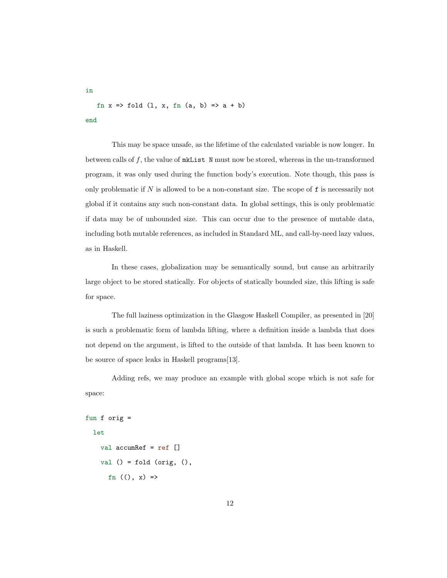fn  $x \Rightarrow$  fold  $(1, x, fin(a, b) \Rightarrow a + b)$ end

This may be space unsafe, as the lifetime of the calculated variable is now longer. In between calls of f, the value of mkList N must now be stored, whereas in the un-transformed program, it was only used during the function body's execution. Note though, this pass is only problematic if  $N$  is allowed to be a non-constant size. The scope of  $f$  is necessarily not global if it contains any such non-constant data. In global settings, this is only problematic if data may be of unbounded size. This can occur due to the presence of mutable data, including both mutable references, as included in Standard ML, and call-by-need lazy values, as in Haskell.

In these cases, globalization may be semantically sound, but cause an arbitrarily large object to be stored statically. For objects of statically bounded size, this lifting is safe for space.

The full laziness optimization in the Glasgow Haskell Compiler, as presented in [\[20\]](#page-96-5) is such a problematic form of lambda lifting, where a definition inside a lambda that does not depend on the argument, is lifted to the outside of that lambda. It has been known to be source of space leaks in Haskell programs[\[13\]](#page-95-0).

Adding refs, we may produce an example with global scope which is not safe for space:

```
fun f orig =
 let
   val accumRef = ref []
    val () = fold (orig, (),fn ((), x) =>
```
in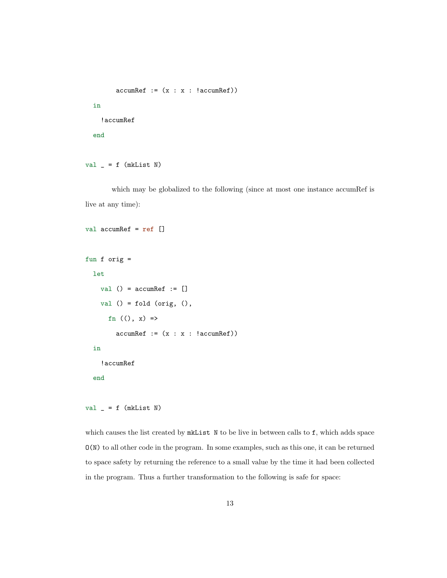```
\text{accumRef} := (x : x : !\text{accumulate}))
```
in

!accumRef

end

```
val = f (mkList N)
```
val accumRef = ref []

which may be globalized to the following (since at most one instance accumRef is live at any time):

```
fun f orig =
  let
    val () = \text{accumRef} := []
    val () = fold (orig, (),
       fn ((), x) =>
         \text{accumRef} := (x : x : !\text{accumRef}))in
    !accumRef
  end
```
 $val = f$  (mkList N)

which causes the list created by mkList N to be live in between calls to f, which adds space O(N) to all other code in the program. In some examples, such as this one, it can be returned to space safety by returning the reference to a small value by the time it had been collected in the program. Thus a further transformation to the following is safe for space: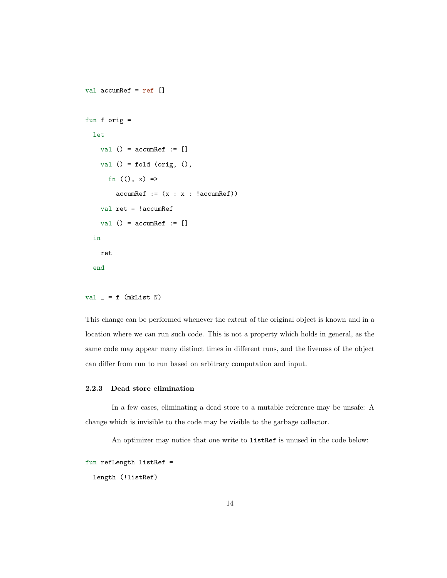```
val accumRef = ref []
fun f orig =
  let
    val () = \text{accumRef} := []
    val () = fold (orig, (),fn ((), x) =>
         \text{accumRef} := (x : x : !\text{accumRef}))val ret = !accumRef
    val () = \text{accumRef} := []
  in
    ret
  end
```

```
val = = f (mkList N)
```
This change can be performed whenever the extent of the original object is known and in a location where we can run such code. This is not a property which holds in general, as the same code may appear many distinct times in different runs, and the liveness of the object can differ from run to run based on arbitrary computation and input.

#### <span id="page-21-0"></span>2.2.3 Dead store elimination

In a few cases, eliminating a dead store to a mutable reference may be unsafe: A change which is invisible to the code may be visible to the garbage collector.

An optimizer may notice that one write to listRef is unused in the code below:

```
fun refLength listRef =
```
length (!listRef)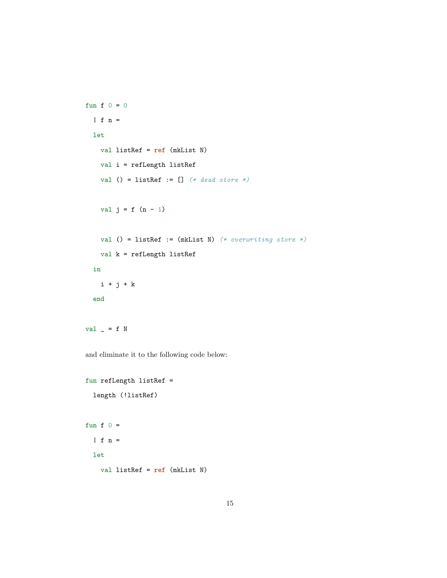```
fun f 0 = 0| f n =let
   val listRef = ref (mkList N)
   val i = refLength listRef
   val () = listRef := [] (* dead store *)
   val j = f (n - 1)val () = listRef := (mkList N) (* overwriting store *)
   val k = refLength listRef
 in
   i + j + kend
```
val  $=$  f N

and eliminate it to the following code below:

```
fun refLength listRef =
  length (!listRef)
fun f 0 =| f n =
  let
   val listRef = ref (mkList N)
```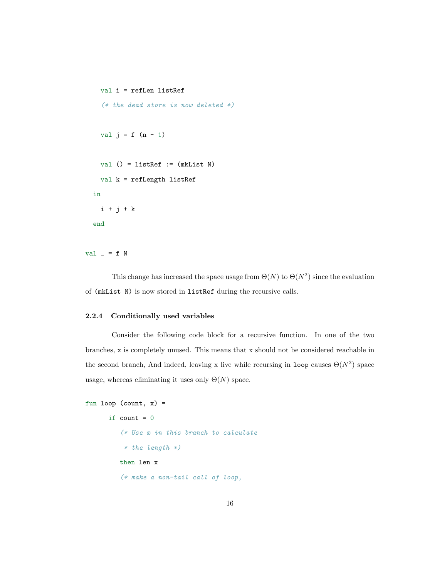```
val i = refLen listRef
  (* the dead store is now deleted *)val j = f(n - 1)val () = listRef := (mkList N)
  val k = refLength listRef
in
  i + j + kend
```
val  $=$  f N

This change has increased the space usage from  $\Theta(N)$  to  $\Theta(N^2)$  since the evaluation of (mkList N) is now stored in listRef during the recursive calls.

#### <span id="page-23-0"></span>2.2.4 Conditionally used variables

Consider the following code block for a recursive function. In one of the two branches, x is completely unused. This means that x should not be considered reachable in the second branch, And indeed, leaving x live while recursing in loop causes  $\Theta(N^2)$  space usage, whereas eliminating it uses only  $\Theta(N)$  space.

```
fun loop (count, x) =
      if count = 0(* Use x in this branch to calculate
          * the length *)then len x
         (* make a non-tail call of loop,
```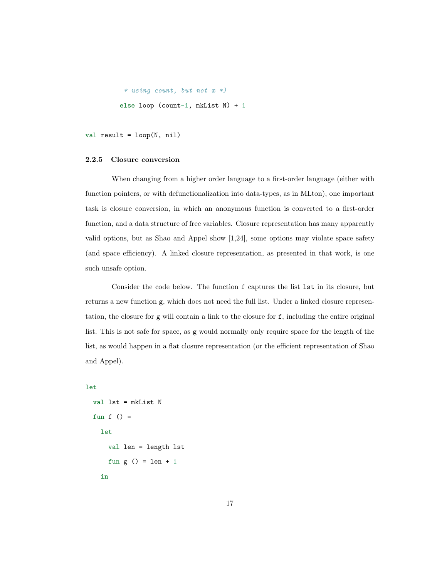```
* using count, but not x *)
else loop (count-1, mkList N) + 1
```

```
val result = loop(N, nil)
```
#### <span id="page-24-0"></span>2.2.5 Closure conversion

When changing from a higher order language to a first-order language (either with function pointers, or with defunctionalization into data-types, as in MLton), one important task is closure conversion, in which an anonymous function is converted to a first-order function, and a data structure of free variables. Closure representation has many apparently valid options, but as Shao and Appel show [\[1,](#page-94-2)[24\]](#page-96-0), some options may violate space safety (and space efficiency). A linked closure representation, as presented in that work, is one such unsafe option.

Consider the code below. The function f captures the list  $1st$  in its closure, but returns a new function g, which does not need the full list. Under a linked closure representation, the closure for g will contain a link to the closure for f, including the entire original list. This is not safe for space, as g would normally only require space for the length of the list, as would happen in a flat closure representation (or the efficient representation of Shao and Appel).

#### let

```
val lst = mkList N
fun f () =let
    val len = length lst
    fun g () = len + 1in
```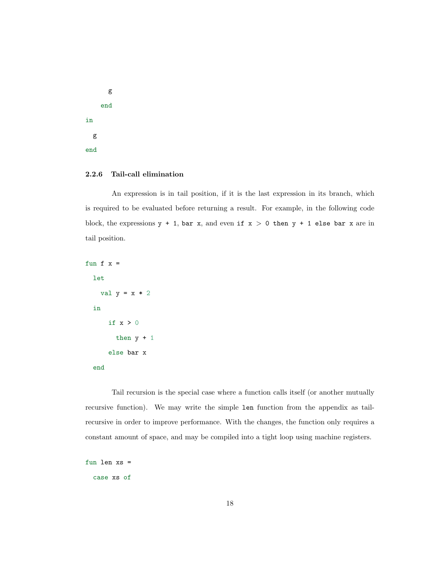g end in g end

## <span id="page-25-0"></span>2.2.6 Tail-call elimination

An expression is in tail position, if it is the last expression in its branch, which is required to be evaluated before returning a result. For example, in the following code block, the expressions  $y + 1$ , bar x, and even if  $x > 0$  then  $y + 1$  else bar x are in tail position.

```
fun f x =let
   val y = x * 2in
     if x > 0then y + 1else bar x
```

```
end
```
Tail recursion is the special case where a function calls itself (or another mutually recursive function). We may write the simple len function from the appendix as tailrecursive in order to improve performance. With the changes, the function only requires a constant amount of space, and may be compiled into a tight loop using machine registers.

fun len xs = case xs of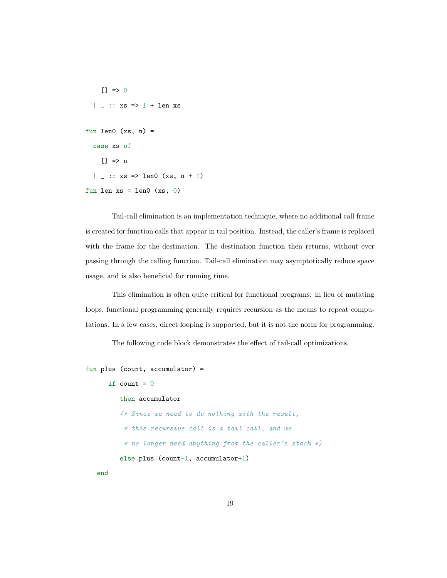```
[] => 0
  | | :: xs => 1 + len xs
fun len0 (xs, n) =
  case xs of
    [] \Rightarrow n| \Box :: xs => len0 (xs, n + 1)
fun len xs = len0 (xs, 0)
```
Tail-call elimination is an implementation technique, where no additional call frame is created for function calls that appear in tail position. Instead, the caller's frame is replaced with the frame for the destination. The destination function then returns, without ever passing through the calling function. Tail-call elimination may asymptotically reduce space usage, and is also beneficial for running time.

This elimination is often quite critical for functional programs: in lieu of mutating loops, functional programming generally requires recursion as the means to repeat computations. In a few cases, direct looping is supported, but it is not the norm for programming.

The following code block demonstrates the effect of tail-call optimizations.

```
fun plus (count, accumulator) =
      if count = 0then accumulator
         (* Since we need to do nothing with the result,
          * this recursive call is a tail call, and we
          * no longer need anything from the caller's stack *)
         else plus (count-1, accumulator+1)
```
end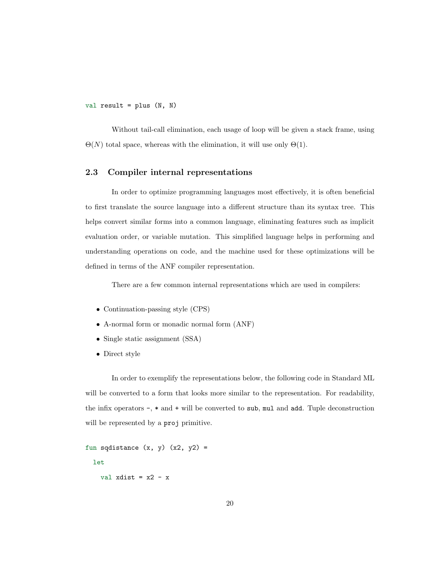val result =  $plus (N, N)$ 

Without tail-call elimination, each usage of loop will be given a stack frame, using  $\Theta(N)$  total space, whereas with the elimination, it will use only  $\Theta(1)$ .

## <span id="page-27-0"></span>2.3 Compiler internal representations

In order to optimize programming languages most effectively, it is often beneficial to first translate the source language into a different structure than its syntax tree. This helps convert similar forms into a common language, eliminating features such as implicit evaluation order, or variable mutation. This simplified language helps in performing and understanding operations on code, and the machine used for these optimizations will be defined in terms of the ANF compiler representation.

There are a few common internal representations which are used in compilers:

- Continuation-passing style (CPS)
- A-normal form or monadic normal form (ANF)
- Single static assignment (SSA)
- Direct style

In order to exemplify the representations below, the following code in Standard ML will be converted to a form that looks more similar to the representation. For readability, the infix operators -, \* and + will be converted to sub, mul and add. Tuple deconstruction will be represented by a **proj** primitive.

```
fun sqdistance (x, y) (x2, y2) =let
   val xdist = x2 - x
```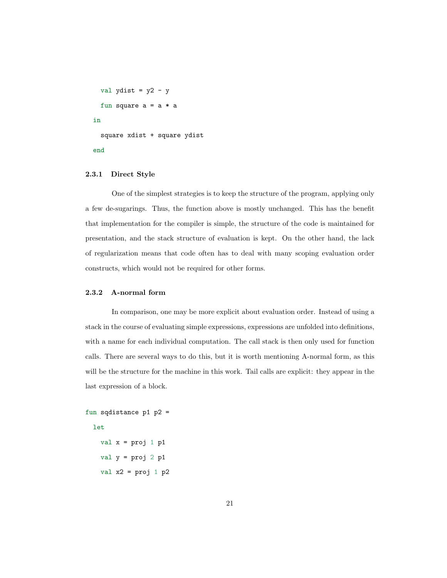```
val ydist = y2 - yfun square a = a * ain
 square xdist + square ydist
end
```
#### <span id="page-28-0"></span>2.3.1 Direct Style

One of the simplest strategies is to keep the structure of the program, applying only a few de-sugarings. Thus, the function above is mostly unchanged. This has the benefit that implementation for the compiler is simple, the structure of the code is maintained for presentation, and the stack structure of evaluation is kept. On the other hand, the lack of regularization means that code often has to deal with many scoping evaluation order constructs, which would not be required for other forms.

#### <span id="page-28-1"></span>2.3.2 A-normal form

In comparison, one may be more explicit about evaluation order. Instead of using a stack in the course of evaluating simple expressions, expressions are unfolded into definitions, with a name for each individual computation. The call stack is then only used for function calls. There are several ways to do this, but it is worth mentioning A-normal form, as this will be the structure for the machine in this work. Tail calls are explicit: they appear in the last expression of a block.

```
fun sqdistance p1 p2 =
```

```
let
```
val  $x = proj 1 p1$ val  $y = proj 2 p1$ val  $x2 = proj 1 p2$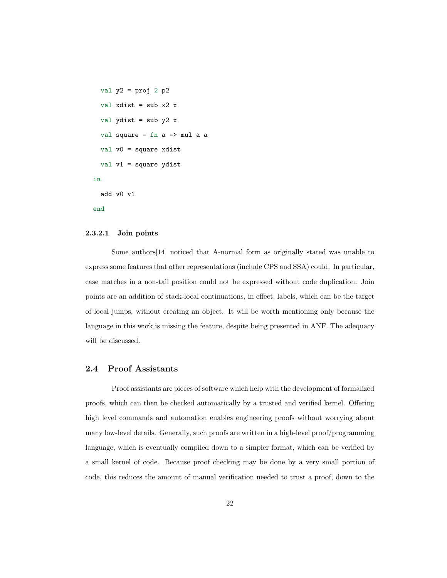```
val y2 = proj 2 p2val xdist = sub x2 x
 val ydist = sub y2 xval square = fn a => mul a a
  val v0 = square xdist
 val v1 = square ydist
in
 add v0 v1
end
```
## <span id="page-29-0"></span>2.3.2.1 Join points

Some authors[\[14\]](#page-95-4) noticed that A-normal form as originally stated was unable to express some features that other representations (include CPS and SSA) could. In particular, case matches in a non-tail position could not be expressed without code duplication. Join points are an addition of stack-local continuations, in effect, labels, which can be the target of local jumps, without creating an object. It will be worth mentioning only because the language in this work is missing the feature, despite being presented in ANF. The adequacy will be discussed.

# <span id="page-29-1"></span>2.4 Proof Assistants

Proof assistants are pieces of software which help with the development of formalized proofs, which can then be checked automatically by a trusted and verified kernel. Offering high level commands and automation enables engineering proofs without worrying about many low-level details. Generally, such proofs are written in a high-level proof/programming language, which is eventually compiled down to a simpler format, which can be verified by a small kernel of code. Because proof checking may be done by a very small portion of code, this reduces the amount of manual verification needed to trust a proof, down to the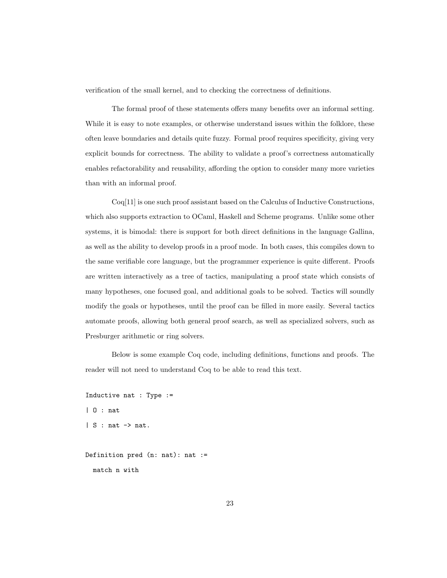verification of the small kernel, and to checking the correctness of definitions.

The formal proof of these statements offers many benefits over an informal setting. While it is easy to note examples, or otherwise understand issues within the folklore, these often leave boundaries and details quite fuzzy. Formal proof requires specificity, giving very explicit bounds for correctness. The ability to validate a proof's correctness automatically enables refactorability and reusability, affording the option to consider many more varieties than with an informal proof.

Coq[\[11\]](#page-95-1) is one such proof assistant based on the Calculus of Inductive Constructions, which also supports extraction to OCaml, Haskell and Scheme programs. Unlike some other systems, it is bimodal: there is support for both direct definitions in the language Gallina, as well as the ability to develop proofs in a proof mode. In both cases, this compiles down to the same verifiable core language, but the programmer experience is quite different. Proofs are written interactively as a tree of tactics, manipulating a proof state which consists of many hypotheses, one focused goal, and additional goals to be solved. Tactics will soundly modify the goals or hypotheses, until the proof can be filled in more easily. Several tactics automate proofs, allowing both general proof search, as well as specialized solvers, such as Presburger arithmetic or ring solvers.

Below is some example Coq code, including definitions, functions and proofs. The reader will not need to understand Coq to be able to read this text.

```
Inductive nat : Type :=
| O : nat
| S : nat \rightarrow nat.
```

```
Definition pred (n: nat): nat :=
 match n with
```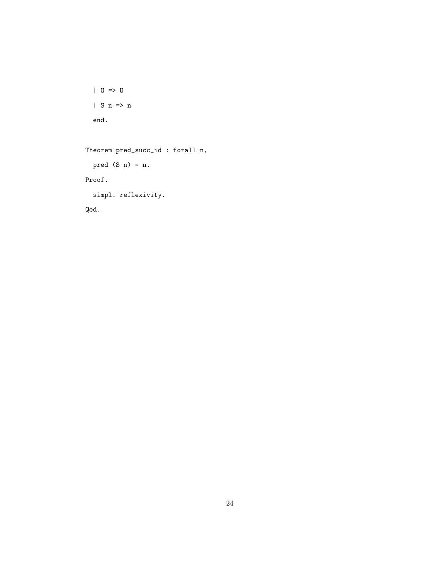```
| 0 \Rightarrow 0| S n \Rightarrow n
end.
```
Theorem pred\_succ\_id : forall n, pred  $(S n) = n$ . Proof. simpl. reflexivity.

Qed.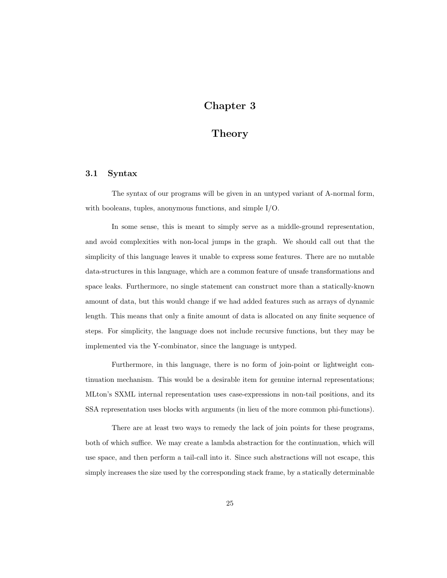# Chapter 3

# Theory

## <span id="page-32-1"></span><span id="page-32-0"></span>3.1 Syntax

The syntax of our programs will be given in an untyped variant of A-normal form, with booleans, tuples, anonymous functions, and simple I/O.

In some sense, this is meant to simply serve as a middle-ground representation, and avoid complexities with non-local jumps in the graph. We should call out that the simplicity of this language leaves it unable to express some features. There are no mutable data-structures in this language, which are a common feature of unsafe transformations and space leaks. Furthermore, no single statement can construct more than a statically-known amount of data, but this would change if we had added features such as arrays of dynamic length. This means that only a finite amount of data is allocated on any finite sequence of steps. For simplicity, the language does not include recursive functions, but they may be implemented via the Y-combinator, since the language is untyped.

Furthermore, in this language, there is no form of join-point or lightweight continuation mechanism. This would be a desirable item for genuine internal representations; MLton's SXML internal representation uses case-expressions in non-tail positions, and its SSA representation uses blocks with arguments (in lieu of the more common phi-functions).

There are at least two ways to remedy the lack of join points for these programs, both of which suffice. We may create a lambda abstraction for the continuation, which will use space, and then perform a tail-call into it. Since such abstractions will not escape, this simply increases the size used by the corresponding stack frame, by a statically determinable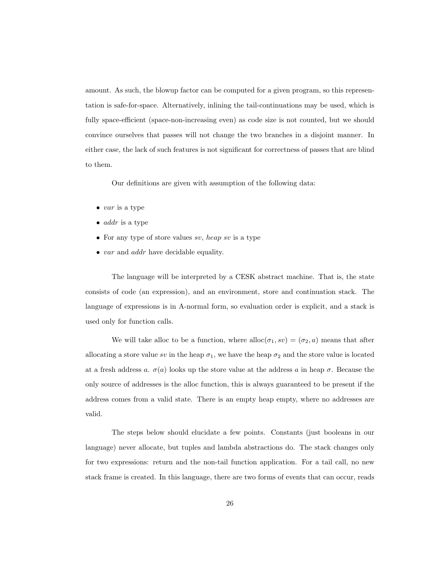amount. As such, the blowup factor can be computed for a given program, so this representation is safe-for-space. Alternatively, inlining the tail-continuations may be used, which is fully space-efficient (space-non-increasing even) as code size is not counted, but we should convince ourselves that passes will not change the two branches in a disjoint manner. In either case, the lack of such features is not significant for correctness of passes that are blind to them.

Our definitions are given with assumption of the following data:

- $\bullet$  var is a type
- $\bullet$  *addr* is a type
- For any type of store values  $sv$ , heap sv is a type
- var and *addr* have decidable equality.

The language will be interpreted by a CESK abstract machine. That is, the state consists of code (an expression), and an environment, store and continuation stack. The language of expressions is in A-normal form, so evaluation order is explicit, and a stack is used only for function calls.

We will take alloc to be a function, where  $\text{alloc}(\sigma_1, sv) = (\sigma_2, a)$  means that after allocating a store value sv in the heap  $\sigma_1$ , we have the heap  $\sigma_2$  and the store value is located at a fresh address a.  $\sigma(a)$  looks up the store value at the address a in heap  $\sigma$ . Because the only source of addresses is the alloc function, this is always guaranteed to be present if the address comes from a valid state. There is an empty heap empty, where no addresses are valid.

The steps below should elucidate a few points. Constants (just booleans in our language) never allocate, but tuples and lambda abstractions do. The stack changes only for two expressions: return and the non-tail function application. For a tail call, no new stack frame is created. In this language, there are two forms of events that can occur, reads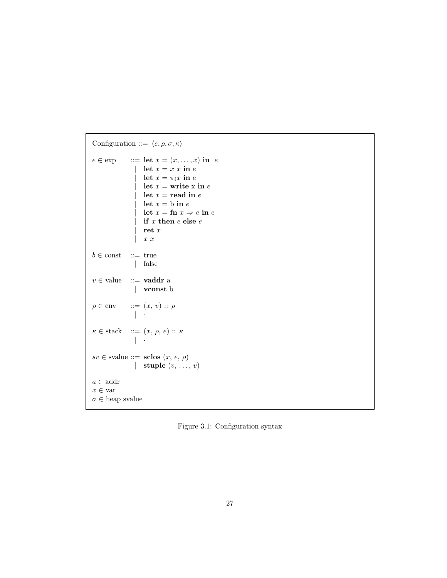```
Configuration ::= \langle e, \rho, \sigma, \kappa \ranglee \in \exp ::= let x = (x, \dots, x) in e
                  | let x = x \sin elet x = \pi_i x in e
                      let x = write x in elet x = read in elet x = b in elet x = \text{fn } x \Rightarrow e \text{ in } eif x then e else eret\boldsymbol{x}x \, xb \in \text{const} ::= true
                 | false
v \invalue ::= vaddr a
                 | vconst b
\rho \in \text{env} ::= (x, v) :: \rho| ·
\kappa \in \text{stack} \quad ::= \ (x, \, \rho, \, e) \, :: \, \kappa\| \cdot \|sv \in \text{value} ::= \text{ sclos}(x, e, \rho)| stuple (v, \ldots, v)a \in \text{addr}x \in \text{var}\sigma \inheap svalue
```
Figure 3.1: Configuration syntax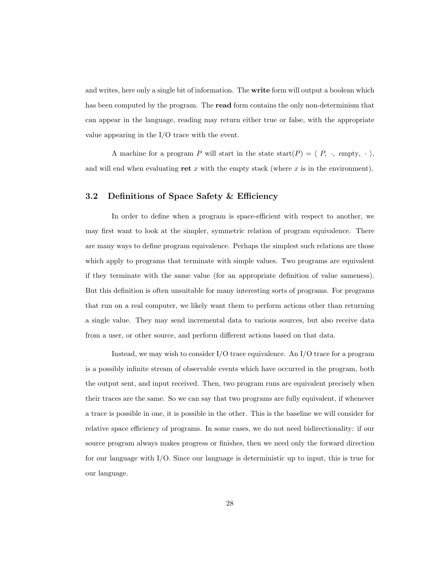and writes, here only a single bit of information. The **write** form will output a boolean which has been computed by the program. The **read** form contains the only non-determinism that can appear in the language, reading may return either true or false, with the appropriate value appearing in the I/O trace with the event.

A machine for a program P will start in the state start(P) =  $\langle P, \cdot, \text{empty}, \cdot \rangle$ , and will end when evaluating ret  $x$  with the empty stack (where  $x$  is in the environment).

# <span id="page-35-0"></span>3.2 Definitions of Space Safety & Efficiency

In order to define when a program is space-efficient with respect to another, we may first want to look at the simpler, symmetric relation of program equivalence. There are many ways to define program equivalence. Perhaps the simplest such relations are those which apply to programs that terminate with simple values. Two programs are equivalent if they terminate with the same value (for an appropriate definition of value sameness). But this definition is often unsuitable for many interesting sorts of programs. For programs that run on a real computer, we likely want them to perform actions other than returning a single value. They may send incremental data to various sources, but also receive data from a user, or other source, and perform different actions based on that data.

Instead, we may wish to consider  $I/O$  trace equivalence. An  $I/O$  trace for a program is a possibly infinite stream of observable events which have occurred in the program, both the output sent, and input received. Then, two program runs are equivalent precisely when their traces are the same. So we can say that two programs are fully equivalent, if whenever a trace is possible in one, it is possible in the other. This is the baseline we will consider for relative space efficiency of programs. In some cases, we do not need bidirectionality: if our source program always makes progress or finishes, then we need only the forward direction for our language with I/O. Since our language is deterministic up to input, this is true for our language.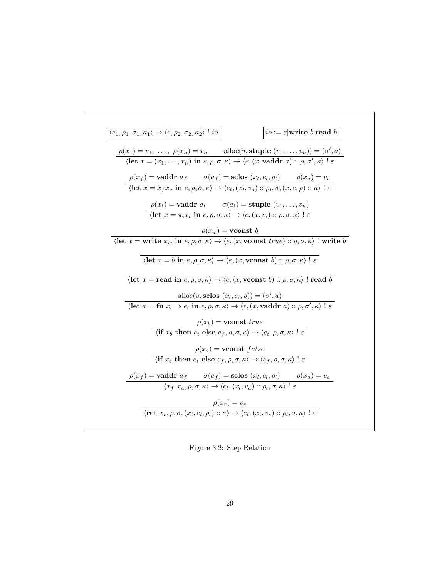| $\langle e_1, \rho_1, \sigma_1, \kappa_1 \rangle \rightarrow \langle e, \rho_2, \sigma_2, \kappa_2 \rangle$ ! io |                                                                | $io := \varepsilon$ write b read b                                                                                                                                                                                                                                                                    |
|------------------------------------------------------------------------------------------------------------------|----------------------------------------------------------------|-------------------------------------------------------------------------------------------------------------------------------------------------------------------------------------------------------------------------------------------------------------------------------------------------------|
|                                                                                                                  |                                                                | $\rho(x_1) = v_1, \ldots, \rho(x_n) = v_n$ alloc $(\sigma, \text{style}(v_1, \ldots, v_n)) = (\sigma', a)$<br>$\langle \text{let } x = (x_1, \ldots, x_n) \text{ in } e, \rho, \sigma, \kappa \rangle \rightarrow \langle e, (x, \text{vaddr } a) :: \rho, \sigma', \kappa \rangle \perp \varepsilon$ |
|                                                                                                                  |                                                                | $\rho(x_f)$ = <b>vaddr</b> $a_f$ $\sigma(a_f)$ = <b>sclos</b> $(x_l, e_l, \rho_l)$ $\rho(x_a) = v_a$<br>$\langle \text{let } x = x_f x_a \text{ in } e, \rho, \sigma, \kappa \rangle \rightarrow \langle e_l, (x_l, v_a) :: \rho_l, \sigma, (x, e, \rho) :: \kappa \rangle : \varepsilon$             |
|                                                                                                                  |                                                                | $\rho(x_t)$ = vaddr $a_t$ $\sigma(a_t)$ = stuple $(v_1, \ldots, v_n)$<br>$\langle \text{let } x = \pi_i x_t \text{ in } e, \rho, \sigma, \kappa \rangle \rightarrow \langle e, (x, v_i) : \rho, \sigma, \kappa \rangle \in$                                                                           |
|                                                                                                                  | $\rho(x_w) = \textbf{vconst } b$                               |                                                                                                                                                                                                                                                                                                       |
|                                                                                                                  |                                                                | $\langle$ let $x =$ write $x_w$ in $e, \rho, \sigma, \kappa \rangle \rightarrow \langle e, (x,$ vconst $true)$ :: $\rho, \sigma, \kappa \rangle$ ! write $b$                                                                                                                                          |
|                                                                                                                  |                                                                | $\langle \text{let } x = b \text{ in } e, \rho, \sigma, \kappa \rangle \rightarrow \langle e, (x, \text{vconst } b) :: \rho, \sigma, \kappa \rangle : \varepsilon$                                                                                                                                    |
|                                                                                                                  |                                                                | $\langle \textbf{let } x = \textbf{read in } e, \rho, \sigma, \overline{\kappa} \rangle \rightarrow \langle e, (x, \textbf{vconst } b) :: \rho, \sigma, \kappa \rangle \; \text{! read } b$                                                                                                           |
|                                                                                                                  | alloc $(\sigma, \text{sclos} (x_l, e_l, \rho)) = (\sigma', a)$ | $\langle \textbf{let } x = \textbf{fn } x_l \Rightarrow e_l \textbf{ in } e, \rho, \sigma, \kappa \rangle \rightarrow \langle e, (x, \textbf{vaddr } a) :: \rho, \sigma', \kappa \rangle \;   \; \varepsilon$                                                                                         |
|                                                                                                                  | $\rho(x_b)$ = vconst true                                      |                                                                                                                                                                                                                                                                                                       |
|                                                                                                                  |                                                                | $\langle \textbf{if } x_b \textbf{ then } e_t \textbf{ else } e_f, \rho, \sigma, \kappa \rangle \rightarrow \langle e_t, \rho, \sigma, \kappa \rangle \mid \varepsilon$                                                                                                                               |
|                                                                                                                  | $\rho(x_b)$ = vconst false                                     |                                                                                                                                                                                                                                                                                                       |
|                                                                                                                  |                                                                | $\langle \textbf{if } x_b \textbf{ then } e_t \textbf{ else } e_f, \rho, \sigma, \kappa \rangle \rightarrow \langle e_f, \rho, \sigma, \kappa \rangle \mid \varepsilon$                                                                                                                               |
|                                                                                                                  |                                                                | $\rho(x_f)$ = vaddr $a_f$ $\sigma(a_f)$ = sclos $(x_l, e_l, \rho_l)$ $\rho(x_a) = v_a$<br>$\langle x_f, x_a, \rho, \sigma, \kappa \rangle \rightarrow \langle e_l, (x_l, v_a) :: \rho_l, \sigma, \kappa \rangle \; l \; \varepsilon$                                                                  |
|                                                                                                                  |                                                                | $\rho(x_r) = v_r$<br>$\langle \text{ret } x_r, \rho, \sigma, (x_l, e_l, \rho_l) :: \kappa \rangle \rightarrow \langle e_l, (x_l, v_r) :: \rho_l, \sigma, \kappa \rangle \mid \varepsilon \rangle$                                                                                                     |
|                                                                                                                  |                                                                |                                                                                                                                                                                                                                                                                                       |

Figure 3.2: Step Relation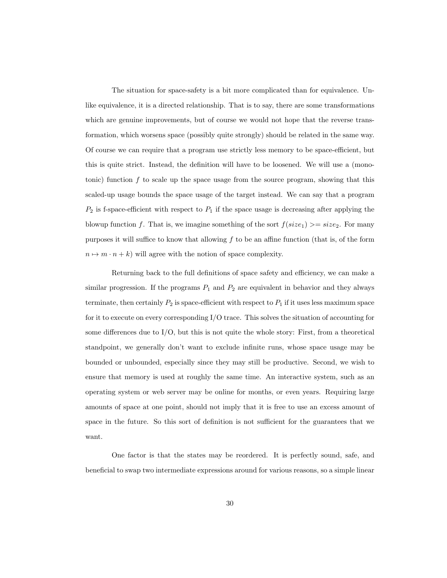The situation for space-safety is a bit more complicated than for equivalence. Unlike equivalence, it is a directed relationship. That is to say, there are some transformations which are genuine improvements, but of course we would not hope that the reverse transformation, which worsens space (possibly quite strongly) should be related in the same way. Of course we can require that a program use strictly less memory to be space-efficient, but this is quite strict. Instead, the definition will have to be loosened. We will use a (monotonic) function  $f$  to scale up the space usage from the source program, showing that this scaled-up usage bounds the space usage of the target instead. We can say that a program  $P_2$  is f-space-efficient with respect to  $P_1$  if the space usage is decreasing after applying the blowup function f. That is, we imagine something of the sort  $f(size_1) \geq size_2$ . For many purposes it will suffice to know that allowing  $f$  to be an affine function (that is, of the form  $n \mapsto m \cdot n + k$ ) will agree with the notion of space complexity.

Returning back to the full definitions of space safety and efficiency, we can make a similar progression. If the programs  $P_1$  and  $P_2$  are equivalent in behavior and they always terminate, then certainly  $P_2$  is space-efficient with respect to  $P_1$  if it uses less maximum space for it to execute on every corresponding I/O trace. This solves the situation of accounting for some differences due to  $I/O$ , but this is not quite the whole story: First, from a theoretical standpoint, we generally don't want to exclude infinite runs, whose space usage may be bounded or unbounded, especially since they may still be productive. Second, we wish to ensure that memory is used at roughly the same time. An interactive system, such as an operating system or web server may be online for months, or even years. Requiring large amounts of space at one point, should not imply that it is free to use an excess amount of space in the future. So this sort of definition is not sufficient for the guarantees that we want.

One factor is that the states may be reordered. It is perfectly sound, safe, and beneficial to swap two intermediate expressions around for various reasons, so a simple linear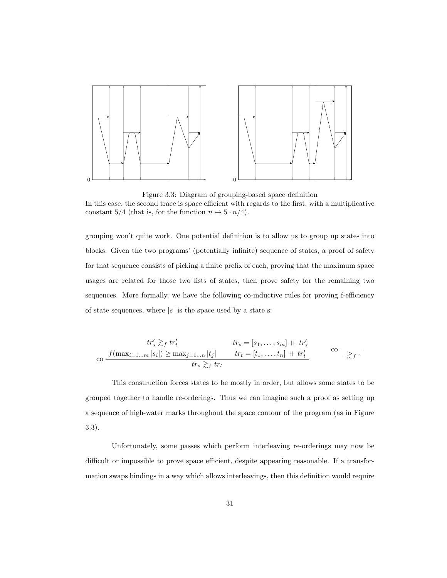

Figure 3.3: Diagram of grouping-based space definition In this case, the second trace is space efficient with regards to the first, with a multiplicative constant 5/4 (that is, for the function  $n \mapsto 5 \cdot n/4$ ).

grouping won't quite work. One potential definition is to allow us to group up states into blocks: Given the two programs' (potentially infinite) sequence of states, a proof of safety for that sequence consists of picking a finite prefix of each, proving that the maximum space usages are related for those two lists of states, then prove safety for the remaining two sequences. More formally, we have the following co-inductive rules for proving f-efficiency of state sequences, where  $|s|$  is the space used by a state s:

$$
tr'_s \gtrsim_f tr'_t \qquad tr_s = [s_1, \dots, s_m] + tr'_s
$$
  
co  $f(\max_{i=1...m} |s_i|) \ge \max_{j=1...n} |t_j|$   $tr_t = [t_1, \dots, t_n] + tr'_t$  co  $\overline{\cdot \gtrsim_f \cdot}$ 

This construction forces states to be mostly in order, but allows some states to be grouped together to handle re-orderings. Thus we can imagine such a proof as setting up a sequence of high-water marks throughout the space contour of the program (as in Figure 3.3).

Unfortunately, some passes which perform interleaving re-orderings may now be difficult or impossible to prove space efficient, despite appearing reasonable. If a transformation swaps bindings in a way which allows interleavings, then this definition would require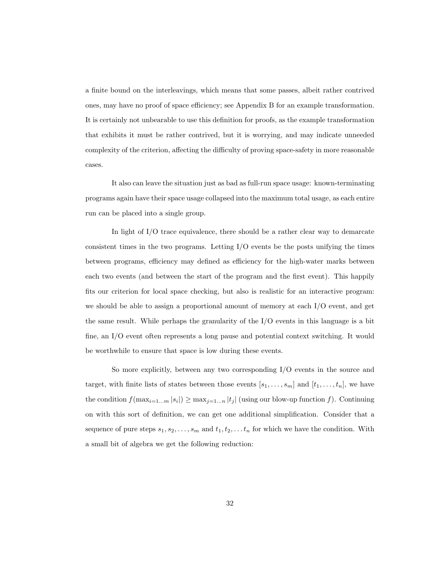a finite bound on the interleavings, which means that some passes, albeit rather contrived ones, may have no proof of space efficiency; see Appendix B for an example transformation. It is certainly not unbearable to use this definition for proofs, as the example transformation that exhibits it must be rather contrived, but it is worrying, and may indicate unneeded complexity of the criterion, affecting the difficulty of proving space-safety in more reasonable cases.

It also can leave the situation just as bad as full-run space usage: known-terminating programs again have their space usage collapsed into the maximum total usage, as each entire run can be placed into a single group.

In light of I/O trace equivalence, there should be a rather clear way to demarcate consistent times in the two programs. Letting  $I/O$  events be the posts unifying the times between programs, efficiency may defined as efficiency for the high-water marks between each two events (and between the start of the program and the first event). This happily fits our criterion for local space checking, but also is realistic for an interactive program: we should be able to assign a proportional amount of memory at each I/O event, and get the same result. While perhaps the granularity of the I/O events in this language is a bit fine, an I/O event often represents a long pause and potential context switching. It would be worthwhile to ensure that space is low during these events.

So more explicitly, between any two corresponding I/O events in the source and target, with finite lists of states between those events  $[s_1, \ldots, s_m]$  and  $[t_1, \ldots, t_n]$ , we have the condition  $f(\max_{i=1...m} |s_i|) \geq \max_{j=1...n} |t_j|$  (using our blow-up function f). Continuing on with this sort of definition, we can get one additional simplification. Consider that a sequence of pure steps  $s_1, s_2, \ldots, s_m$  and  $t_1, t_2, \ldots t_n$  for which we have the condition. With a small bit of algebra we get the following reduction: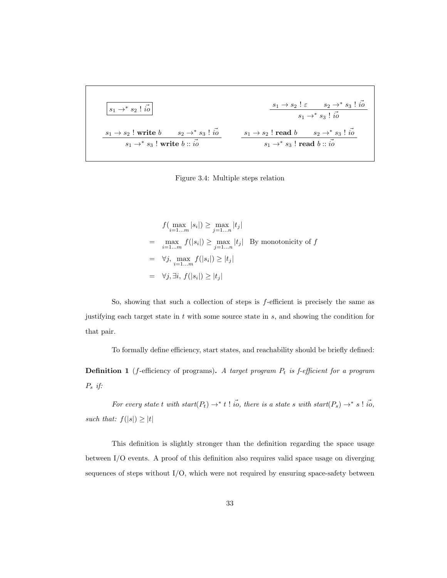| $s_1 \rightarrow^* s_2 \mid \vec{i_0}$           | $s_1 \rightarrow s_2 \mid \varepsilon$ | $s_2 \rightarrow^* s_3 \mid \vec{i_0}$ |
|--------------------------------------------------|----------------------------------------|----------------------------------------|
| $s_1 \rightarrow s_2$ ! write $b$                | $s_2 \rightarrow^* s_3 \mid \vec{i_0}$ | $s_1 \rightarrow^* s_3 \mid \vec{i_0}$ |
| $s_1 \rightarrow^* s_3$ ! write $b :: \vec{i_0}$ | $s_1 \rightarrow s_2$ ! read $b$       | $s_2 \rightarrow^* s_3 \mid \vec{i_0}$ |

Figure 3.4: Multiple steps relation

$$
f\left(\max_{i=1...m} |s_i|\right) \ge \max_{j=1...n} |t_j|
$$
  
= 
$$
\max_{i=1...m} f(|s_i|) \ge \max_{j=1...n} |t_j|
$$
 By monotonicity of  $f$   
= 
$$
\forall j, \max_{i=1...m} f(|s_i|) \ge |t_j|
$$
  
= 
$$
\forall j, \exists i, f(|s_i|) \ge |t_j|
$$

So, showing that such a collection of steps is  $f$ -efficient is precisely the same as justifying each target state in  $t$  with some source state in  $s$ , and showing the condition for that pair.

To formally define efficiency, start states, and reachability should be briefly defined:

**Definition 1** (*f*-efficiency of programs). A target program  $P_t$  is *f*-efficient for a program  $P_s$  if:

For every state t with start $(P_t) \to^* t$ ! io, there is a state s with start $(P_s) \to^* s$ ! io, such that:  $f(|s|) \geq |t|$ 

This definition is slightly stronger than the definition regarding the space usage between I/O events. A proof of this definition also requires valid space usage on diverging sequences of steps without  $I/O$ , which were not required by ensuring space-safety between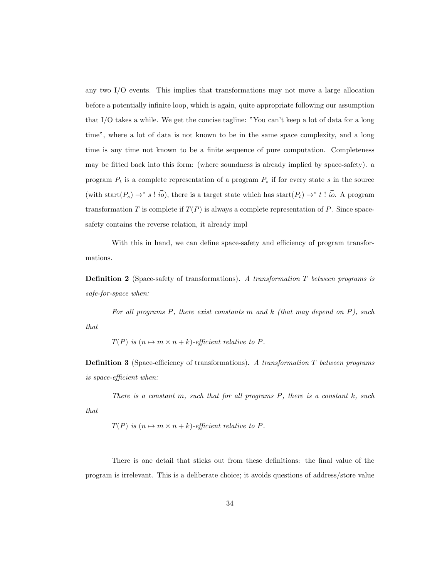any two I/O events. This implies that transformations may not move a large allocation before a potentially infinite loop, which is again, quite appropriate following our assumption that I/O takes a while. We get the concise tagline: "You can't keep a lot of data for a long time", where a lot of data is not known to be in the same space complexity, and a long time is any time not known to be a finite sequence of pure computation. Completeness may be fitted back into this form: (where soundness is already implied by space-safety). a program  $P_t$  is a complete representation of a program  $P_s$  if for every state s in the source (with start $(P_s) \to^* s' : i\overrightarrow{0}$ ), there is a target state which has start $(P_t) \to^* t' : i\overrightarrow{0}$ . A program transformation T is complete if  $T(P)$  is always a complete representation of P. Since spacesafety contains the reverse relation, it already impl

With this in hand, we can define space-safety and efficiency of program transformations.

**Definition 2** (Space-safety of transformations). A transformation  $T$  between programs is safe-for-space when:

For all programs  $P$ , there exist constants  $m$  and  $k$  (that may depend on  $P$ ), such that

 $T(P)$  is  $(n \mapsto m \times n + k)$ -efficient relative to P.

**Definition 3** (Space-efficiency of transformations). A transformation  $T$  between programs is space-efficient when:

There is a constant m, such that for all programs  $P$ , there is a constant  $k$ , such that

$$
T(P)
$$
 is  $(n \mapsto m \times n + k)$ -efficient relative to P.

There is one detail that sticks out from these definitions: the final value of the program is irrelevant. This is a deliberate choice; it avoids questions of address/store value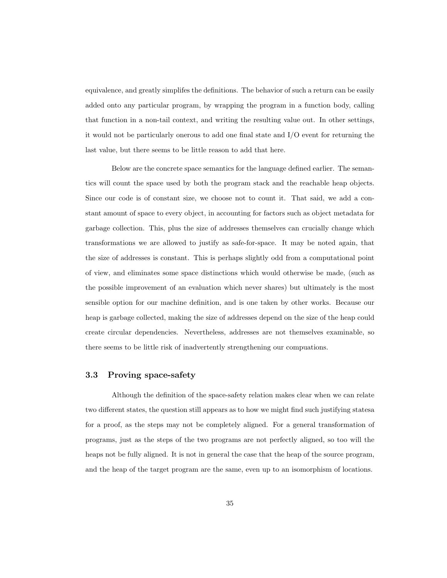equivalence, and greatly simplifes the definitions. The behavior of such a return can be easily added onto any particular program, by wrapping the program in a function body, calling that function in a non-tail context, and writing the resulting value out. In other settings, it would not be particularly onerous to add one final state and I/O event for returning the last value, but there seems to be little reason to add that here.

Below are the concrete space semantics for the language defined earlier. The semantics will count the space used by both the program stack and the reachable heap objects. Since our code is of constant size, we choose not to count it. That said, we add a constant amount of space to every object, in accounting for factors such as object metadata for garbage collection. This, plus the size of addresses themselves can crucially change which transformations we are allowed to justify as safe-for-space. It may be noted again, that the size of addresses is constant. This is perhaps slightly odd from a computational point of view, and eliminates some space distinctions which would otherwise be made, (such as the possible improvement of an evaluation which never shares) but ultimately is the most sensible option for our machine definition, and is one taken by other works. Because our heap is garbage collected, making the size of addresses depend on the size of the heap could create circular dependencies. Nevertheless, addresses are not themselves examinable, so there seems to be little risk of inadvertently strengthening our compuations.

## 3.3 Proving space-safety

Although the definition of the space-safety relation makes clear when we can relate two different states, the question still appears as to how we might find such justifying statesa for a proof, as the steps may not be completely aligned. For a general transformation of programs, just as the steps of the two programs are not perfectly aligned, so too will the heaps not be fully aligned. It is not in general the case that the heap of the source program, and the heap of the target program are the same, even up to an isomorphism of locations.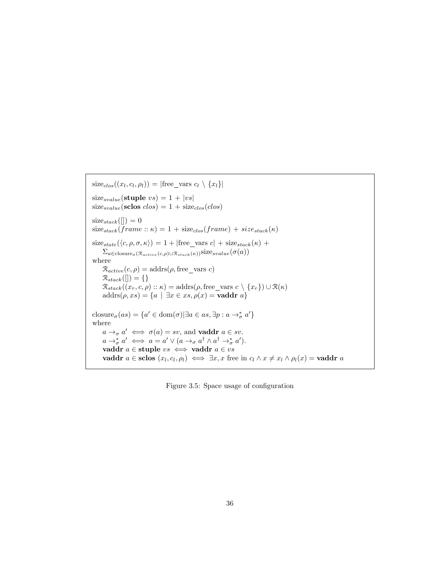$size_{clos}((x_l, c_l, \rho_l)) = |free\_vars \ c_l \setminus \{x_l\}|$  $size_{svalue}$ (stuple  $vs) = 1 + |vs|$  $size_{svalue}(\text{sclos } clos) = 1 + size_{clos}(clos)$  $size_{stack}([]) = 0$  $size_{stack}(\text{frame}:: \kappa) = 1 + size_{close}(\text{frame}) + size_{stack}(\kappa)$  $size_{state}(\langle c, \rho, \sigma, \kappa \rangle) = 1 + |free\_vars \ c| + size_{stack}(\kappa) +$  $\Sigma_{a \in \text{closure}_{\sigma}(\mathcal{R}_{active}(c, \rho) \cup \mathcal{R}_{stack}(\kappa))}$ size $_{svalue}(\sigma(a))$ where  $\mathcal{R}_{active}(c, \rho) = \text{address}(\rho, \text{free\_vars } c)$  $\mathcal{R}_{stack}([\rbrack]) = \{\}$  $\mathcal{R}_{stack}((x_r, c, \rho) :: \kappa) = \text{address}(\rho, \text{free\_vars } c \setminus \{x_r\}) \cup \mathcal{R}(\kappa)$  $\text{address}(\rho, xs) = \{a \mid \exists x \in xs, \rho(x) = \text{vaddr } a\}$ closure<sub> $\sigma $(as) = \{a' \in \text{dom}(\sigma) | \exists a \in as, \exists p : a \to_{\sigma}^* a'\}$ </sub>$ where  $a \rightarrow_{\sigma} a' \iff \sigma(a) = sv$ , and **vaddr**  $a \in sv$ .  $a \rightarrow_{\sigma}^* a' \iff a = a' \lor (a \rightarrow_{\sigma} a^{\dagger} \land a^{\dagger} \rightarrow_{\sigma}^* a').$ vaddr  $a \in$  stuple  $vs \iff$ vaddr  $a \in vs$ vaddr  $a \in \text{sclos}(x_l, c_l, \rho_l) \iff \exists x, x \text{ free in } c_l \land x \neq x_l \land \rho_l(x) = \text{vaddr } a$ 

Figure 3.5: Space usage of configuration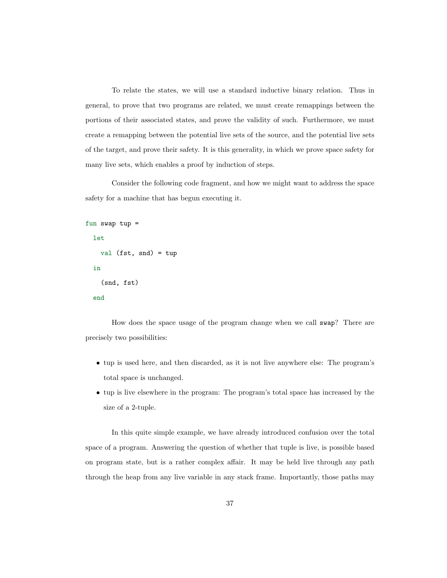To relate the states, we will use a standard inductive binary relation. Thus in general, to prove that two programs are related, we must create remappings between the portions of their associated states, and prove the validity of such. Furthermore, we must create a remapping between the potential live sets of the source, and the potential live sets of the target, and prove their safety. It is this generality, in which we prove space safety for many live sets, which enables a proof by induction of steps.

Consider the following code fragment, and how we might want to address the space safety for a machine that has begun executing it.

```
fun swap tup =
  let
    val (fst, snd) = tup
  in
    (snd, fst)
  end
```
How does the space usage of the program change when we call swap? There are precisely two possibilities:

- tup is used here, and then discarded, as it is not live anywhere else: The program's total space is unchanged.
- tup is live elsewhere in the program: The program's total space has increased by the size of a 2-tuple.

In this quite simple example, we have already introduced confusion over the total space of a program. Answering the question of whether that tuple is live, is possible based on program state, but is a rather complex affair. It may be held live through any path through the heap from any live variable in any stack frame. Importantly, those paths may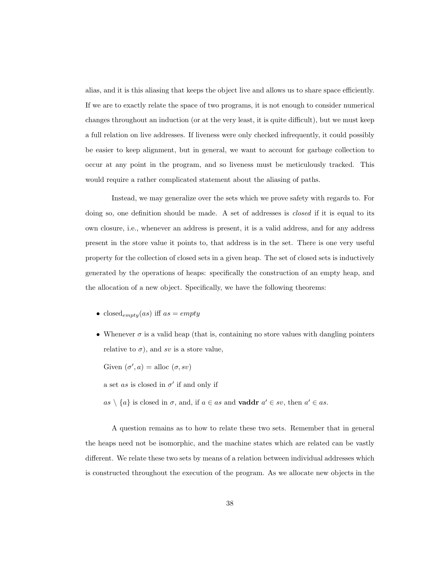alias, and it is this aliasing that keeps the object live and allows us to share space efficiently. If we are to exactly relate the space of two programs, it is not enough to consider numerical changes throughout an induction (or at the very least, it is quite difficult), but we must keep a full relation on live addresses. If liveness were only checked infrequently, it could possibly be easier to keep alignment, but in general, we want to account for garbage collection to occur at any point in the program, and so liveness must be meticulously tracked. This would require a rather complicated statement about the aliasing of paths.

Instead, we may generalize over the sets which we prove safety with regards to. For doing so, one definition should be made. A set of addresses is *closed* if it is equal to its own closure, i.e., whenever an address is present, it is a valid address, and for any address present in the store value it points to, that address is in the set. There is one very useful property for the collection of closed sets in a given heap. The set of closed sets is inductively generated by the operations of heaps: specifically the construction of an empty heap, and the allocation of a new object. Specifically, we have the following theorems:

- closed<sub>empty</sub> $(as)$  iff  $as = empty$
- Whenever  $\sigma$  is a valid heap (that is, containing no store values with dangling pointers relative to  $\sigma$ ), and sv is a store value,

Given  $(\sigma', a) = \text{alloc} (\sigma, sv)$ 

a set as is closed in  $\sigma'$  if and only if

 $as \setminus \{a\}$  is closed in  $\sigma$ , and, if  $a \in as$  and **vaddr**  $a' \in sv$ , then  $a' \in as$ .

A question remains as to how to relate these two sets. Remember that in general the heaps need not be isomorphic, and the machine states which are related can be vastly different. We relate these two sets by means of a relation between individual addresses which is constructed throughout the execution of the program. As we allocate new objects in the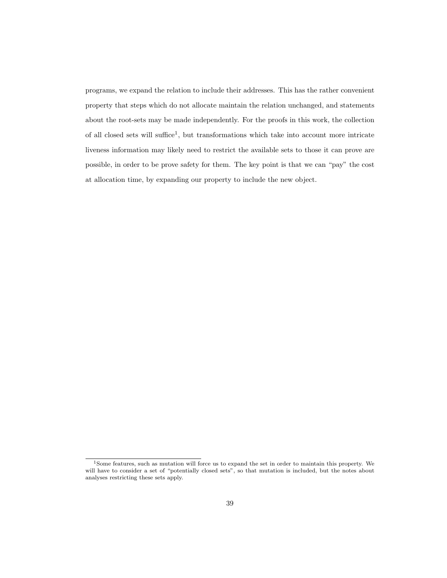programs, we expand the relation to include their addresses. This has the rather convenient property that steps which do not allocate maintain the relation unchanged, and statements about the root-sets may be made independently. For the proofs in this work, the collection of all closed sets will suffice<sup>[1](#page-46-0)</sup>, but transformations which take into account more intricate liveness information may likely need to restrict the available sets to those it can prove are possible, in order to be prove safety for them. The key point is that we can "pay" the cost at allocation time, by expanding our property to include the new object.

<span id="page-46-0"></span><sup>1</sup>Some features, such as mutation will force us to expand the set in order to maintain this property. We will have to consider a set of "potentially closed sets", so that mutation is included, but the notes about analyses restricting these sets apply.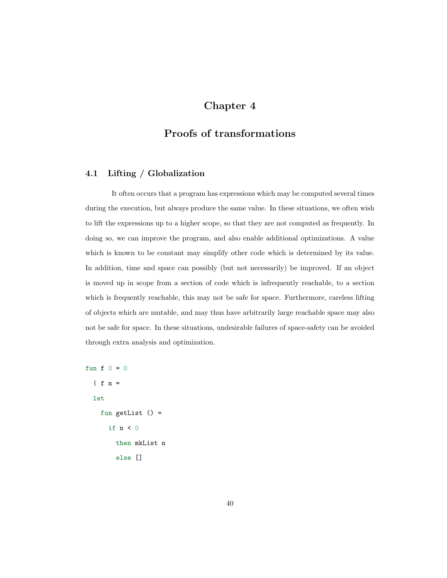# Chapter 4

## Proofs of transformations

## 4.1 Lifting / Globalization

It often occurs that a program has expressions which may be computed several times during the execution, but always produce the same value. In these situations, we often wish to lift the expressions up to a higher scope, so that they are not computed as frequently. In doing so, we can improve the program, and also enable additional optimizations. A value which is known to be constant may simplify other code which is determined by its value. In addition, time and space can possibly (but not necessarily) be improved. If an object is moved up in scope from a section of code which is infrequently reachable, to a section which is frequently reachable, this may not be safe for space. Furthermore, careless lifting of objects which are mutable, and may thus have arbitrarily large reachable space may also not be safe for space. In these situations, undesirable failures of space-safety can be avoided through extra analysis and optimization.

```
fun f 0 = 0| f n =let
   fun getList () =if n < 0then mkList n
        else []
```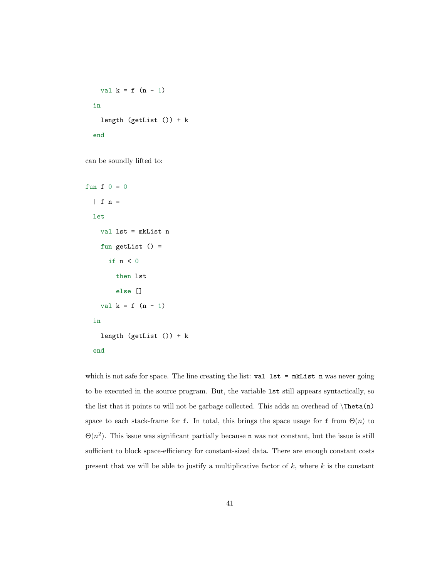```
val k = f(n - 1)in
  length (getList ()) + k
end
```
can be soundly lifted to:

```
fun f 0 = 0| f n =let
   val lst = mkList n
   fun getList () =
     if n < 0then lst
        else []
   val k = f(n - 1)in
   length (getList ()) + k
  end
```
which is not safe for space. The line creating the list: val  $1st = mkList$  n was never going to be executed in the source program. But, the variable lst still appears syntactically, so the list that it points to will not be garbage collected. This adds an overhead of  $\Theta$ space to each stack-frame for f. In total, this brings the space usage for f from  $\Theta(n)$  to  $\Theta(n^2)$ . This issue was significant partially because n was not constant, but the issue is still sufficient to block space-efficiency for constant-sized data. There are enough constant costs present that we will be able to justify a multiplicative factor of  $k$ , where  $k$  is the constant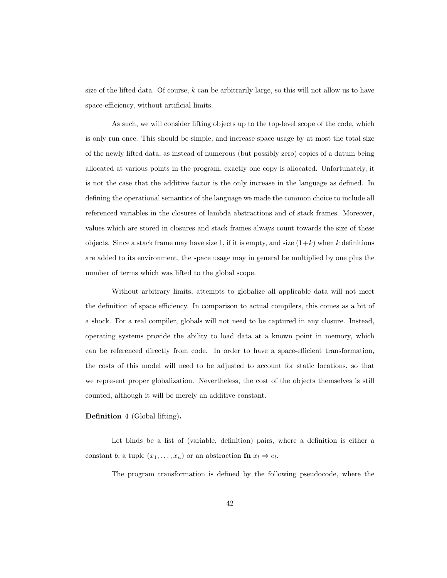size of the lifted data. Of course,  $k$  can be arbitrarily large, so this will not allow us to have space-efficiency, without artificial limits.

As such, we will consider lifting objects up to the top-level scope of the code, which is only run once. This should be simple, and increase space usage by at most the total size of the newly lifted data, as instead of numerous (but possibly zero) copies of a datum being allocated at various points in the program, exactly one copy is allocated. Unfortunately, it is not the case that the additive factor is the only increase in the language as defined. In defining the operational semantics of the language we made the common choice to include all referenced variables in the closures of lambda abstractions and of stack frames. Moreover, values which are stored in closures and stack frames always count towards the size of these objects. Since a stack frame may have size 1, if it is empty, and size  $(1+k)$  when k definitions are added to its environment, the space usage may in general be multiplied by one plus the number of terms which was lifted to the global scope.

Without arbitrary limits, attempts to globalize all applicable data will not meet the definition of space efficiency. In comparison to actual compilers, this comes as a bit of a shock. For a real compiler, globals will not need to be captured in any closure. Instead, operating systems provide the ability to load data at a known point in memory, which can be referenced directly from code. In order to have a space-efficient transformation, the costs of this model will need to be adjusted to account for static locations, so that we represent proper globalization. Nevertheless, the cost of the objects themselves is still counted, although it will be merely an additive constant.

#### Definition 4 (Global lifting).

Let binds be a list of (variable, definition) pairs, where a definition is either a constant b, a tuple  $(x_1, \ldots, x_n)$  or an abstraction fn  $x_l \Rightarrow e_l$ .

The program transformation is defined by the following pseudocode, where the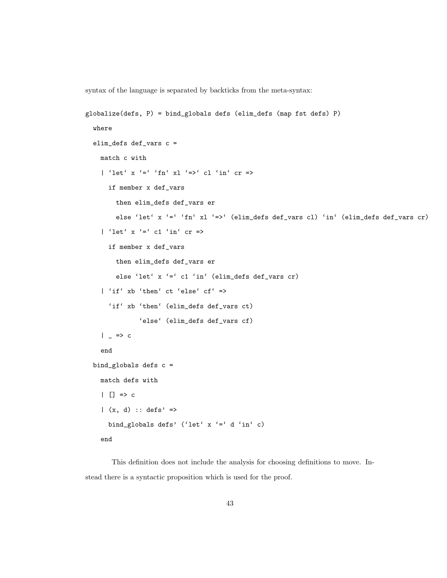syntax of the language is separated by backticks from the meta-syntax:

```
globalize(defs, P) = bind_globals defs (elim_defs (map fst defs) P)
 where
 elim_defs def_vars c =
   match c with
    | 'let' x '=' 'fn' xl '=>' cl 'in' cr =>
      if member x def_vars
       then elim_defs def_vars er
        else 'let' x '=' 'fn' xl '=>' (elim_defs def_vars cl) 'in' (elim_defs def_vars cr)
    | 'let' x '=' c1 'in' cr =>
      if member x def_vars
       then elim_defs def_vars er
        else 'let' x '=' c1 'in' (elim_defs def_vars cr)
    | 'if' xb 'then' ct 'else' cf' =>
      'if' xb 'then' (elim_defs def_vars ct)
              'else' (elim_defs def_vars cf)
    | = > c
    end
 bind_globals defs c =
   match defs with
    \vert \vert => c
    |(x, d) :: defs' =>
      bind_globals defs' ('let' x '=' d 'in' c)
   end
```
This definition does not include the analysis for choosing definitions to move. Instead there is a syntactic proposition which is used for the proof.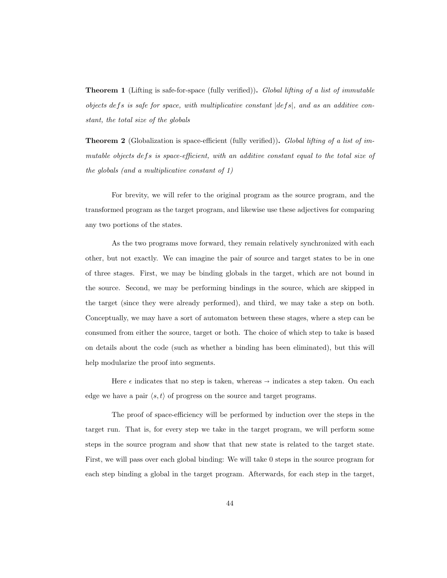**Theorem 1** (Lifting is safe-for-space (fully verified)). Global lifting of a list of immutable objects defs is safe for space, with multiplicative constant  $|defs|$ , and as an additive constant, the total size of the globals

**Theorem 2** (Globalization is space-efficient (fully verified)). Global lifting of a list of immutable objects defs is space-efficient, with an additive constant equal to the total size of the globals (and a multiplicative constant of 1)

For brevity, we will refer to the original program as the source program, and the transformed program as the target program, and likewise use these adjectives for comparing any two portions of the states.

As the two programs move forward, they remain relatively synchronized with each other, but not exactly. We can imagine the pair of source and target states to be in one of three stages. First, we may be binding globals in the target, which are not bound in the source. Second, we may be performing bindings in the source, which are skipped in the target (since they were already performed), and third, we may take a step on both. Conceptually, we may have a sort of automaton between these stages, where a step can be consumed from either the source, target or both. The choice of which step to take is based on details about the code (such as whether a binding has been eliminated), but this will help modularize the proof into segments.

Here  $\epsilon$  indicates that no step is taken, whereas  $\rightarrow$  indicates a step taken. On each edge we have a pair  $\langle s, t \rangle$  of progress on the source and target programs.

The proof of space-efficiency will be performed by induction over the steps in the target run. That is, for every step we take in the target program, we will perform some steps in the source program and show that that new state is related to the target state. First, we will pass over each global binding: We will take 0 steps in the source program for each step binding a global in the target program. Afterwards, for each step in the target,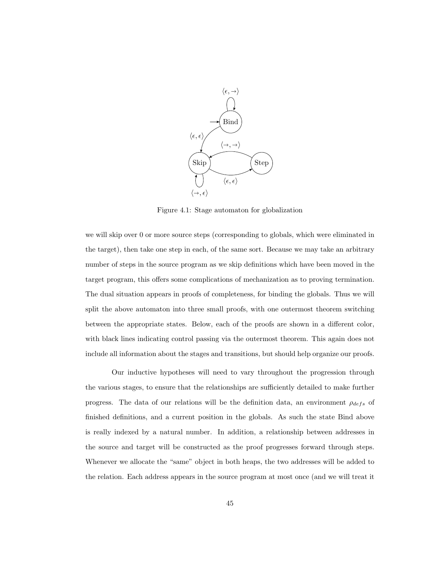

Figure 4.1: Stage automaton for globalization

we will skip over 0 or more source steps (corresponding to globals, which were eliminated in the target), then take one step in each, of the same sort. Because we may take an arbitrary number of steps in the source program as we skip definitions which have been moved in the target program, this offers some complications of mechanization as to proving termination. The dual situation appears in proofs of completeness, for binding the globals. Thus we will split the above automaton into three small proofs, with one outermost theorem switching between the appropriate states. Below, each of the proofs are shown in a different color, with black lines indicating control passing via the outermost theorem. This again does not include all information about the stages and transitions, but should help organize our proofs.

Our inductive hypotheses will need to vary throughout the progression through the various stages, to ensure that the relationships are sufficiently detailed to make further progress. The data of our relations will be the definition data, an environment  $\rho_{defs}$  of finished definitions, and a current position in the globals. As such the state Bind above is really indexed by a natural number. In addition, a relationship between addresses in the source and target will be constructed as the proof progresses forward through steps. Whenever we allocate the "same" object in both heaps, the two addresses will be added to the relation. Each address appears in the source program at most once (and we will treat it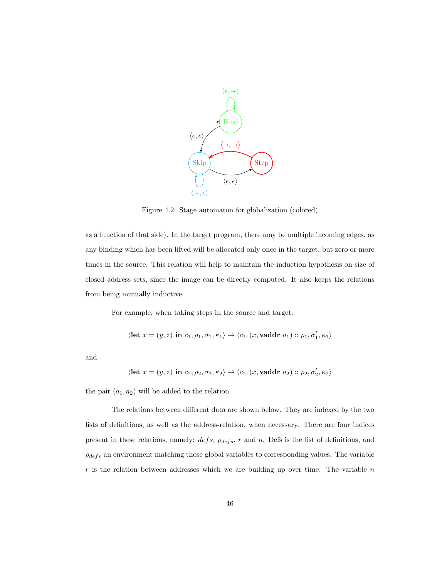

Figure 4.2: Stage automaton for globalization (colored)

as a function of that side). In the target program, there may be multiple incoming edges, as any binding which has been lifted will be allocated only once in the target, but zero or more times in the source. This relation will help to maintain the induction hypothesis on size of closed address sets, since the image can be directly computed. It also keeps the relations from being mutually inductive.

For example, when taking steps in the source and target:

$$
\langle \textbf{let } x=(y,z) \textbf{ in } c_1,\rho_1,\sigma_1,\kappa_1\rangle \rightarrow \langle c_1,(x,\textbf{vaddr }a_1)::\rho_1,\sigma'_1,\kappa_1\rangle
$$

and

$$
\langle \textbf{let } x=(y,z) \textbf{ in } c_2, \rho_2, \sigma_2, \kappa_2 \rangle \rightarrow \langle c_2, (x,\textbf{vaddr } a_2) :: \rho_2, \sigma'_2, \kappa_2 \rangle
$$

the pair  $(a_1, a_2)$  will be added to the relation.

The relations between different data are shown below. They are indexed by the two lists of definitions, as well as the address-relation, when necessary. There are four indices present in these relations, namely:  $defs$ ,  $\rho_{defs}$ , r and n. Defs is the list of definitions, and  $\rho_{defs}$  an environment matching those global variables to corresponding values. The variable  $r$  is the relation between addresses which we are building up over time. The variable  $n$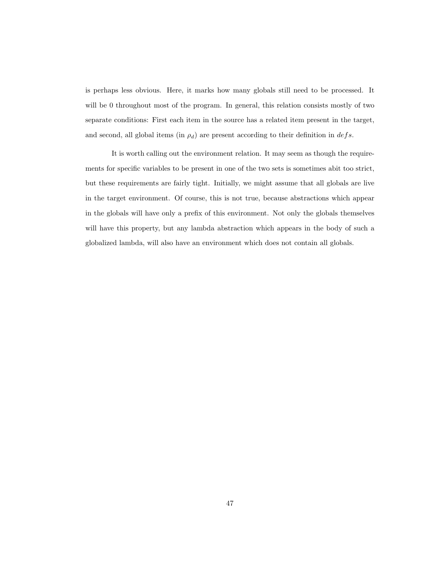is perhaps less obvious. Here, it marks how many globals still need to be processed. It will be 0 throughout most of the program. In general, this relation consists mostly of two separate conditions: First each item in the source has a related item present in the target, and second, all global items (in  $\rho_d$ ) are present according to their definition in  $defs$ .

It is worth calling out the environment relation. It may seem as though the requirements for specific variables to be present in one of the two sets is sometimes abit too strict, but these requirements are fairly tight. Initially, we might assume that all globals are live in the target environment. Of course, this is not true, because abstractions which appear in the globals will have only a prefix of this environment. Not only the globals themselves will have this property, but any lambda abstraction which appears in the body of such a globalized lambda, will also have an environment which does not contain all globals.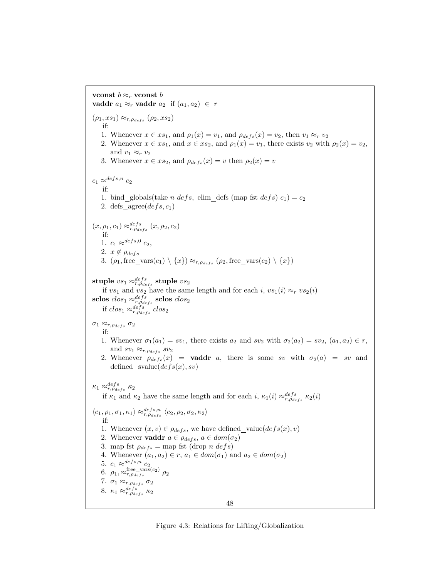vconst  $b \approx_r v$ const b vaddr  $a_1 \approx_r$  vaddr  $a_2$  if  $(a_1, a_2) \in r$  $(\rho_1, xs_1) \approx_{r, \rho_{defs}} (\rho_2, xs_2)$ if: 1. Whenever  $x \in xs_1$ , and  $\rho_1(x) = v_1$ , and  $\rho_{defs}(x) = v_2$ , then  $v_1 \approx_r v_2$ 2. Whenever  $x \in xs_1$ , and  $x \in xs_2$ , and  $\rho_1(x) = v_1$ , there exists  $v_2$  with  $\rho_2(x) = v_2$ , and  $v_1 \approx_r v_2$ 3. Whenever  $x \in xs_2$ , and  $\rho_{defs}(x) = v$  then  $\rho_2(x) = v$  $c_1 \approx^{def s, n} c_2$ if: 1. bind globals(take *n defs*, elim defs (map fst *defs*)  $c_1$ ) =  $c_2$ 2. defs agree( $\text{defs}, c_1$ )  $(x, \rho_1, c_1) \approx_{r, \rho_{defs}}^{defs} (x, \rho_2, c_2)$ if: 1.  $c_1 \approx^{def s, 0} c_2$ , 2.  $x \notin \rho_{defs}$ 3.  $(\rho_1, \text{free\_vars}(c_1) \setminus \{x\}) \approx_{r, \rho_{defs}} (\rho_2, \text{free\_vars}(c_2) \setminus \{x\})$  $\textbf{suple} \textit{ v}\textit{s}_1 \approx_{r,\rho_{defs}}^{defs} \textbf{suple} \textit{ v}\textit{s}_2$ if  $vs_1$  and  $vs_2$  have the same length and for each i,  $vs_1(i) \approx_r vs_2(i)$  ${\rm sclos} \; clos\: \approx_{r,\rho_{defs}}^{defs} {\rm sclos} \; clos\:$ if  $clos_1 \approx_{r,\rho_{defs}}^{defs} clos_2$ σ<sup>1</sup> ≈r,ρdefs σ<sup>2</sup> if: 1. Whenever  $\sigma_1(a_1) = sv_1$ , there exists  $a_2$  and  $sv_2$  with  $\sigma_2(a_2) = sv_2$ ,  $(a_1, a_2) \in r$ , and  $sv_1 \approx_{r,\rho_{defs}} sv_2$ 2. Whenever  $\rho_{defs}(x) = \text{vaddr } a$ , there is some sv with  $\sigma_2(a) = sv$  and defined\_svalue $\left( defs(x), sv\right)$  $\kappa_1 \approx_{r,\rho_{defs}}^{defs} \kappa_2$ if  $\kappa_1$  and  $\kappa_2$  have the same length and for each i,  $\kappa_1(i) \approx_{r,\rho_{defs}}^{defs} \kappa_2(i)$  $\langle c_1, \rho_1, \sigma_1, \kappa_1 \rangle \approx_{r, \rho_{defs}}^{defs,n} \langle c_2, \rho_2, \sigma_2, \kappa_2 \rangle$ if: 1. Whenever  $(x, v) \in \rho_{defs}$ , we have defined value( $defs(x), v$ ) 2. Whenever **vaddr**  $a \in \rho_{defs}, a \in dom(\sigma_2)$ 3. map fst  $\rho_{defs} =$  map fst (drop *n defs*) 4. Whenever  $(a_1, a_2) \in r$ ,  $a_1 \in dom(\sigma_1)$  and  $a_2 \in dom(\sigma_2)$ 5.  $c_1 \approx^{def s, n} c_2$ 6.  $\rho_1, \approx_{r,\rho_{defs}}^{\text{free-}\text{vars}(c_2)} \rho_2$ 7.  $\sigma_1 \approx_{r,\rho_{defs}} \sigma_2$ 8.  $\kappa_1 \approx_{r,\rho_{defs}}^{defs} \kappa_2$ 48

Figure 4.3: Relations for Lifting/Globalization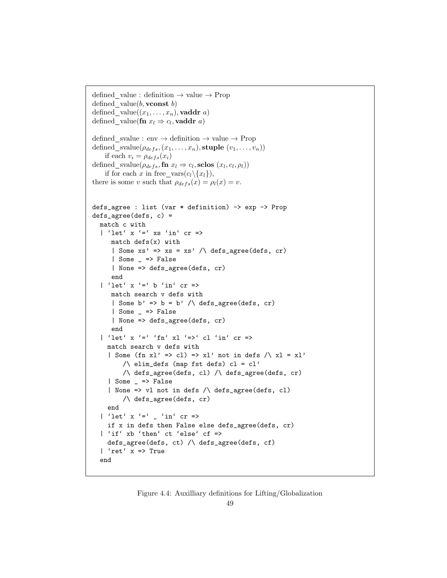```
defined value : definition \rightarrow value \rightarrow Prop
defined value(b, vconst b)defined value((x_1, \ldots, x_n), \mathbf{vaddr}\ a)defined_value(fn x_l \Rightarrow c_l, vaddr a)
defined svalue : env \rightarrow definition \rightarrow value \rightarrow Prop
defined svalue(\rho_{defs}(x_1, \ldots, x_n), stuple (v_1, \ldots, v_n))
    if each v_i = \rho_{defs}(x_i)defined_svalue(\rho_{defs}, fn x_l \Rightarrow c_l, sclos (x_l, c_l, \rho_l))
    if for each x in free_vars(c_l \setminus \{x_l\}),there is some v such that \rho_{defs}(x) = \rho_l(x) = v.
defs_agree : list (var * definition) -> exp -> Prop
defs_agree(defs, c) =
  match c with
  | 'let' x '=' xs 'in' cr =>
      match defs(x) with
      | Some xs' \Rightarrow xs = xs' / \ \ \text{defs\_agree}(defines, cr)| Some _ => False
      | None => defs_agree(defs, cr)
      end
  | 'let' x '=' b 'in' cr =>
      match search v defs with
      | Some b' => b = b' /\ defs_agree(defs, cr)
      | Some _ => False
      | None => defs_agree(defs, cr)
      end
  | 'let' x '=' 'fn' xl '=>' cl 'in' cr =>
     match search v defs with
     | Some (fn xl' => cl) => xl' not in defs /\sqrt{x}l = xl'
          \sqrt{\det} elim_defs (map fst defs) cl = cl'
          /\ defs_agree(defs, cl) /\ defs_agree(defs, cr)
     | Some _ => False
     | None => vl not in defs /\ defs_agree(defs, cl)
          /\ defs_agree(defs, cr)
     end
  | 'let' x '=' _ 'in' cr =>
     if x in defs then False else defs_agree(defs, cr)
  | 'if' xb 'then' ct 'else' cf =>
     defs_agree(defs, ct) /\ defs_agree(defs, cf)
  | 'ret' x => True
  end
```
### Figure 4.4: Auxilliary definitions for Lifting/Globalization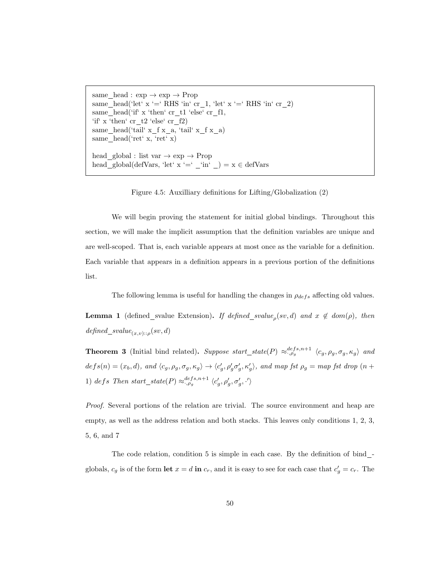same\_head :  $\exp \rightarrow \exp \rightarrow$  Prop same\_head('let' x '=' RHS 'in' cr\_1, 'let' x '=' RHS 'in' cr\_2) same\_head('if'  $x$  'then'  $cr_t1$  'else'  $cr_f1$ , 'if' x 'then'  $cr_t2$  'else'  $cr_f2)$ same\_head('tail'  $x_f x_a$ , 'tail'  $x_f x_a$ ) same\_head('ret' x, 'ret' x) <code>head\_global</code> : list var  $\rightarrow$  <code>exp  $\rightarrow$  <code>Prop</code></code> head\_global(defVars, 'let' x '=' \_'in' \_) =  $x \in$  defVars

Figure 4.5: Auxilliary definitions for Lifting/Globalization (2)

We will begin proving the statement for initial global bindings. Throughout this section, we will make the implicit assumption that the definition variables are unique and are well-scoped. That is, each variable appears at most once as the variable for a definition. Each variable that appears in a definition appears in a previous portion of the definitions list.

The following lemma is useful for handling the changes in  $\rho_{defs}$  affecting old values.

**Lemma 1** (defined\_svalue Extension). If defined\_svalue<sub>p</sub>(sv,d) and  $x \notin dom(\rho)$ , then  $defined\_svalue_{(x,v)::\rho}(sv, d)$ 

**Theorem 3** (Initial bind related). Suppose start\_state(P)  $\approx_{\cdot,\rho_g}^{defs,n+1} \langle c_g, \rho_g, \sigma_g, \kappa_g \rangle$  and  $defs(n) = (x_b, d)$ , and  $\langle c_g, \rho_g, \sigma_g, \kappa_g \rangle \rightarrow \langle c'_g, \rho'_g \sigma'_g, \kappa'_g \rangle$ , and map fst  $\rho_g = map$  fst drop  $(n +$ 1) defs Then start\_state(P)  $\approx_{\cdot,\rho_g}^{defs,n+1} \langle c'_g, \rho'_g, \sigma'_g, \cdot' \rangle$ 

Proof. Several portions of the relation are trivial. The source environment and heap are empty, as well as the address relation and both stacks. This leaves only conditions 1, 2, 3, 5, 6, and 7

The code relation, condition 5 is simple in each case. By the definition of bind  $\overline{\phantom{a}}$ globals,  $c_g$  is of the form let  $x = d$  in  $c_r$ , and it is easy to see for each case that  $c'_g = c_r$ . The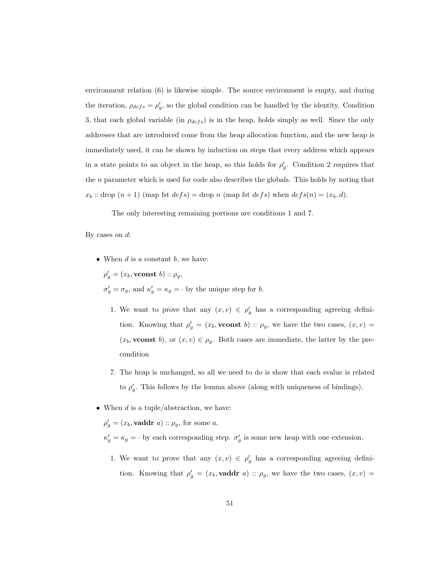environment relation (6) is likewise simple. The source environment is empty, and during the iteration,  $\rho_{defs} = \rho'_g$ , so the global condition can be handled by the identity. Condition 3, that each global variable (in  $\rho_{defs}$ ) is in the heap, holds simply as well. Since the only addresses that are introduced come from the heap allocation function, and the new heap is immediately used, it can be shown by induction on steps that every address which appears in a state points to an object in the heap, so this holds for  $\rho'_{g}$ . Condition 2 requires that the n parameter which is used for code also describes the globals. This holds by noting that  $x_b$ : drop  $(n + 1)$  (map fst  $defs$ ) = drop n (map fst  $defs$ ) when  $defs(n) = (x_b, d)$ .

The only interesting remaining portions are conditions 1 and 7.

By cases on  $d$ :

• When  $d$  is a constant  $b$ , we have:

 $\rho'_{g} = (x_{b}, \textbf{vconst } b) :: \rho_{g},$  $\sigma'_g = \sigma_g$ , and  $\kappa'_g = \kappa_g = \cdot$  by the unique step for b.

- 1. We want to prove that any  $(x, v) \in \rho'_g$  has a corresponding agreeing definition. Knowing that  $\rho'_{g} = (x_b, \text{vconst } b) :: \rho_g$ , we have the two cases,  $(x, v) =$  $(x_b,$ **vconst** b), or  $(x, v) \in \rho_g$ . Both cases are immediate, the latter by the precondition
- 7. The heap is unchanged, so all we need to do is show that each svalue is related to  $\rho'_{g}$ . This follows by the lemma above (along with uniqueness of bindings).
- When  $d$  is a tuple/abstraction, we have:

 $\rho'_{g} = (x_{b}, \textbf{vaddr}\ a) :: \rho_{g}, \text{ for some } a,$ 

- $\kappa'_{g} = \kappa_{g} = \cdot$  by each corresponding step.  $\sigma'_{g}$  is some new heap with one extension.
	- 1. We want to prove that any  $(x, v) \in \rho'_g$  has a corresponding agreeing definition. Knowing that  $\rho'_{g} = (x_b, \text{vaddr } a) :: \rho_g$ , we have the two cases,  $(x, v) =$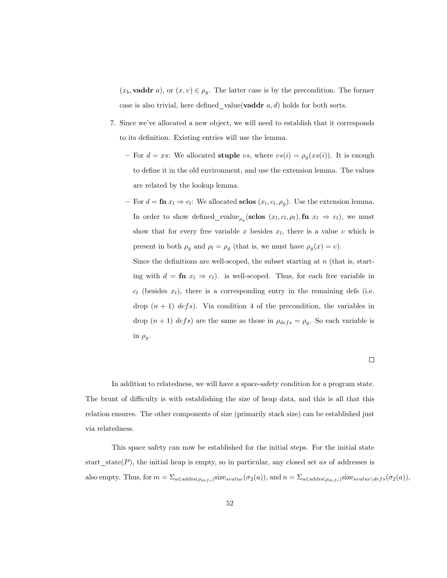$(x_b, \text{vaddr } a)$ , or  $(x, v) \in \rho_g$ . The latter case is by the precondition. The former case is also trivial, here defined value(**vaddr**  $a, d$ ) holds for both sorts.

- 7. Since we've allocated a new object, we will need to establish that it corresponds to its definition. Existing entries will use the lemma.
	- For  $d = xs$ : We allocated stuple vs, where  $vs(i) = \rho_g(xs(i))$ . It is enough to define it in the old environment, and use the extension lemma. The values are related by the lookup lemma.
	- − For  $d = \mathbf{fn} x_l \Rightarrow c_l$ : We allocated sclos  $(x_l, c_l, \rho_g)$ . Use the extension lemma. In order to show defined svalue<sub> $\rho_g$ </sub> (sclos  $(x_l, c_l, \rho_l)$ , fn  $x_l \Rightarrow c_l$ ), we must show that for every free variable x besides  $x_l$ , there is a value v which is present in both  $\rho_g$  and  $\rho_l = \rho_g$  (that is, we must have  $\rho_g(x) = v$ ).

Since the definitions are well-scoped, the subset starting at  $n$  (that is, starting with  $d = \mathbf{f} \mathbf{n} \ x_l \Rightarrow c_l$ ). is well-scoped. Thus, for each free variable in  $c_l$  (besides  $x_l$ ), there is a corresponding entry in the remaining defs (i.e. drop  $(n + 1)$  defs). Via condition 4 of the precondition, the variables in drop  $(n + 1)$  defs) are the same as those in  $\rho_{defs} = \rho_g$ . So each variable is in  $\rho_g$ .

 $\Box$ 

In addition to relatedness, we will have a space-safety condition for a program state. The brunt of difficulty is with establishing the size of heap data, and this is all that this relation ensures. The other components of size (primarily stack size) can be established just via relatedness.

This space safety can now be established for the initial steps. For the initial state start  $state(P)$ , the initial heap is empty, so in particular, any closed set as of addresses is also empty. Thus, for  $m = \sum_{a \in \text{address}(\rho_{defs})} \text{size}_{svalue}(\sigma_2(a))$ , and  $n = \sum_{a \in \text{address}(\rho_{defs})} \text{size}_{svalue \setminus defs}(\sigma_2(a))$ ,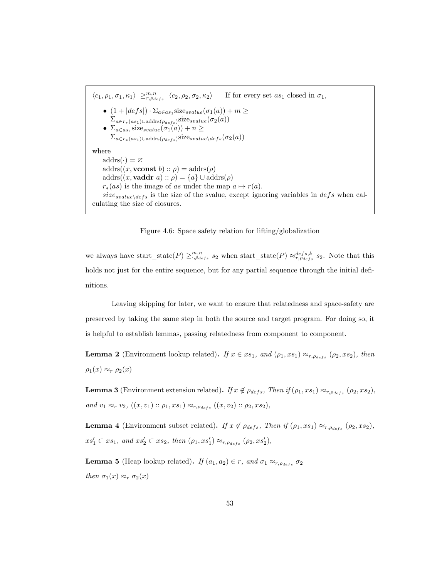$\langle c_1, \rho_1, \sigma_1, \kappa_1 \rangle \geq_{r,\rho_{defs}}^{m,n}$ If for every set  $as_1$  closed in  $\sigma_1$ , •  $(1+|defs|)\cdot \Sigma_{a\in as_1}$ size<sub>svalue</sub> $(\sigma_1(a))+m\geq$  $\Sigma_{a\in r_*(as_1)\cup {\rm address}(\rho_{defs})}{\rm size}_{svalue}(\sigma_2(a))$ •  $\Sigma_{a \in as_1}$ size<sub>svalue</sub> $(\sigma_1(a)) + n \geq$  $\Sigma_{a \in r_*(as_1) \cup address(\rho_{defs})} \mathrm{size}_{svalue \setminus defs}(\sigma_2(a))$ where  ${\rm address}(\cdot) = \varnothing$ addrs $((x, v\text{const } b) :: \rho) = \text{address}(\rho)$ addrs $((x, \text{vaddr } a) :: \rho) = \{a\} \cup \text{address}(\rho)$  $r_*(as)$  is the image of as under the map  $a \mapsto r(a)$ .  $size_{svalue\setminus defs}$  is the size of the svalue, except ignoring variables in  $defs$  when calculating the size of closures.

Figure 4.6: Space safety relation for lifting/globalization

we always have start\_state $(P) \geq_{\cdot,\rho_{defs}}^{m,n} s_2$  when start\_state $(P) \approx_{r,\rho_{defs}}^{defs,k} s_2$ . Note that this holds not just for the entire sequence, but for any partial sequence through the initial definitions.

Leaving skipping for later, we want to ensure that relatedness and space-safety are preserved by taking the same step in both the source and target program. For doing so, it is helpful to establish lemmas, passing relatedness from component to component.

**Lemma 2** (Environment lookup related). If  $x \in xs_1$ , and  $(\rho_1, xs_1) \approx_{r, \rho_{defs}} (\rho_2, xs_2)$ , then  $\rho_1(x) \approx_r \rho_2(x)$ 

**Lemma 3** (Environment extension related). If  $x \notin \rho_{defs}$ , Then if  $(\rho_1, xs_1) \approx_{r, \rho_{defs}} (\rho_2, xs_2)$ , and  $v_1 \approx_r v_2$ ,  $((x, v_1) :: \rho_1, xs_1) \approx_{r, \rho_{defs}} ((x, v_2) :: \rho_2, xs_2)$ ,

**Lemma 4** (Environment subset related). If  $x \notin \rho_{defs}$ , Then if  $(\rho_1, xs_1) \approx_{r, \rho_{defs}} (\rho_2, xs_2)$ ,  $xs'_1 \subset xs_1$ , and  $xs'_2 \subset xs_2$ , then  $(\rho_1, xs'_1) \approx_{r, \rho_{defs}} (\rho_2, xs'_2)$ ,

**Lemma 5** (Heap lookup related). If  $(a_1, a_2) \in r$ , and  $\sigma_1 \approx_{r, \rho_{defs}} \sigma_2$ then  $\sigma_1(x) \approx_r \sigma_2(x)$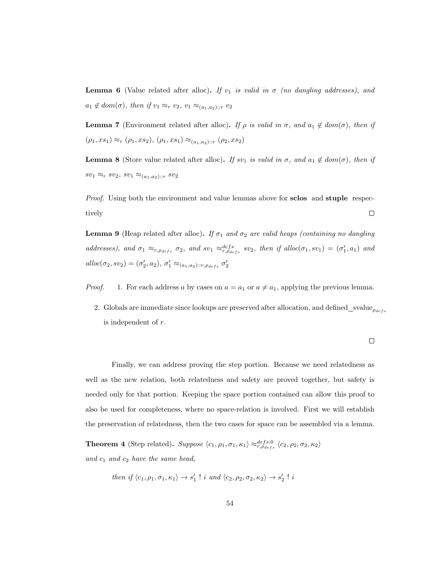**Lemma 6** (Value related after alloc). If  $v_1$  is valid in  $\sigma$  (no dangling addresses), and  $a_1 \notin dom(\sigma)$ , then if  $v_1 \approx_r v_2$ ,  $v_1 \approx_{(a_1,a_2)::r} v_2$ 

**Lemma 7** (Environment related after alloc). If  $\rho$  is valid in  $\sigma$ , and  $a_1 \notin dom(\sigma)$ , then if  $(\rho_1,x s_1) \approx_r (\rho_1,x s_2), \, (\rho_1,x s_1) \approx_{(a_1,a_2)::r} (\rho_2,x s_2)$ 

**Lemma 8** (Store value related after alloc). If sv<sub>1</sub> is valid in  $\sigma$ , and  $a_1 \notin dom(\sigma)$ , then if  $sv_1 \approx_r sv_2, sv_1 \approx_{(a_1,a_2)::r} sv_2$ 

Proof. Using both the environment and value lemmas above for sclos and stuple respec- $\Box$ tively

**Lemma 9** (Heap related after alloc). If  $\sigma_1$  and  $\sigma_2$  are valid heaps (containing no dangling addresses), and  $\sigma_1 \approx_{r,\rho_{defs}} \sigma_2$ , and  $sv_1 \approx_{r,\rho_{defs}}^{defs} sv_2$ , then if alloc $(\sigma_1, sv_1) = (\sigma'_1, a_1)$  and alloc $(\sigma_2, s v_2) = (\sigma'_2, a_2), \sigma'_1 \approx_{(a_1, a_2) :: r, \rho_{defs}} \sigma'_2$ 

*Proof.* 1. For each address a by cases on  $a = a_1$  or  $a \neq a_1$ , applying the previous lemma.

2. Globals are immediate since lookups are preserved after allocation, and defined svalue  $\rho_{dest}$ is independent of r.

Finally, we can address proving the step portion. Because we need relatedness as well as the new relation, both relatedness and safety are proved together, but safety is needed only for that portion. Keeping the space portion contained can allow this proof to also be used for completeness, where no space-relation is involved. First we will establish the preservation of relatedness, then the two cases for space can be assembled via a lemma.

**Theorem 4** (Step related). Suppose  $\langle c_1, \rho_1, \sigma_1, \kappa_1 \rangle \approx_{r, \rho_{defs}}^{defs, 0} \langle c_2, \rho_2, \sigma_2, \kappa_2 \rangle$ and  $c_1$  and  $c_2$  have the same head,

then if 
$$
\langle c_1, \rho_1, \sigma_1, \kappa_1 \rangle \rightarrow s'_1
$$
 ! *i* and  $\langle c_2, \rho_2, \sigma_2, \kappa_2 \rangle \rightarrow s'_2$  ! *i*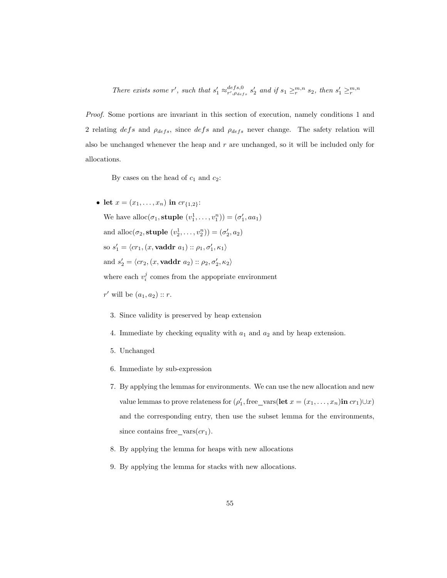There exists some r', such that  $s'_1 \approx_{r',\rho_{defs}}^{defs,0} s'_2$  and if  $s_1 \geq_r^{m,n} s_2$ , then  $s'_1 \geq_r^{m,n} s_2$ 

Proof. Some portions are invariant in this section of execution, namely conditions 1 and 2 relating defs and  $\rho_{defs}$ , since defs and  $\rho_{defs}$  never change. The safety relation will also be unchanged whenever the heap and r are unchanged, so it will be included only for allocations.

By cases on the head of  $c_1$  and  $c_2$ :

• let  $x = (x_1, \ldots, x_n)$  in  $cr_{{1,2}}$ : We have all  $oc(\sigma_1, \text{suple } (v_1^1, \ldots, v_1^n)) = (\sigma'_1, aa_1)$ and alloc $(\sigma_2, \text{style}(v_2^1, \ldots, v_2^n)) = (\sigma'_2, a_2)$ so  $s'_1 = \langle cr_1, (x, \mathbf{vaddr}\ a_1) :: \rho_1, \sigma'_1, \kappa_1 \rangle$ and  $s_2' = \langle cr_2, (x, \mathbf{vaddr}\ a_2) :: \rho_2, \sigma_2', \kappa_2 \rangle$ where each  $v_i^j$  comes from the appopriate environment

 $r'$  will be  $(a_1, a_2) :: r$ .

- 3. Since validity is preserved by heap extension
- 4. Immediate by checking equality with  $a_1$  and  $a_2$  and by heap extension.
- 5. Unchanged
- 6. Immediate by sub-expression
- 7. By applying the lemmas for environments. We can use the new allocation and new value lemmas to prove relateness for  $(\rho'_1, \text{free\_vars}(\text{let } x = (x_1, \ldots, x_n) \text{in } cr_1) \cup x)$ and the corresponding entry, then use the subset lemma for the environments, since contains free vars $(c_{1})$ .
- 8. By applying the lemma for heaps with new allocations
- 9. By applying the lemma for stacks with new allocations.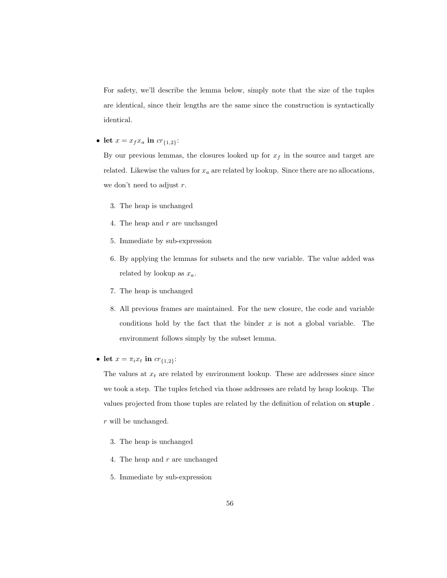For safety, we'll describe the lemma below, simply note that the size of the tuples are identical, since their lengths are the same since the construction is syntactically identical.

• let  $x = x_f x_a$  in  $cr_{{1,2}}$ :

By our previous lemmas, the closures looked up for  $x_f$  in the source and target are related. Likewise the values for  $x_a$  are related by lookup. Since there are no allocations, we don't need to adjust  $r$ .

- 3. The heap is unchanged
- 4. The heap and  $r$  are unchanged
- 5. Immediate by sub-expression
- 6. By applying the lemmas for subsets and the new variable. The value added was related by lookup as  $x_a$ .
- 7. The heap is unchanged
- 8. All previous frames are maintained. For the new closure, the code and variable conditions hold by the fact that the binder  $x$  is not a global variable. The environment follows simply by the subset lemma.
- let  $x = \pi_i x_t$  in  $cr_{\{1,2\}}$ :

The values at  $x_t$  are related by environment lookup. These are addresses since since we took a step. The tuples fetched via those addresses are relatd by heap lookup. The values projected from those tuples are related by the definition of relation on stuple .

- r will be unchanged.
	- 3. The heap is unchanged
	- 4. The heap and r are unchanged
	- 5. Immediate by sub-expression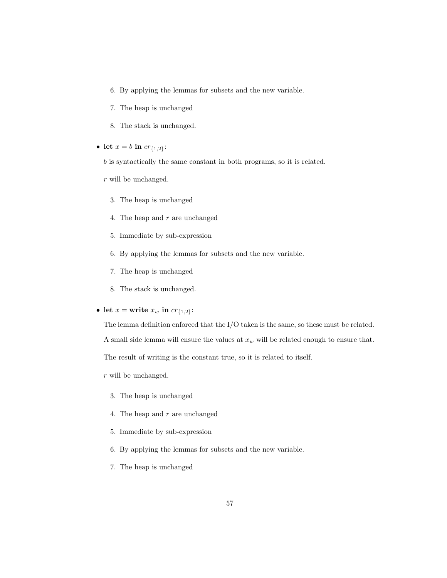- 6. By applying the lemmas for subsets and the new variable.
- 7. The heap is unchanged
- 8. The stack is unchanged.
- let  $x = b$  in  $cr_{\{1,2\}}$ :
	- b is syntactically the same constant in both programs, so it is related.
	- r will be unchanged.
		- 3. The heap is unchanged
		- 4. The heap and r are unchanged
		- 5. Immediate by sub-expression
		- 6. By applying the lemmas for subsets and the new variable.
		- 7. The heap is unchanged
		- 8. The stack is unchanged.
- let  $x =$  write  $x_w$  in  $cr_{\{1,2\}}$ :

The lemma definition enforced that the I/O taken is the same, so these must be related.

A small side lemma will ensure the values at  $x_w$  will be related enough to ensure that.

The result of writing is the constant true, so it is related to itself.

- r will be unchanged.
	- 3. The heap is unchanged
	- 4. The heap and r are unchanged
	- 5. Immediate by sub-expression
	- 6. By applying the lemmas for subsets and the new variable.
	- 7. The heap is unchanged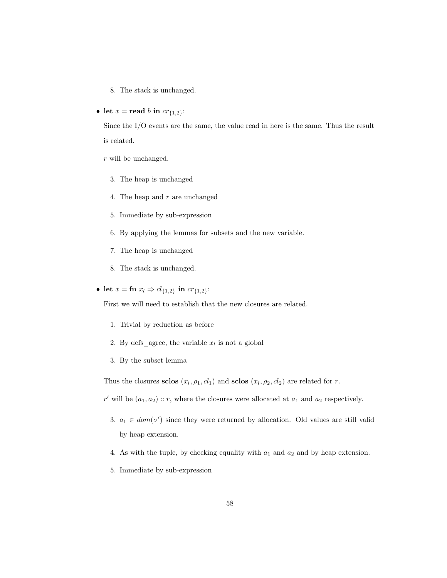- 8. The stack is unchanged.
- let  $x = \text{read } b$  in  $cr_{\{1,2\}}$ :

Since the I/O events are the same, the value read in here is the same. Thus the result is related.

- r will be unchanged.
	- 3. The heap is unchanged
	- 4. The heap and r are unchanged
	- 5. Immediate by sub-expression
	- 6. By applying the lemmas for subsets and the new variable.
	- 7. The heap is unchanged
	- 8. The stack is unchanged.
- let  $x = \text{fn } x_l \Rightarrow cl_{\{1,2\}} \text{ in } cr_{\{1,2\}}$ :

First we will need to establish that the new closures are related.

- 1. Trivial by reduction as before
- 2. By defs\_agree, the variable  $x_l$  is not a global
- 3. By the subset lemma

Thus the closures sclos  $(x_l, \rho_1, cl_1)$  and sclos  $(x_l, \rho_2, cl_2)$  are related for r.

r' will be  $(a_1, a_2)$ : r, where the closures were allocated at  $a_1$  and  $a_2$  respectively.

- 3.  $a_1 \in dom(\sigma')$  since they were returned by allocation. Old values are still valid by heap extension.
- 4. As with the tuple, by checking equality with  $a_1$  and  $a_2$  and by heap extension.
- 5. Immediate by sub-expression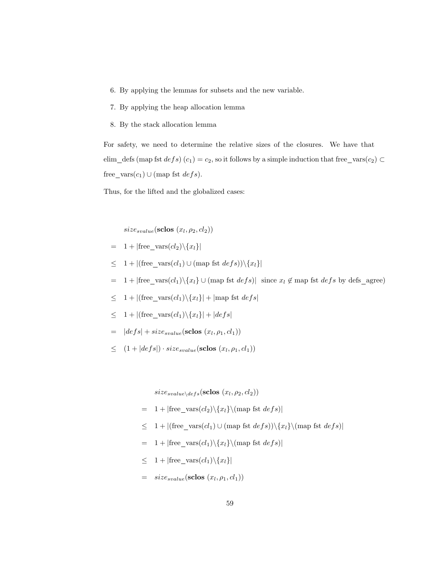- 6. By applying the lemmas for subsets and the new variable.
- 7. By applying the heap allocation lemma
- 8. By the stack allocation lemma

For safety, we need to determine the relative sizes of the closures. We have that elim\_defs (map fst  $defs$ )  $(c_1) = c_2$ , so it follows by a simple induction that free\_vars $(c_2)$ free\_vars $(c_1) \cup$  (map fst  $defs$ ).

Thus, for the lifted and the globalized cases:

 $size_{svalue}(\textbf{sclos}~(x_l, \rho_2, cl_2))$ 

- $= 1 + |free\_vars(cl_2) \setminus \{x_l\}|$
- $\leq 1 + |(\text{free\_vars}(cl_1) \cup (\text{map fat } def s)) \setminus \{x_l\}|$
- = 1 + |free\_vars $(cl_1) \setminus \{x_l\} \cup ($ map fst  $defs)$ | since  $x_l \notin$  map fst  $defs$  by defs\_agree)
- $\leq 1 + |(\text{free\_vars}(cl_1) \setminus \{x_l\}| + |\text{map fat } defs|$
- $\leq 1 + |(\text{free}\_\text{vars}(cl_1)\setminus \{x_l\}| + |defs|$
- $= |defs| + size_{svalue}(\textbf{s clos}(x_l, \rho_1, cl_1))$
- $\leq (1+|defs|) \cdot size_{svalue}(\text{sclos}(x_l, \rho_1, cl_1))$

 $size_{svalue\setminus des}(\textbf{sclos}~(x_l, \rho_2, cl_2))$ 

- $= 1 + |free\_vars(cl_2) \setminus {x_l} \setminus (map \; fst \; defs)|$
- $\leq 1 + |(\text{free\_vars}(cl_1) \cup (\text{map } \text{fst } \text{ def } s)) \setminus \{x_l\} \setminus (\text{map } \text{fst } \text{ def } s)|$
- $= 1 + |free\_vars(cl_1) \setminus {x_l} \setminus (map \; fst \; defs)|$
- $\leq 1 + |free\_vars(cl_1) \setminus \{x_l\}|$
- $= size_{svalue}(\textbf{s clos}(x_l, \rho_1, cl_1))$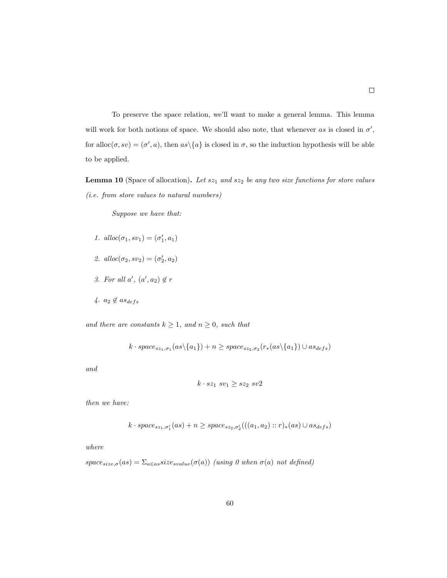To preserve the space relation, we'll want to make a general lemma. This lemma will work for both notions of space. We should also note, that whenever as is closed in  $\sigma'$ , for alloc $(\sigma, s v) = (\sigma', a)$ , then  $as \setminus \{a\}$  is closed in  $\sigma$ , so the induction hypothesis will be able to be applied.

**Lemma 10** (Space of allocation). Let  $sz_1$  and  $sz_2$  be any two size functions for store values (i.e. from store values to natural numbers)

Suppose we have that:

- 1.  $alloc(\sigma_1, sv_1) = (\sigma'_1, a_1)$
- 2.  $alloc(\sigma_2, sv_2) = (\sigma'_2, a_2)$
- 3. For all  $a'$ ,  $(a', a_2) \notin r$
- $4. a_2 \notin as_{defs}$

and there are constants  $k \geq 1$ , and  $n \geq 0$ , such that

$$
k \cdot space_{sz_1, \sigma_1}(as \setminus \{a_1\}) + n \geq space_{sz_2, \sigma_2}(r_*(as \setminus \{a_1\}) \cup as_{defs})
$$

and

$$
k \cdot sz_1 \, sv_1 \geq sz_2 \, sv2
$$

then we have:

$$
k \cdot space_{sz_1, \sigma'_1}(as) + n \geq space_{sz_2, \sigma'_2}(((a_1, a_2) :: r)_*(as) \cup as_{des})
$$

where

 $space_{size,\sigma}(as) = \sum_{a \in as} size_{small}(\sigma(a))$  (using 0 when  $\sigma(a)$  not defined)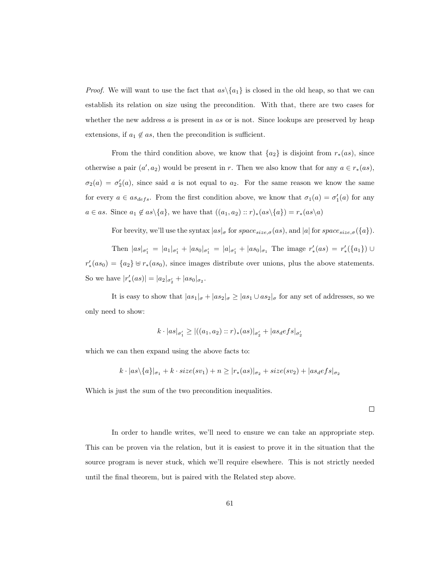*Proof.* We will want to use the fact that  $as \setminus \{a_1\}$  is closed in the old heap, so that we can establish its relation on size using the precondition. With that, there are two cases for whether the new address  $a$  is present in  $as$  or is not. Since lookups are preserved by heap extensions, if  $a_1 \notin as$ , then the precondition is sufficient.

From the third condition above, we know that  $\{a_2\}$  is disjoint from  $r_*(as)$ , since otherwise a pair  $(a', a_2)$  would be present in r. Then we also know that for any  $a \in r_*(as)$ ,  $\sigma_2(a) = \sigma'_2(a)$ , since said a is not equal to  $a_2$ . For the same reason we know the same for every  $a \in as_{defs}$ . From the first condition above, we know that  $\sigma_1(a) = \sigma'_1(a)$  for any  $a \in as$ . Since  $a_1 \notin as \setminus \{a\}$ , we have that  $((a_1, a_2) :: r)_*(as \setminus \{a\}) = r_*(as \setminus a)$ 

For brevity, we'll use the syntax  $|as|_{\sigma}$  for  $space_{size,\sigma}(as)$ , and  $|a|$  for  $space_{size,\sigma}(\{a\})$ .

Then  $|as|_{\sigma'_1} = |a_1|_{\sigma'_1} + |as_0|_{\sigma'_1} = |a|_{\sigma'_1} + |as_0|_{\sigma_1}$  The image  $r'_*(as) = r'_*(\{a_1\}) \cup$  $r'_*(as_0) = \{a_2\} \uplus r_*(as_0)$ , since images distribute over unions, plus the above statements. So we have  $|r'_{*}(as)| = |a_{2}|_{\sigma'_{2}} + |as_{0}|_{\sigma_{2}}.$ 

It is easy to show that  $|as_1|_\sigma + |as_2|_\sigma \ge |as_1 \cup as_2|_\sigma$  for any set of addresses, so we only need to show:

$$
k \cdot |as|_{\sigma'_1} \ge |((a_1, a_2) :: r)_*(as)|_{\sigma'_2} + |as_d e f s|_{\sigma'_2}
$$

which we can then expand using the above facts to:

$$
k \cdot |as \setminus \{a\}|_{\sigma_1} + k \cdot size(sv_1) + n \ge |r_*(as)|_{\sigma_2} + size(sv_2) + |as_d efs|_{\sigma_2}
$$

Which is just the sum of the two precondition inequalities.

 $\Box$ 

In order to handle writes, we'll need to ensure we can take an appropriate step. This can be proven via the relation, but it is easiest to prove it in the situation that the source program is never stuck, which we'll require elsewhere. This is not strictly needed until the final theorem, but is paired with the Related step above.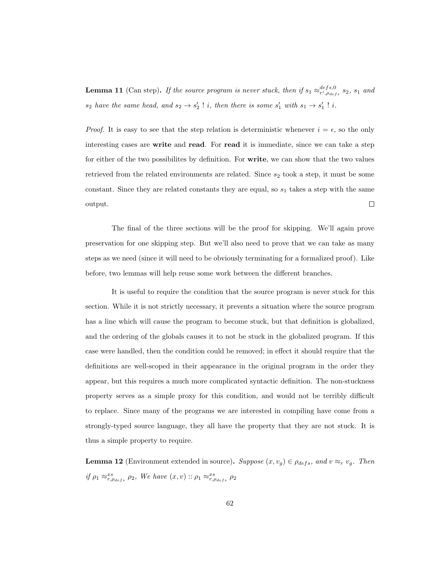**Lemma 11** (Can step). If the source program is never stuck, then if  $s_1 \approx_{r',\rho_{defs}}^{defs,0} s_2$ ,  $s_1$  and  $s_2$  have the same head, and  $s_2 \rightarrow s'_2$ ! i, then there is some  $s'_1$  with  $s_1 \rightarrow s'_1$ ! i.

*Proof.* It is easy to see that the step relation is deterministic whenever  $i = \epsilon$ , so the only interesting cases are write and read. For read it is immediate, since we can take a step for either of the two possibilites by definition. For write, we can show that the two values retrieved from the related environments are related. Since  $s_2$  took a step, it must be some constant. Since they are related constants they are equal, so  $s_1$  takes a step with the same output.  $\Box$ 

The final of the three sections will be the proof for skipping. We'll again prove preservation for one skipping step. But we'll also need to prove that we can take as many steps as we need (since it will need to be obviously terminating for a formalized proof). Like before, two lemmas will help reuse some work between the different branches.

It is useful to require the condition that the source program is never stuck for this section. While it is not strictly necessary, it prevents a situation where the source program has a line which will cause the program to become stuck, but that definition is globalized, and the ordering of the globals causes it to not be stuck in the globalized program. If this case were handled, then the condition could be removed; in effect it should require that the definitions are well-scoped in their appearance in the original program in the order they appear, but this requires a much more complicated syntactic definition. The non-stuckness property serves as a simple proxy for this condition, and would not be terribly difficult to replace. Since many of the programs we are interested in compiling have come from a strongly-typed source language, they all have the property that they are not stuck. It is thus a simple property to require.

**Lemma 12** (Environment extended in source). Suppose  $(x, v_g) \in \rho_{defs}$ , and  $v \approx_r v_g$ . Then if  $\rho_1 \approx_{r,\rho_{defs}}^{xs} \rho_2$ , We have  $(x, v)$ :  $\rho_1 \approx_{r,\rho_{defs}}^{xs} \rho_2$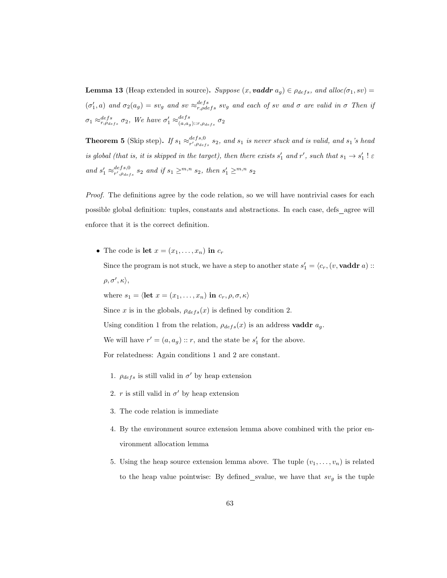**Lemma 13** (Heap extended in source). Suppose  $(x, \text{vaddr } a_g) \in \rho_{defs}, \text{ and } \text{alloc}(\sigma_1, s\upsilon)$  $(\sigma'_1, a)$  and  $\sigma_2(a_g) = sv_g$  and  $sv \approx_{r, \rho def s}^{defs} sv_g$  and each of sv and  $\sigma$  are valid in  $\sigma$  Then if  $\sigma_1 \approx_{r,\rho_{defs}}^{defs} \sigma_2$ , We have  $\sigma'_1 \approx_{(a,a_s)}^{defs}$  $_{(a,a_g)::r,\rho_{defs}}^{a e f s}\ \sigma_2$ 

**Theorem 5** (Skip step). If  $s_1 \approx_{r',\rho_{defs}}^{defs,0} s_2$ , and  $s_1$  is never stuck and is valid, and  $s_1$ 's head is global (that is, it is skipped in the target), then there exists  $s'_1$  and  $r'$ , such that  $s_1 \to s'_1$ !  $\varepsilon$ and  $s'_1 \approx_{r',\rho_{defs}}^{defs,0} s_2$  and if  $s_1 \geq^{m,n} s_2$ , then  $s'_1 \geq^{m,n} s_2$ 

Proof. The definitions agree by the code relation, so we will have nontrivial cases for each possible global definition: tuples, constants and abstractions. In each case, defs agree will enforce that it is the correct definition.

• The code is let  $x = (x_1, \ldots, x_n)$  in  $c_r$ 

Since the program is not stuck, we have a step to another state  $s'_1 = \langle c_r, (v, \mathbf{vaddr}\ a) ::$  $\rho, \sigma', \kappa \rangle,$ 

where  $s_1 = \langle \text{let } x = (x_1, \ldots, x_n) \text{ in } c_r, \rho, \sigma, \kappa \rangle$ 

Since x is in the globals,  $\rho_{defs}(x)$  is defined by condition 2.

Using condition 1 from the relation,  $\rho_{def}(x)$  is an address **vaddr**  $a_g$ .

We will have  $r' = (a, a_g) :: r$ , and the state be  $s'_1$  for the above.

For relatedness: Again conditions 1 and 2 are constant.

- 1.  $\rho_{defs}$  is still valid in  $\sigma'$  by heap extension
- 2.  $r$  is still valid in  $\sigma'$  by heap extension
- 3. The code relation is immediate
- 4. By the environment source extension lemma above combined with the prior environment allocation lemma
- 5. Using the heap source extension lemma above. The tuple  $(v_1, \ldots, v_n)$  is related to the heap value pointwise: By defined\_svalue, we have that  $sv_g$  is the tuple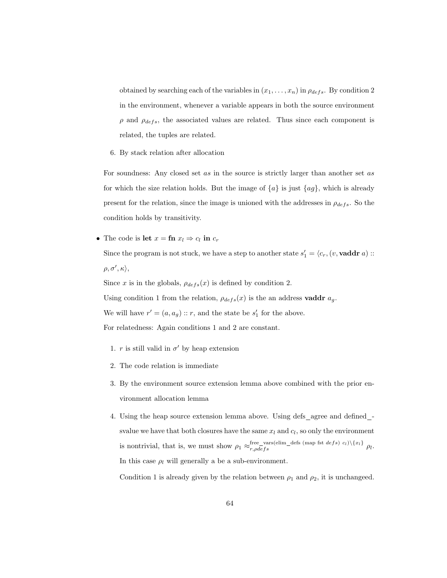obtained by searching each of the variables in  $(x_1, \ldots, x_n)$  in  $\rho_{defs}$ . By condition 2 in the environment, whenever a variable appears in both the source environment  $\rho$  and  $\rho_{defs}$ , the associated values are related. Thus since each component is related, the tuples are related.

6. By stack relation after allocation

For soundness: Any closed set as in the source is strictly larger than another set as for which the size relation holds. But the image of  $\{a\}$  is just  $\{ag\}$ , which is already present for the relation, since the image is unioned with the addresses in  $\rho_{defs}$ . So the condition holds by transitivity.

• The code is let  $x = \text{fn } x_l \Rightarrow c_l$  in  $c_r$ 

Since the program is not stuck, we have a step to another state  $s'_1 = \langle c_r, (v, \mathbf{vaddr}\ a) ::$  $\rho, \sigma', \kappa \rangle,$ 

Since x is in the globals,  $\rho_{defs}(x)$  is defined by condition 2.

Using condition 1 from the relation,  $\rho_{defs}(x)$  is the an address  ${\bf vaddr}\ a_g.$ 

We will have  $r' = (a, a_g) :: r$ , and the state be  $s'_1$  for the above.

For relatedness: Again conditions 1 and 2 are constant.

- 1.  $r$  is still valid in  $\sigma'$  by heap extension
- 2. The code relation is immediate
- 3. By the environment source extension lemma above combined with the prior environment allocation lemma
- 4. Using the heap source extension lemma above. Using defs agree and defined svalue we have that both closures have the same  $x_l$  and  $c_l$ , so only the environment is nontrivial, that is, we must show  $\rho_1 \approx_{r,\rho defs}^{\text{free\_vars}(\text{elim\_defs (map fat defs) } c_l)\setminus \{x_l\}} \rho_l$ . In this case  $\rho_l$  will generally a be a sub-environment.

Condition 1 is already given by the relation between  $\rho_1$  and  $\rho_2$ , it is unchangeed.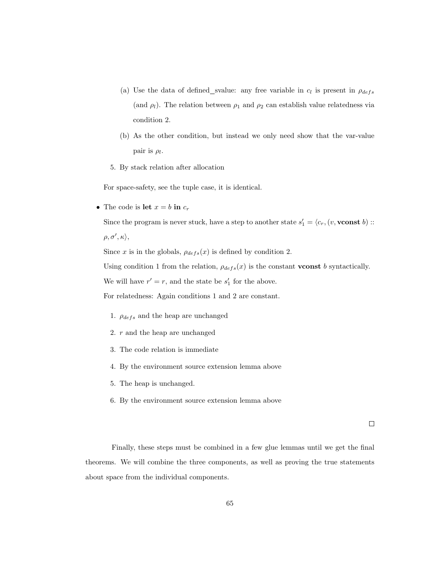- (a) Use the data of defined svalue: any free variable in  $c_l$  is present in  $\rho_{defs}$ (and  $\rho_l$ ). The relation between  $\rho_1$  and  $\rho_2$  can establish value relatedness via condition 2.
- (b) As the other condition, but instead we only need show that the var-value pair is  $\rho_l$ .
- 5. By stack relation after allocation

For space-safety, see the tuple case, it is identical.

• The code is let  $x = b$  in  $c_r$ 

Since the program is never stuck, have a step to another state  $s'_1 = \langle c_r, (v, \textbf{vconst } b)$  ::  $\rho, \sigma', \kappa \rangle,$ 

Since x is in the globals,  $\rho_{defs}(x)$  is defined by condition 2.

Using condition 1 from the relation,  $\rho_{def}(x)$  is the constant **vconst** b syntactically.

We will have  $r' = r$ , and the state be  $s'_1$  for the above.

For relatedness: Again conditions 1 and 2 are constant.

- 1.  $\rho_{defs}$  and the heap are unchanged
- 2. r and the heap are unchanged
- 3. The code relation is immediate
- 4. By the environment source extension lemma above
- 5. The heap is unchanged.
- 6. By the environment source extension lemma above

 $\Box$ 

Finally, these steps must be combined in a few glue lemmas until we get the final theorems. We will combine the three components, as well as proving the true statements about space from the individual components.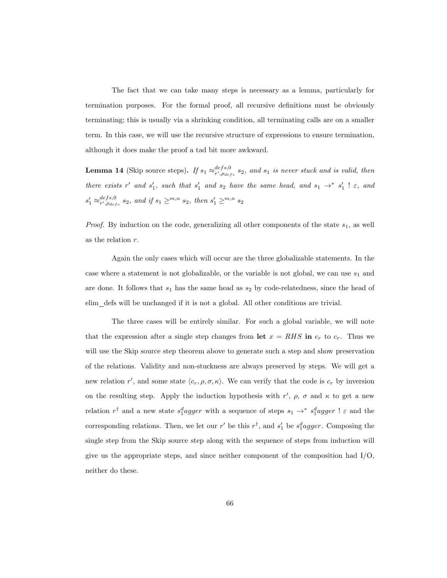The fact that we can take many steps is necessary as a lemma, particularly for termination purposes. For the formal proof, all recursive definitions must be obviously terminating; this is usually via a shrinking condition, all terminating calls are on a smaller term. In this case, we will use the recursive structure of expressions to ensure termination, although it does make the proof a tad bit more awkward.

**Lemma 14** (Skip source steps). If  $s_1 \approx_{r',\rho_{def}s}^{defs,0} s_2$ , and  $s_1$  is never stuck and is valid, then there exists r' and  $s'_1$ , such that  $s'_1$  and  $s_2$  have the same head, and  $s_1 \rightarrow^* s'_1$ !  $\varepsilon$ , and  $s'_1 \approx_{r',\rho_{defs}}^{defs,0} s_2$ , and if  $s_1 \geq^{m,n} s_2$ , then  $s'_1 \geq^{m,n} s_2$ 

*Proof.* By induction on the code, generalizing all other components of the state  $s_1$ , as well as the relation r.

Again the only cases which will occur are the three globalizable statements. In the case where a statement is not globalizable, or the variable is not global, we can use  $s_1$  and are done. It follows that  $s_1$  has the same head as  $s_2$  by code-relatedness, since the head of elim defs will be unchanged if it is not a global. All other conditions are trivial.

The three cases will be entirely similar. For such a global variable, we will note that the expression after a single step changes from let  $x = RHS$  in  $c_r$  to  $c_r$ . Thus we will use the Skip source step theorem above to generate such a step and show preservation of the relations. Validity and non-stuckness are always preserved by steps. We will get a new relation r', and some state  $\langle c_r, \rho, \sigma, \kappa \rangle$ . We can verify that the code is  $c_r$  by inversion on the resulting step. Apply the induction hypothesis with  $r'$ ,  $\rho$ ,  $\sigma$  and  $\kappa$  to get a new relation  $r^{\dagger}$  and a new state  $s_1^dagger$  agger with a sequence of steps  $s_1 \rightarrow^* s_1^dagger$  agger !  $\varepsilon$  and the corresponding relations. Then, we let our  $r'$  be this  $r^{\dagger}$ , and  $s'_{1}$  be  $s_{1}^{d}agger$ . Composing the single step from the Skip source step along with the sequence of steps from induction will give us the appropriate steps, and since neither component of the composition had  $I/O$ , neither do these.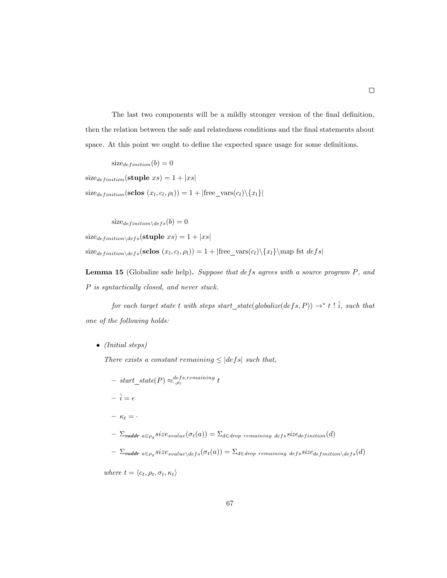The last two components will be a mildly stronger version of the final definition, then the relation between the safe and relatedness conditions and the final statements about space. At this point we ought to define the expected space usage for some definitions.

$$
size_{definition}(b) = 0
$$

 $size_{definition}(\textbf{suple}~xs) = 1 + |xs|$ 

 $size_{definition}(\textbf{sclose}(x_l, c_l, \rho_l)) = 1 + |free\_vars(c_l)\backslash \{x_l\}|$ 

 $size_{definition\setminus def} (b) = 0$ 

 $size_{definition\setminus defs}(\textbf{style }xs) = 1 + |xs|$ 

 $size_{definition\backslash def}(\text{sclose}(x_l, c_l, \rho_l)) = 1 + |free\_vars(c_l)\backslash \{x_l\} \$ fst  $defs|$ 

Lemma 15 (Globalize safe help). Suppose that defs agrees with a source program P, and P is syntactically closed, and never stuck.

for each target state t with steps start\_state(globalize(defs, P))  $\rightarrow^*$  t !  $\hat{i}$ , such that one of the following holds:

• (Initial steps)

There exists a constant remaining  $\leq |defs|$  such that,

- $-$  start\_state(P)  $\approx_{\cdot,\rho_t}^{defs,remaining}$  t  $-\hat{i} = \epsilon$  $- \kappa_t = \Sigma_{\textit{vaddr a} \in \rho_g} size_{\textit{svalue}} (\sigma_t(a)) = \Sigma_{d \in \textit{drop remaining def}} s i z e_{\textit{definition}} (d)$
- 

$$
-\sum_{\textit{vaddr }a \in \rho_g} size_{\textit{svalue} \setminus \textit{defs}}(\sigma_t(a)) = \Sigma_{d \in \textit{drop remaining defs}} size_{\textit{definition} \setminus \textit{defs}}(d)
$$

where 
$$
t = \langle c_t, \rho_t, \sigma_t, \kappa_t \rangle
$$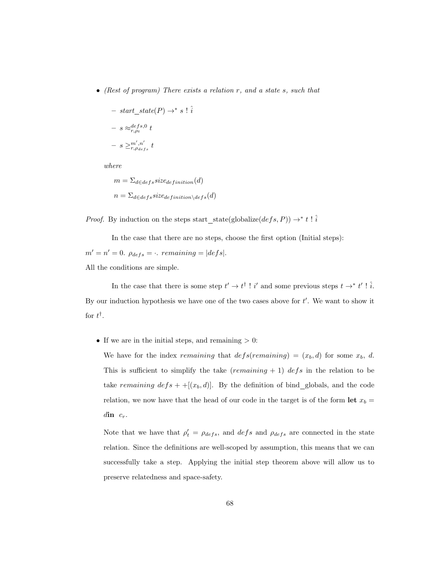• (Rest of program) There exists a relation r, and a state s, such that

- start-state
$$
(P)
$$
  $\rightarrow$  \* s !  $\hat{i}$   
\n- s  $\approx_{r,\rho_t}^{defs,0} t$   
\n- s  $\geq_{r,\rho_{defs}}^{m',n'}$  t

where

$$
m = \sum_{d \in def} size_{definition}(d)
$$
  

$$
n = \sum_{d \in def} size_{definition \setminus def} (d)
$$

*Proof.* By induction on the steps start\_state(globalize(defs, P))  $\rightarrow^*$  t!  $\hat{i}$ 

In the case that there are no steps, choose the first option (Initial steps):  $m' = n' = 0$ .  $\rho_{defs} = \cdot$ . remaining = |defs|.

All the conditions are simple.

In the case that there is some step  $t' \to t^{\dagger}$ ! i' and some previous steps  $t \to^* t'$ ! i. By our induction hypothesis we have one of the two cases above for  $t'$ . We want to show it for  $t^{\dagger}$ .

• If we are in the initial steps, and remaining  $> 0$ :

We have for the index remaining that  $defs(remaining) = (x_b, d)$  for some  $x_b, d$ . This is sufficient to simplify the take (*remaining* + 1) defs in the relation to be take remaining  $defs + \{(x_b, d)\}$ . By the definition of bind globals, and the code relation, we now have that the head of our code in the target is of the form let  $x_b =$  $\dim c_r$ .

Note that we have that  $\rho'_t = \rho_{defs}$ , and  $defs$  and  $\rho_{defs}$  are connected in the state relation. Since the definitions are well-scoped by assumption, this means that we can successfully take a step. Applying the initial step theorem above will allow us to preserve relatedness and space-safety.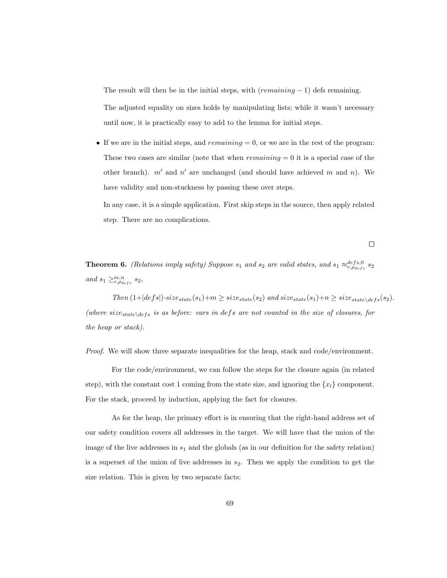The result will then be in the initial steps, with  $(remaining - 1)$  defs remaining.

The adjusted equality on sizes holds by manipulating lists; while it wasn't necessary until now, it is practically easy to add to the lemma for initial steps.

• If we are in the initial steps, and  $remaining = 0$ , or we are in the rest of the program: These two cases are similar (note that when  $remaining = 0$  it is a special case of the other branch).  $m'$  and  $n'$  are unchanged (and should have achieved m and n). We have validity and non-stuckness by passing these over steps.

In any case, it is a simple application. First skip steps in the source, then apply related step. There are no complications.

 $\Box$ 

**Theorem 6.** (Relations imply safety) Suppose  $s_1$  and  $s_2$  are valid states, and  $s_1 \approx_{r,\rho_{defs}}^{defs,0} s_2$ and  $s_1 \geq_{r,\rho_{defs}}^{m,n} s_2$ ,

Then  $(1+|defs|)\cdot size_{state}(s_1)+m \geq size_{state}(s_2)$  and  $size_{state}(s_1)+n \geq size_{state\setminus des}(s_2)$ . (where  $size_{state\backslash defs}$  is as before: vars in defs are not counted in the size of closures, for the heap or stack).

Proof. We will show three separate inequalities for the heap, stack and code/environment.

For the code/environment, we can follow the steps for the closure again (in related step), with the constant cost 1 coming from the state size, and ignoring the  $\{x_l\}$  component. For the stack, proceed by induction, applying the fact for closures.

As for the heap, the primary effort is in ensuring that the right-hand address set of our safety condition covers all addresses in the target. We will have that the union of the image of the live addresses in  $s_1$  and the globals (as in our definition for the safety relation) is a superset of the union of live addresses in  $s_2$ . Then we apply the condition to get the size relation. This is given by two separate facts: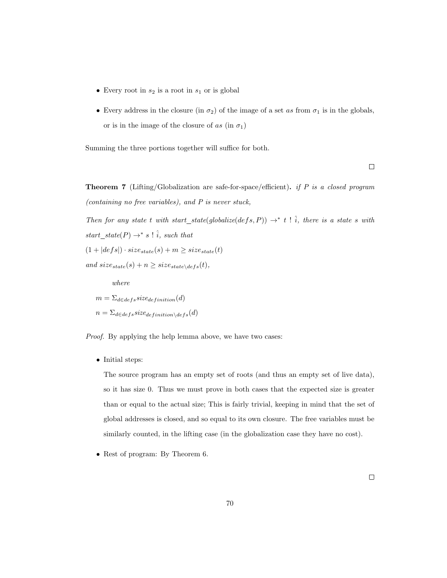- Every root in  $s_2$  is a root in  $s_1$  or is global
- Every address in the closure (in  $\sigma_2$ ) of the image of a set as from  $\sigma_1$  is in the globals, or is in the image of the closure of as (in  $\sigma_1$ )

Summing the three portions together will suffice for both.

 $\Box$ 

Theorem 7 (Lifting/Globalization are safe-for-space/efficient). if P is a closed program (containing no free variables), and P is never stuck,

Then for any state t with start\_state(globalize(defs, P))  $\rightarrow^*$  t !  $\hat{i}$ , there is a state s with  $start\_state(P) \rightarrow^* s \vdots \hat{i}$ , such that  $(1 + |defs|) \cdot size_{state}(s) + m \geq size_{state}(t)$ and  $size_{state}(s) + n \geq size_{state\setminus defs}(t),$ 

where  $m = \sum_{d \in \text{def } s} size_{\text{definition}}(d)$  $n = \sum_{d \in \text{def } s} size_{definition \setminus \text{def } s}(d)$ 

Proof. By applying the help lemma above, we have two cases:

• Initial steps:

The source program has an empty set of roots (and thus an empty set of live data), so it has size 0. Thus we must prove in both cases that the expected size is greater than or equal to the actual size; This is fairly trivial, keeping in mind that the set of global addresses is closed, and so equal to its own closure. The free variables must be similarly counted, in the lifting case (in the globalization case they have no cost).

• Rest of program: By Theorem 6.

 $\Box$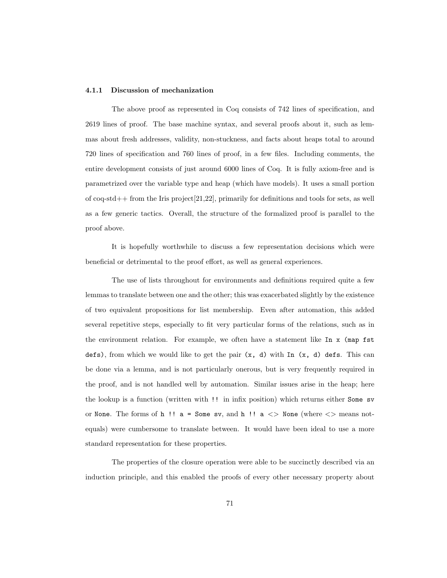#### 4.1.1 Discussion of mechanization

The above proof as represented in Coq consists of 742 lines of specification, and 2619 lines of proof. The base machine syntax, and several proofs about it, such as lemmas about fresh addresses, validity, non-stuckness, and facts about heaps total to around 720 lines of specification and 760 lines of proof, in a few files. Including comments, the entire development consists of just around 6000 lines of Coq. It is fully axiom-free and is parametrized over the variable type and heap (which have models). It uses a small portion of coq-std++ from the Iris project[\[21,](#page-96-0)[22\]](#page-96-1), primarily for definitions and tools for sets, as well as a few generic tactics. Overall, the structure of the formalized proof is parallel to the proof above.

It is hopefully worthwhile to discuss a few representation decisions which were beneficial or detrimental to the proof effort, as well as general experiences.

The use of lists throughout for environments and definitions required quite a few lemmas to translate between one and the other; this was exacerbated slightly by the existence of two equivalent propositions for list membership. Even after automation, this added several repetitive steps, especially to fit very particular forms of the relations, such as in the environment relation. For example, we often have a statement like In x (map fst defs), from which we would like to get the pair (x, d) with In (x, d) defs. This can be done via a lemma, and is not particularly onerous, but is very frequently required in the proof, and is not handled well by automation. Similar issues arise in the heap; here the lookup is a function (written with !! in infix position) which returns either Some sv or None. The forms of h!!  $a = Some sv$ , and h!!  $a \leq Po$  None (where  $\leq Po$  means notequals) were cumbersome to translate between. It would have been ideal to use a more standard representation for these properties.

The properties of the closure operation were able to be succinctly described via an induction principle, and this enabled the proofs of every other necessary property about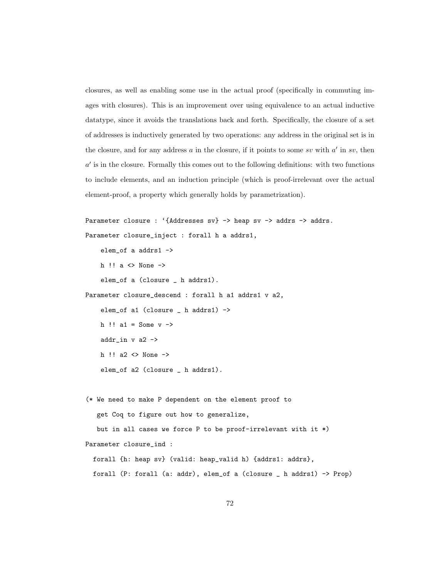closures, as well as enabling some use in the actual proof (specifically in commuting images with closures). This is an improvement over using equivalence to an actual inductive datatype, since it avoids the translations back and forth. Specifically, the closure of a set of addresses is inductively generated by two operations: any address in the original set is in the closure, and for any address  $a$  in the closure, if it points to some sv with  $a'$  in sv, then  $a'$  is in the closure. Formally this comes out to the following definitions: with two functions to include elements, and an induction principle (which is proof-irrelevant over the actual element-proof, a property which generally holds by parametrization).

```
Parameter closure : '{Addresses sv} -> heap sv -> addrs -> addrs.
Parameter closure_inject : forall h a addrs1,
    elem_of a addrs1 ->
    h !! a <> None ->
    elem_of a (closure _ h addrs1).
Parameter closure_descend : forall h a1 addrs1 v a2,
    elem_of a1 (closure _ h addrs1) ->
    h !! a1 = Some v \rightarrowaddr_in v a2 \rightarrowh !! a2 \langle\rangle None \rightarrowelem_of a2 (closure _ h addrs1).
```
(\* We need to make P dependent on the element proof to get Coq to figure out how to generalize, but in all cases we force P to be proof-irrelevant with it \*) Parameter closure\_ind : forall {h: heap sv} (valid: heap\_valid h) {addrs1: addrs}, forall (P: forall (a: addr), elem\_of a (closure \_ h addrs1) -> Prop)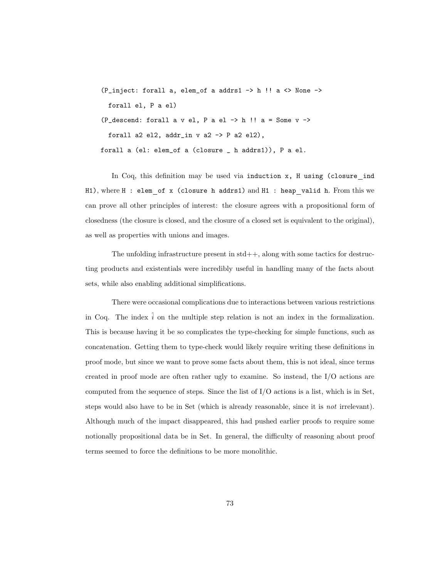(P\_inject: forall a, elem\_of a addrs1  $\rightarrow$  h !! a  $\leftrightarrow$  None  $\rightarrow$ forall el, P a el) (P\_descend: forall a v el, P a el  $\rightarrow$  h !! a = Some v  $\rightarrow$ forall a2 el2, addr\_in  $v$  a2 ->  $P$  a2 el2), forall a (el: elem\_of a (closure \_ h addrs1)), P a el.

In Coq, this definition may be used via induction x, H using (closure ind H1), where H : elem of x (closure h addrs1) and H1 : heap valid h. From this we can prove all other principles of interest: the closure agrees with a propositional form of closedness (the closure is closed, and the closure of a closed set is equivalent to the original), as well as properties with unions and images.

The unfolding infrastructure present in  $std++$ , along with some tactics for destructing products and existentials were incredibly useful in handling many of the facts about sets, while also enabling additional simplifications.

There were occasional complications due to interactions between various restrictions in Coq. The index  $\hat{i}$  on the multiple step relation is not an index in the formalization. This is because having it be so complicates the type-checking for simple functions, such as concatenation. Getting them to type-check would likely require writing these definitions in proof mode, but since we want to prove some facts about them, this is not ideal, since terms created in proof mode are often rather ugly to examine. So instead, the I/O actions are computed from the sequence of steps. Since the list of I/O actions is a list, which is in Set, steps would also have to be in Set (which is already reasonable, since it is not irrelevant). Although much of the impact disappeared, this had pushed earlier proofs to require some notionally propositional data be in Set. In general, the difficulty of reasoning about proof terms seemed to force the definitions to be more monolithic.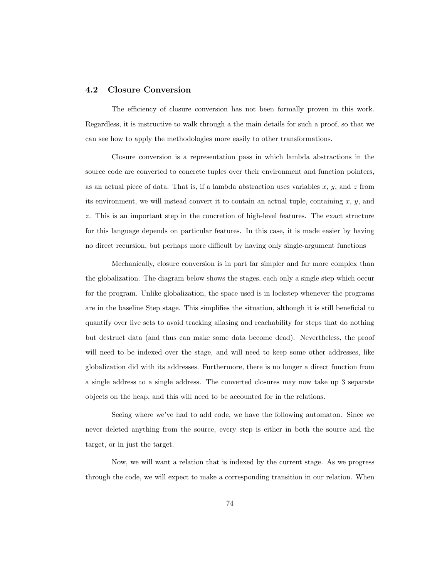### 4.2 Closure Conversion

The efficiency of closure conversion has not been formally proven in this work. Regardless, it is instructive to walk through a the main details for such a proof, so that we can see how to apply the methodologies more easily to other transformations.

Closure conversion is a representation pass in which lambda abstractions in the source code are converted to concrete tuples over their environment and function pointers, as an actual piece of data. That is, if a lambda abstraction uses variables  $x, y$ , and  $z$  from its environment, we will instead convert it to contain an actual tuple, containing  $x, y$ , and z. This is an important step in the concretion of high-level features. The exact structure for this language depends on particular features. In this case, it is made easier by having no direct recursion, but perhaps more difficult by having only single-argument functions

Mechanically, closure conversion is in part far simpler and far more complex than the globalization. The diagram below shows the stages, each only a single step which occur for the program. Unlike globalization, the space used is in lockstep whenever the programs are in the baseline Step stage. This simplifies the situation, although it is still beneficial to quantify over live sets to avoid tracking aliasing and reachability for steps that do nothing but destruct data (and thus can make some data become dead). Nevertheless, the proof will need to be indexed over the stage, and will need to keep some other addresses, like globalization did with its addresses. Furthermore, there is no longer a direct function from a single address to a single address. The converted closures may now take up 3 separate objects on the heap, and this will need to be accounted for in the relations.

Seeing where we've had to add code, we have the following automaton. Since we never deleted anything from the source, every step is either in both the source and the target, or in just the target.

Now, we will want a relation that is indexed by the current stage. As we progress through the code, we will expect to make a corresponding transition in our relation. When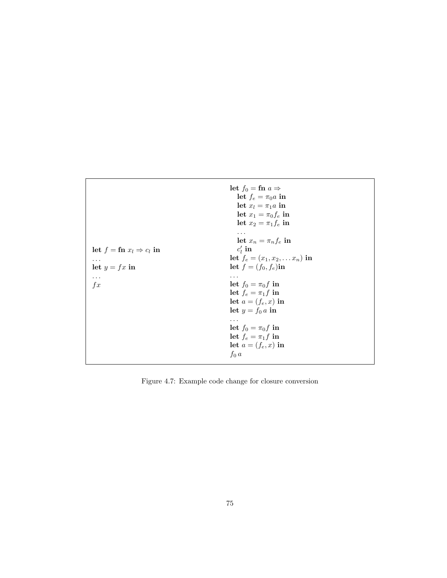|                                             | let $f_0 = \mathbf{f} \mathbf{n} \ a \Rightarrow$<br>let $f_e = \pi_0 a$ in<br>let $x_l = \pi_1 a$ in<br>let $x_1 = \pi_0 f_e$ in<br>let $x_2 = \pi_1 f_e$ in<br>$\cdots$<br>let $x_n = \pi_n f_e$ in |
|---------------------------------------------|-------------------------------------------------------------------------------------------------------------------------------------------------------------------------------------------------------|
| let $f = \text{fn } x_l \Rightarrow c_l$ in | $c_i$ in                                                                                                                                                                                              |
| $\cdots$                                    | let $f_e = (x_1, x_2, \ldots x_n)$ in                                                                                                                                                                 |
| let $y = fx$ in                             | let $f = (f_0, f_e)$ in                                                                                                                                                                               |
| .                                           | $\cdots$                                                                                                                                                                                              |
| $f_{x}$                                     | let $f_0 = \pi_0 f$ in                                                                                                                                                                                |
|                                             | let $f_e = \pi_1 f$ in                                                                                                                                                                                |
|                                             | let $a=(f_e,x)$ in                                                                                                                                                                                    |
|                                             | let $y = f_0 a$ in                                                                                                                                                                                    |
|                                             | $\cdots$                                                                                                                                                                                              |
|                                             | let $f_0 = \pi_0 f$ in                                                                                                                                                                                |
|                                             | let $f_e = \pi_1 f$ in                                                                                                                                                                                |
|                                             | let $a=(f_e,x)$ in                                                                                                                                                                                    |
|                                             | $f_0$ a                                                                                                                                                                                               |

Figure 4.7: Example code change for closure conversion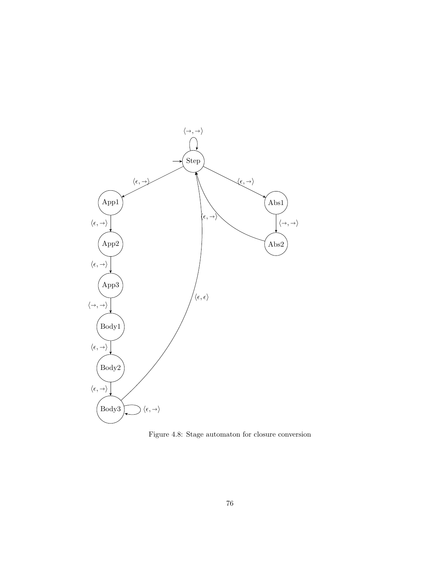

Figure 4.8: Stage automaton for closure conversion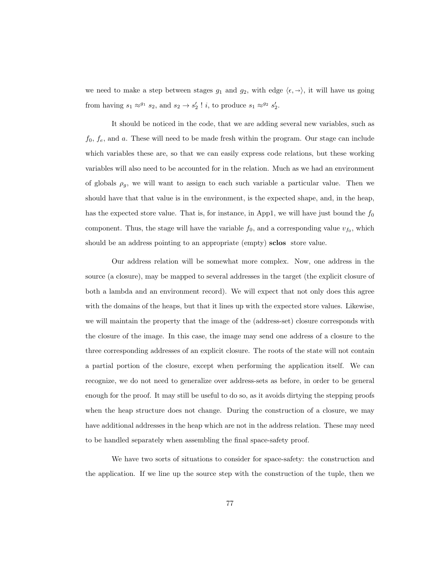we need to make a step between stages  $g_1$  and  $g_2$ , with edge  $\langle \epsilon, \rightarrow \rangle$ , it will have us going from having  $s_1 \approx^{g_1} s_2$ , and  $s_2 \to s'_2$ ! *i*, to produce  $s_1 \approx^{g_2} s'_2$ .

It should be noticed in the code, that we are adding several new variables, such as  $f_0, f_e$ , and a. These will need to be made fresh within the program. Our stage can include which variables these are, so that we can easily express code relations, but these working variables will also need to be accounted for in the relation. Much as we had an environment of globals  $\rho_g$ , we will want to assign to each such variable a particular value. Then we should have that that value is in the environment, is the expected shape, and, in the heap, has the expected store value. That is, for instance, in App1, we will have just bound the  $f_0$ component. Thus, the stage will have the variable  $f_0$ , and a corresponding value  $v_{f_0}$ , which should be an address pointing to an appropriate (empty) sclos store value.

Our address relation will be somewhat more complex. Now, one address in the source (a closure), may be mapped to several addresses in the target (the explicit closure of both a lambda and an environment record). We will expect that not only does this agree with the domains of the heaps, but that it lines up with the expected store values. Likewise, we will maintain the property that the image of the (address-set) closure corresponds with the closure of the image. In this case, the image may send one address of a closure to the three corresponding addresses of an explicit closure. The roots of the state will not contain a partial portion of the closure, except when performing the application itself. We can recognize, we do not need to generalize over address-sets as before, in order to be general enough for the proof. It may still be useful to do so, as it avoids dirtying the stepping proofs when the heap structure does not change. During the construction of a closure, we may have additional addresses in the heap which are not in the address relation. These may need to be handled separately when assembling the final space-safety proof.

We have two sorts of situations to consider for space-safety: the construction and the application. If we line up the source step with the construction of the tuple, then we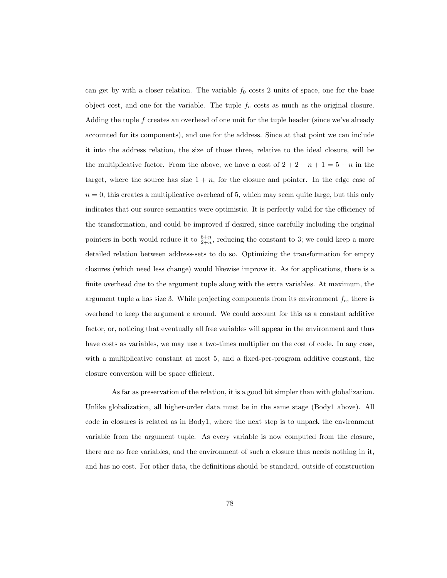can get by with a closer relation. The variable  $f_0$  costs 2 units of space, one for the base object cost, and one for the variable. The tuple  $f_e$  costs as much as the original closure. Adding the tuple f creates an overhead of one unit for the tuple header (since we've already accounted for its components), and one for the address. Since at that point we can include it into the address relation, the size of those three, relative to the ideal closure, will be the multiplicative factor. From the above, we have a cost of  $2 + 2 + n + 1 = 5 + n$  in the target, where the source has size  $1 + n$ , for the closure and pointer. In the edge case of  $n = 0$ , this creates a multiplicative overhead of 5, which may seem quite large, but this only indicates that our source semantics were optimistic. It is perfectly valid for the efficiency of the transformation, and could be improved if desired, since carefully including the original pointers in both would reduce it to  $\frac{6+n}{2+n}$ , reducing the constant to 3; we could keep a more detailed relation between address-sets to do so. Optimizing the transformation for empty closures (which need less change) would likewise improve it. As for applications, there is a finite overhead due to the argument tuple along with the extra variables. At maximum, the argument tuple a has size 3. While projecting components from its environment  $f_e$ , there is overhead to keep the argument  $e$  around. We could account for this as a constant additive factor, or, noticing that eventually all free variables will appear in the environment and thus have costs as variables, we may use a two-times multiplier on the cost of code. In any case, with a multiplicative constant at most 5, and a fixed-per-program additive constant, the closure conversion will be space efficient.

As far as preservation of the relation, it is a good bit simpler than with globalization. Unlike globalization, all higher-order data must be in the same stage (Body1 above). All code in closures is related as in Body1, where the next step is to unpack the environment variable from the argument tuple. As every variable is now computed from the closure, there are no free variables, and the environment of such a closure thus needs nothing in it, and has no cost. For other data, the definitions should be standard, outside of construction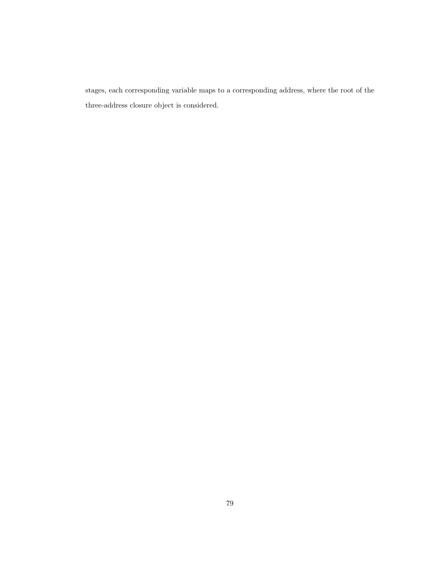stages, each corresponding variable maps to a corresponding address, where the root of the three-address closure object is considered.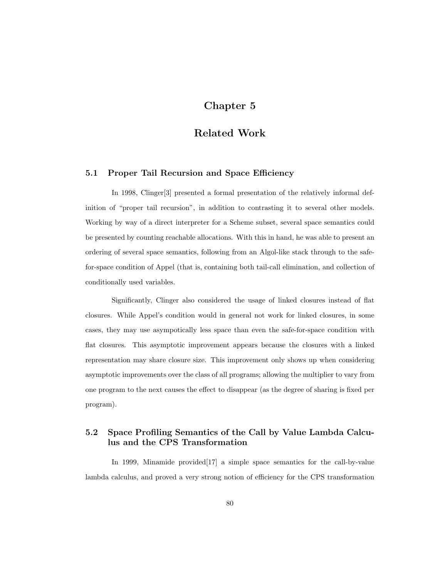## Chapter 5

## Related Work

### 5.1 Proper Tail Recursion and Space Efficiency

In 1998, Clinger[\[3\]](#page-94-0) presented a formal presentation of the relatively informal definition of "proper tail recursion", in addition to contrasting it to several other models. Working by way of a direct interpreter for a Scheme subset, several space semantics could be presented by counting reachable allocations. With this in hand, he was able to present an ordering of several space semantics, following from an Algol-like stack through to the safefor-space condition of Appel (that is, containing both tail-call elimination, and collection of conditionally used variables.

Significantly, Clinger also considered the usage of linked closures instead of flat closures. While Appel's condition would in general not work for linked closures, in some cases, they may use asympotically less space than even the safe-for-space condition with flat closures. This asymptotic improvement appears because the closures with a linked representation may share closure size. This improvement only shows up when considering asymptotic improvements over the class of all programs; allowing the multiplier to vary from one program to the next causes the effect to disappear (as the degree of sharing is fixed per program).

### 5.2 Space Profiling Semantics of the Call by Value Lambda Calculus and the CPS Transformation

In 1999, Minamide provided [\[17\]](#page-95-0) a simple space semantics for the call-by-value lambda calculus, and proved a very strong notion of efficiency for the CPS transformation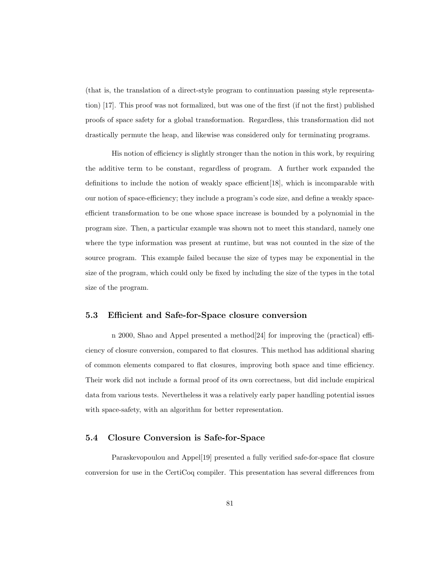(that is, the translation of a direct-style program to continuation passing style representation) [\[17\]](#page-95-0). This proof was not formalized, but was one of the first (if not the first) published proofs of space safety for a global transformation. Regardless, this transformation did not drastically permute the heap, and likewise was considered only for terminating programs.

His notion of efficiency is slightly stronger than the notion in this work, by requiring the additive term to be constant, regardless of program. A further work expanded the definitions to include the notion of weakly space efficient[\[18\]](#page-95-1), which is incomparable with our notion of space-efficiency; they include a program's code size, and define a weakly spaceefficient transformation to be one whose space increase is bounded by a polynomial in the program size. Then, a particular example was shown not to meet this standard, namely one where the type information was present at runtime, but was not counted in the size of the source program. This example failed because the size of types may be exponential in the size of the program, which could only be fixed by including the size of the types in the total size of the program.

### 5.3 Efficient and Safe-for-Space closure conversion

n 2000, Shao and Appel presented a method[\[24\]](#page-96-2) for improving the (practical) efficiency of closure conversion, compared to flat closures. This method has additional sharing of common elements compared to flat closures, improving both space and time efficiency. Their work did not include a formal proof of its own correctness, but did include empirical data from various tests. Nevertheless it was a relatively early paper handling potential issues with space-safety, with an algorithm for better representation.

### 5.4 Closure Conversion is Safe-for-Space

Paraskevopoulou and Appel[\[19\]](#page-96-3) presented a fully verified safe-for-space flat closure conversion for use in the CertiCoq compiler. This presentation has several differences from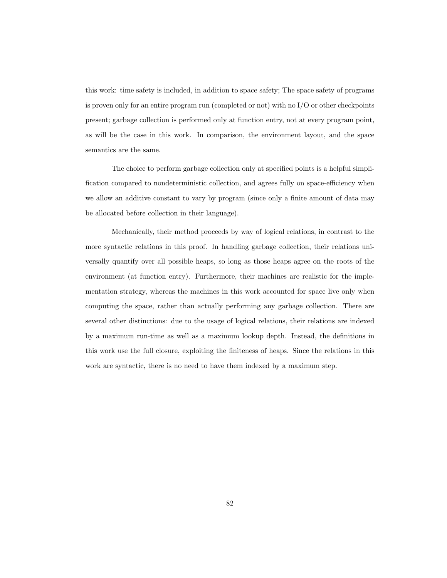this work: time safety is included, in addition to space safety; The space safety of programs is proven only for an entire program run (completed or not) with no  $I/O$  or other checkpoints present; garbage collection is performed only at function entry, not at every program point, as will be the case in this work. In comparison, the environment layout, and the space semantics are the same.

The choice to perform garbage collection only at specified points is a helpful simplification compared to nondeterministic collection, and agrees fully on space-efficiency when we allow an additive constant to vary by program (since only a finite amount of data may be allocated before collection in their language).

Mechanically, their method proceeds by way of logical relations, in contrast to the more syntactic relations in this proof. In handling garbage collection, their relations universally quantify over all possible heaps, so long as those heaps agree on the roots of the environment (at function entry). Furthermore, their machines are realistic for the implementation strategy, whereas the machines in this work accounted for space live only when computing the space, rather than actually performing any garbage collection. There are several other distinctions: due to the usage of logical relations, their relations are indexed by a maximum run-time as well as a maximum lookup depth. Instead, the definitions in this work use the full closure, exploiting the finiteness of heaps. Since the relations in this work are syntactic, there is no need to have them indexed by a maximum step.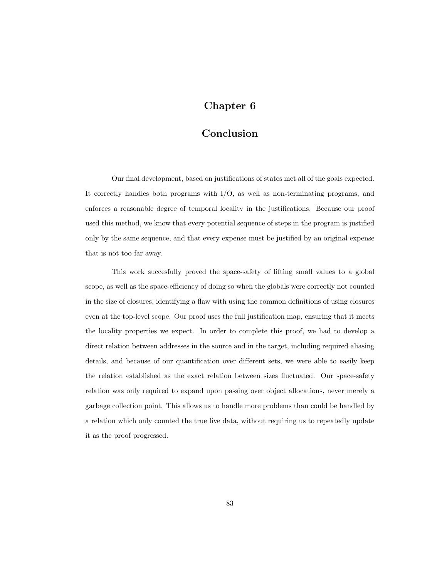# Chapter 6

## Conclusion

Our final development, based on justifications of states met all of the goals expected. It correctly handles both programs with I/O, as well as non-terminating programs, and enforces a reasonable degree of temporal locality in the justifications. Because our proof used this method, we know that every potential sequence of steps in the program is justified only by the same sequence, and that every expense must be justified by an original expense that is not too far away.

This work succesfully proved the space-safety of lifting small values to a global scope, as well as the space-efficiency of doing so when the globals were correctly not counted in the size of closures, identifying a flaw with using the common definitions of using closures even at the top-level scope. Our proof uses the full justification map, ensuring that it meets the locality properties we expect. In order to complete this proof, we had to develop a direct relation between addresses in the source and in the target, including required aliasing details, and because of our quantification over different sets, we were able to easily keep the relation established as the exact relation between sizes fluctuated. Our space-safety relation was only required to expand upon passing over object allocations, never merely a garbage collection point. This allows us to handle more problems than could be handled by a relation which only counted the true live data, without requiring us to repeatedly update it as the proof progressed.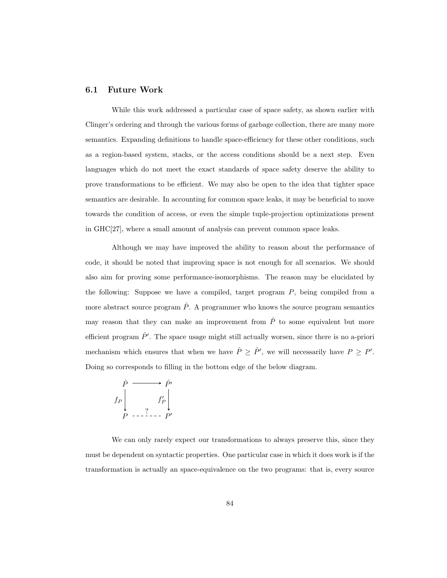### 6.1 Future Work

While this work addressed a particular case of space safety, as shown earlier with Clinger's ordering and through the various forms of garbage collection, there are many more semantics. Expanding definitions to handle space-efficiency for these other conditions, such as a region-based system, stacks, or the access conditions should be a next step. Even languages which do not meet the exact standards of space safety deserve the ability to prove transformations to be efficient. We may also be open to the idea that tighter space semantics are desirable. In accounting for common space leaks, it may be beneficial to move towards the condition of access, or even the simple tuple-projection optimizations present in GHC[\[27\]](#page-96-4), where a small amount of analysis can prevent common space leaks.

Although we may have improved the ability to reason about the performance of code, it should be noted that improving space is not enough for all scenarios. We should also aim for proving some performance-isomorphisms. The reason may be elucidated by the following: Suppose we have a compiled, target program  $P$ , being compiled from a more abstract source program  $\hat{P}$ . A programmer who knows the source program semantics may reason that they can make an improvement from  $\hat{P}$  to some equivalent but more efficient program  $\hat{P}'$ . The space usage might still actually worsen, since there is no a-priori mechanism which ensures that when we have  $\hat{P} \geq \hat{P}'$ , we will necessarily have  $P \geq P'$ . Doing so corresponds to filling in the bottom edge of the below diagram.

$$
\hat{P} \longrightarrow \hat{P}'
$$
\n
$$
f_P \downarrow \qquad \qquad f'_P \downarrow \qquad \qquad f'' \downarrow \qquad \qquad P \qquad \qquad P \qquad \qquad P'
$$

We can only rarely expect our transformations to always preserve this, since they must be dependent on syntactic properties. One particular case in which it does work is if the transformation is actually an space-equivalence on the two programs: that is, every source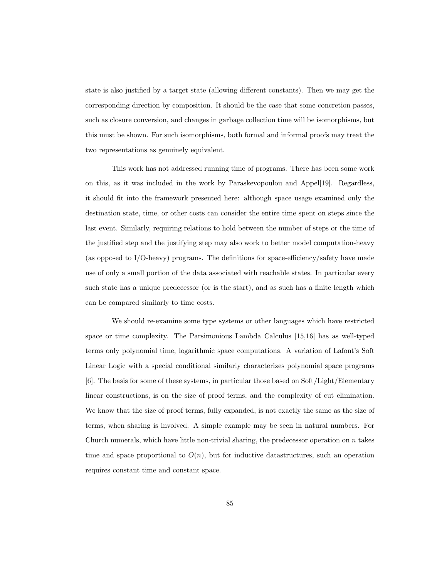state is also justified by a target state (allowing different constants). Then we may get the corresponding direction by composition. It should be the case that some concretion passes, such as closure conversion, and changes in garbage collection time will be isomorphisms, but this must be shown. For such isomorphisms, both formal and informal proofs may treat the two representations as genuinely equivalent.

This work has not addressed running time of programs. There has been some work on this, as it was included in the work by Paraskevopoulou and Appel[\[19\]](#page-96-3). Regardless, it should fit into the framework presented here: although space usage examined only the destination state, time, or other costs can consider the entire time spent on steps since the last event. Similarly, requiring relations to hold between the number of steps or the time of the justified step and the justifying step may also work to better model computation-heavy (as opposed to I/O-heavy) programs. The definitions for space-efficiency/safety have made use of only a small portion of the data associated with reachable states. In particular every such state has a unique predecessor (or is the start), and as such has a finite length which can be compared similarly to time costs.

We should re-examine some type systems or other languages which have restricted space or time complexity. The Parsimonious Lambda Calculus [\[15,](#page-95-2)[16\]](#page-95-3) has as well-typed terms only polynomial time, logarithmic space computations. A variation of Lafont's Soft Linear Logic with a special conditional similarly characterizes polynomial space programs [\[6\]](#page-94-1). The basis for some of these systems, in particular those based on Soft/Light/Elementary linear constructions, is on the size of proof terms, and the complexity of cut elimination. We know that the size of proof terms, fully expanded, is not exactly the same as the size of terms, when sharing is involved. A simple example may be seen in natural numbers. For Church numerals, which have little non-trivial sharing, the predecessor operation on  $n$  takes time and space proportional to  $O(n)$ , but for inductive datastructures, such an operation requires constant time and constant space.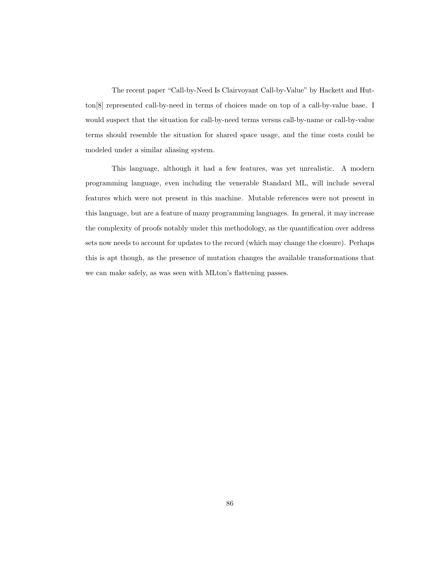The recent paper "Call-by-Need Is Clairvoyant Call-by-Value" by Hackett and Hutton[\[8\]](#page-94-2) represented call-by-need in terms of choices made on top of a call-by-value base. I would suspect that the situation for call-by-need terms versus call-by-name or call-by-value terms should resemble the situation for shared space usage, and the time costs could be modeled under a similar aliasing system.

This language, although it had a few features, was yet unrealistic. A modern programming language, even including the venerable Standard ML, will include several features which were not present in this machine. Mutable references were not present in this language, but are a feature of many programming languages. In general, it may increase the complexity of proofs notably under this methodology, as the quantification over address sets now needs to account for updates to the record (which may change the closure). Perhaps this is apt though, as the presence of mutation changes the available transformations that we can make safely, as was seen with MLton's flattening passes.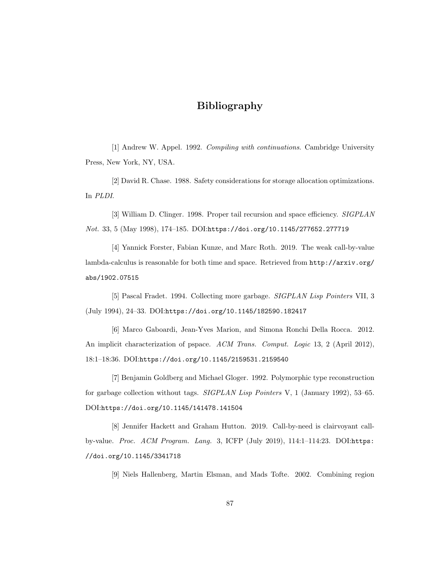# Bibliography

[1] Andrew W. Appel. 1992. Compiling with continuations. Cambridge University Press, New York, NY, USA.

[2] David R. Chase. 1988. Safety considerations for storage allocation optimizations. In PLDI.

<span id="page-94-0"></span>[3] William D. Clinger. 1998. Proper tail recursion and space efficiency. SIGPLAN Not. 33, 5 (May 1998), 174–185. DOI:<https://doi.org/10.1145/277652.277719>

[4] Yannick Forster, Fabian Kunze, and Marc Roth. 2019. The weak call-by-value lambda-calculus is reasonable for both time and space. Retrieved from [http://arxiv.org/](http://arxiv.org/abs/1902.07515) [abs/1902.07515](http://arxiv.org/abs/1902.07515)

[5] Pascal Fradet. 1994. Collecting more garbage. SIGPLAN Lisp Pointers VII, 3 (July 1994), 24–33. DOI:<https://doi.org/10.1145/182590.182417>

<span id="page-94-1"></span>[6] Marco Gaboardi, Jean-Yves Marion, and Simona Ronchi Della Rocca. 2012. An implicit characterization of pspace. ACM Trans. Comput. Logic 13, 2 (April 2012), 18:1–18:36. DOI:<https://doi.org/10.1145/2159531.2159540>

[7] Benjamin Goldberg and Michael Gloger. 1992. Polymorphic type reconstruction for garbage collection without tags. SIGPLAN Lisp Pointers V, 1 (January 1992), 53–65. DOI:<https://doi.org/10.1145/141478.141504>

<span id="page-94-2"></span>[8] Jennifer Hackett and Graham Hutton. 2019. Call-by-need is clairvoyant callby-value. Proc. ACM Program. Lang. 3, ICFP (July 2019), 114:1–114:23. DOI:[https:](https://doi.org/10.1145/3341718) [//doi.org/10.1145/3341718](https://doi.org/10.1145/3341718)

[9] Niels Hallenberg, Martin Elsman, and Mads Tofte. 2002. Combining region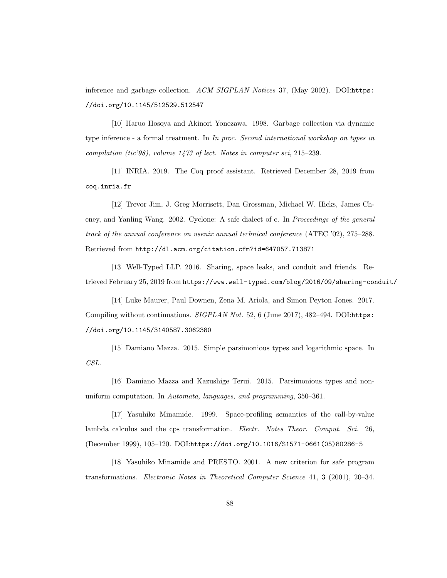inference and garbage collection. ACM SIGPLAN Notices 37, (May 2002). DOI:[https:](https://doi.org/10.1145/512529.512547) [//doi.org/10.1145/512529.512547](https://doi.org/10.1145/512529.512547)

[10] Haruo Hosoya and Akinori Yonezawa. 1998. Garbage collection via dynamic type inference - a formal treatment. In In proc. Second international workshop on types in compilation (tic'98), volume 1473 of lect. Notes in computer sci, 215–239.

[11] INRIA. 2019. The Coq proof assistant. Retrieved December 28, 2019 from <coq.inria.fr>

[12] Trevor Jim, J. Greg Morrisett, Dan Grossman, Michael W. Hicks, James Cheney, and Yanling Wang. 2002. Cyclone: A safe dialect of c. In Proceedings of the general track of the annual conference on usenix annual technical conference (ATEC '02), 275–288. Retrieved from <http://dl.acm.org/citation.cfm?id=647057.713871>

[13] Well-Typed LLP. 2016. Sharing, space leaks, and conduit and friends. Retrieved February 25, 2019 from <https://www.well-typed.com/blog/2016/09/sharing-conduit/>

[14] Luke Maurer, Paul Downen, Zena M. Ariola, and Simon Peyton Jones. 2017. Compiling without continuations. SIGPLAN Not. 52, 6 (June 2017), 482-494. DOI:[https:](https://doi.org/10.1145/3140587.3062380) [//doi.org/10.1145/3140587.3062380](https://doi.org/10.1145/3140587.3062380)

<span id="page-95-2"></span>[15] Damiano Mazza. 2015. Simple parsimonious types and logarithmic space. In CSL.

<span id="page-95-3"></span>[16] Damiano Mazza and Kazushige Terui. 2015. Parsimonious types and nonuniform computation. In Automata, languages, and programming, 350–361.

<span id="page-95-0"></span>[17] Yasuhiko Minamide. 1999. Space-profiling semantics of the call-by-value lambda calculus and the cps transformation. Electr. Notes Theor. Comput. Sci. 26, (December 1999), 105–120. DOI:[https://doi.org/10.1016/S1571-0661\(05\)80286-5](https://doi.org/10.1016/S1571-0661(05)80286-5)

<span id="page-95-1"></span>[18] Yasuhiko Minamide and PRESTO. 2001. A new criterion for safe program transformations. Electronic Notes in Theoretical Computer Science 41, 3 (2001), 20–34.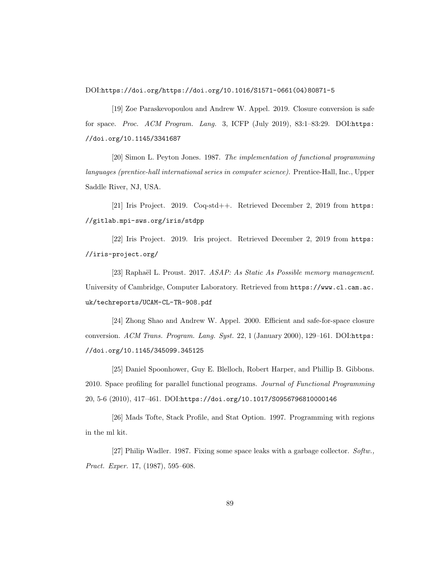DOI:[https://doi.org/https://doi.org/10.1016/S1571-0661\(04\)80871-5](https://doi.org/https://doi.org/10.1016/S1571-0661(04)80871-5)

<span id="page-96-3"></span>[19] Zoe Paraskevopoulou and Andrew W. Appel. 2019. Closure conversion is safe for space. Proc. ACM Program. Lang. 3, ICFP (July 2019), 83:1–83:29. DOI:[https:](https://doi.org/10.1145/3341687) [//doi.org/10.1145/3341687](https://doi.org/10.1145/3341687)

[20] Simon L. Peyton Jones. 1987. The implementation of functional programming languages (prentice-hall international series in computer science). Prentice-Hall, Inc., Upper Saddle River, NJ, USA.

<span id="page-96-0"></span>[21] Iris Project. 2019. Coq-std++. Retrieved December 2, 2019 from [https:](https://gitlab.mpi-sws.org/iris/stdpp) [//gitlab.mpi-sws.org/iris/stdpp](https://gitlab.mpi-sws.org/iris/stdpp)

<span id="page-96-1"></span>[22] Iris Project. 2019. Iris project. Retrieved December 2, 2019 from [https:](https://iris-project.org/) [//iris-project.org/](https://iris-project.org/)

[23] Raphaël L. Proust. 2017. ASAP: As Static As Possible memory management. University of Cambridge, Computer Laboratory. Retrieved from [https://www.cl.cam.ac.](https://www.cl.cam.ac.uk/techreports/UCAM-CL-TR-908.pdf) [uk/techreports/UCAM-CL-TR-908.pdf](https://www.cl.cam.ac.uk/techreports/UCAM-CL-TR-908.pdf)

<span id="page-96-2"></span>[24] Zhong Shao and Andrew W. Appel. 2000. Efficient and safe-for-space closure conversion. ACM Trans. Program. Lang. Syst. 22, 1 (January 2000), 129–161. DOI:[https:](https://doi.org/10.1145/345099.345125) [//doi.org/10.1145/345099.345125](https://doi.org/10.1145/345099.345125)

[25] Daniel Spoonhower, Guy E. Blelloch, Robert Harper, and Phillip B. Gibbons. 2010. Space profiling for parallel functional programs. Journal of Functional Programming 20, 5-6 (2010), 417–461. DOI:<https://doi.org/10.1017/S0956796810000146>

[26] Mads Tofte, Stack Profile, and Stat Option. 1997. Programming with regions in the ml kit.

<span id="page-96-4"></span>[27] Philip Wadler. 1987. Fixing some space leaks with a garbage collector. Softw., Pract. Exper. 17, (1987), 595–608.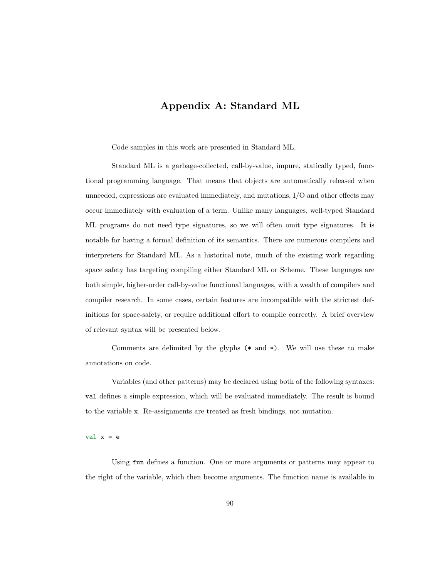## Appendix A: Standard ML

Code samples in this work are presented in Standard ML.

Standard ML is a garbage-collected, call-by-value, impure, statically typed, functional programming language. That means that objects are automatically released when unneeded, expressions are evaluated immediately, and mutations, I/O and other effects may occur immediately with evaluation of a term. Unlike many languages, well-typed Standard ML programs do not need type signatures, so we will often omit type signatures. It is notable for having a formal definition of its semantics. There are numerous compilers and interpreters for Standard ML. As a historical note, much of the existing work regarding space safety has targeting compiling either Standard ML or Scheme. These languages are both simple, higher-order call-by-value functional languages, with a wealth of compilers and compiler research. In some cases, certain features are incompatible with the strictest definitions for space-safety, or require additional effort to compile correctly. A brief overview of relevant syntax will be presented below.

Comments are delimited by the glyphs  $(*$  and  $*)$ . We will use these to make annotations on code.

Variables (and other patterns) may be declared using both of the following syntaxes: val defines a simple expression, which will be evaluated immediately. The result is bound to the variable x. Re-assignments are treated as fresh bindings, not mutation.

#### val  $x = e$

Using fun defines a function. One or more arguments or patterns may appear to the right of the variable, which then become arguments. The function name is available in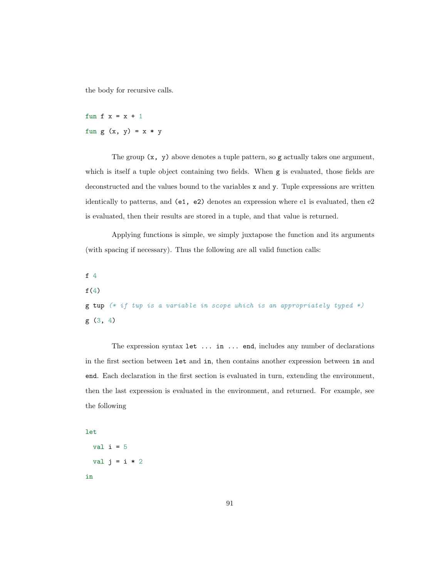the body for recursive calls.

fun f  $x = x + 1$ fun g  $(x, y) = x * y$ 

The group  $(x, y)$  above denotes a tuple pattern, so g actually takes one argument, which is itself a tuple object containing two fields. When g is evaluated, those fields are deconstructed and the values bound to the variables x and y. Tuple expressions are written identically to patterns, and (e1, e2) denotes an expression where e1 is evaluated, then e2 is evaluated, then their results are stored in a tuple, and that value is returned.

Applying functions is simple, we simply juxtapose the function and its arguments (with spacing if necessary). Thus the following are all valid function calls:

f 4

 $f(4)$ 

```
g tup (* if tup is a variable in scope which is an appropriately typed *)
g (3, 4)
```
The expression syntax let ... in ... end, includes any number of declarations in the first section between let and in, then contains another expression between in and end. Each declaration in the first section is evaluated in turn, extending the environment, then the last expression is evaluated in the environment, and returned. For example, see the following

### let

```
val i = 5val j = i * 2in
```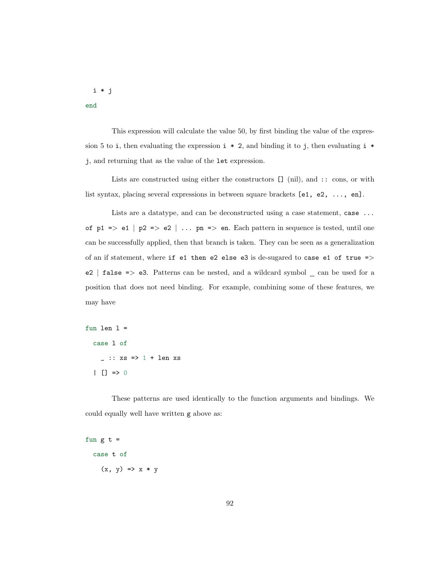i \* j

end

This expression will calculate the value 50, by first binding the value of the expression 5 to i, then evaluating the expression  $i * 2$ , and binding it to j, then evaluating  $i *$ j, and returning that as the value of the let expression.

Lists are constructed using either the constructors [] (nil), and :: cons, or with list syntax, placing several expressions in between square brackets [e1, e2, ..., en].

Lists are a datatype, and can be deconstructed using a case statement, case ... of  $p1 \Rightarrow e1$  |  $p2 \Rightarrow e2$  | ...  $pn \Rightarrow en$ . Each pattern in sequence is tested, until one can be successfully applied, then that branch is taken. They can be seen as a generalization of an if statement, where if e1 then e2 else e3 is de-sugared to case e1 of true  $=$ > e2 | false => e3. Patterns can be nested, and a wildcard symbol \_ can be used for a position that does not need binding. For example, combining some of these features, we may have

```
fun len l =
  case l of
    \_ :: xs => 1 + len xs| | | \Rightarrow 0
```
These patterns are used identically to the function arguments and bindings. We could equally well have written g above as:

```
fun g t =case t of
     (x, y) \Rightarrow x * y
```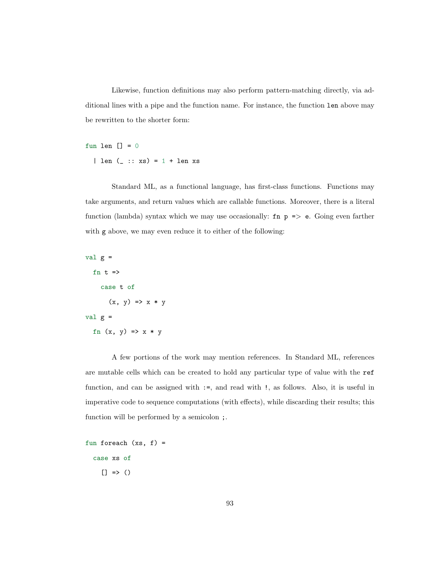Likewise, function definitions may also perform pattern-matching directly, via additional lines with a pipe and the function name. For instance, the function len above may be rewritten to the shorter form:

fun len  $[] = 0$ 

| len  $($  :: xs) =  $1 +$  len xs

Standard ML, as a functional language, has first-class functions. Functions may take arguments, and return values which are callable functions. Moreover, there is a literal function (lambda) syntax which we may use occasionally:  $fn$   $p \Rightarrow e$ . Going even farther with g above, we may even reduce it to either of the following:

```
val g =fn t \Rightarrowcase t of
        (x, y) \Rightarrow x * yval g =fn (x, y) \Rightarrow x * y
```
A few portions of the work may mention references. In Standard ML, references are mutable cells which can be created to hold any particular type of value with the ref function, and can be assigned with :=, and read with !, as follows. Also, it is useful in imperative code to sequence computations (with effects), while discarding their results; this function will be performed by a semicolon ;.

```
fun foreach (xs, f) =case xs of
    [] => ()
```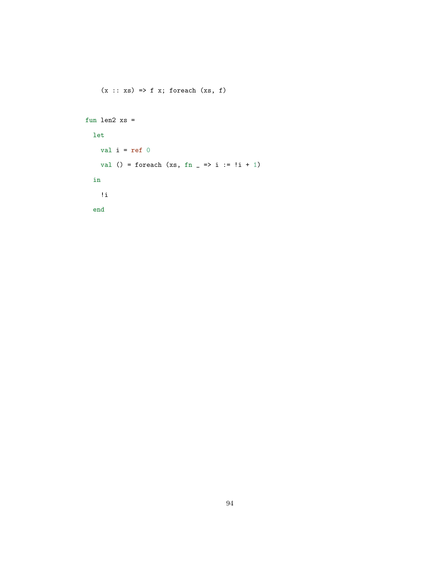```
(x :: xs) \Rightarrow f x; for each (xs, f)fun len2 xs =
 let
   val i = ref 0val () = foreach (xs, fn = \Rightarrow i := !i + 1)
 in
   !i
  end
```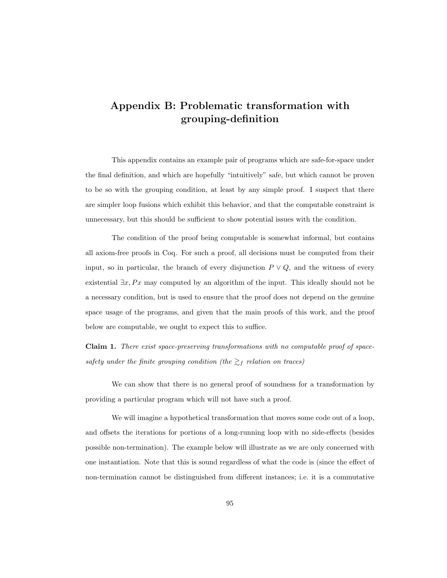# Appendix B: Problematic transformation with grouping-definition

This appendix contains an example pair of programs which are safe-for-space under the final definition, and which are hopefully "intuitively" safe, but which cannot be proven to be so with the grouping condition, at least by any simple proof. I suspect that there are simpler loop fusions which exhibit this behavior, and that the computable constraint is unnecessary, but this should be sufficient to show potential issues with the condition.

The condition of the proof being computable is somewhat informal, but contains all axiom-free proofs in Coq. For such a proof, all decisions must be computed from their input, so in particular, the branch of every disjunction  $P \vee Q$ , and the witness of every existential  $\exists x, Px$  may computed by an algorithm of the input. This ideally should not be a necessary condition, but is used to ensure that the proof does not depend on the genuine space usage of the programs, and given that the main proofs of this work, and the proof below are computable, we ought to expect this to suffice.

Claim 1. There exist space-preserving transformations with no computable proof of spacesafety under the finite grouping condition (the  $\gtrsim_f$  relation on traces)

We can show that there is no general proof of soundness for a transformation by providing a particular program which will not have such a proof.

We will imagine a hypothetical transformation that moves some code out of a loop, and offsets the iterations for portions of a long-running loop with no side-effects (besides possible non-termination). The example below will illustrate as we are only concerned with one instantiation. Note that this is sound regardless of what the code is (since the effect of non-termination cannot be distinguished from different instances; i.e. it is a commutative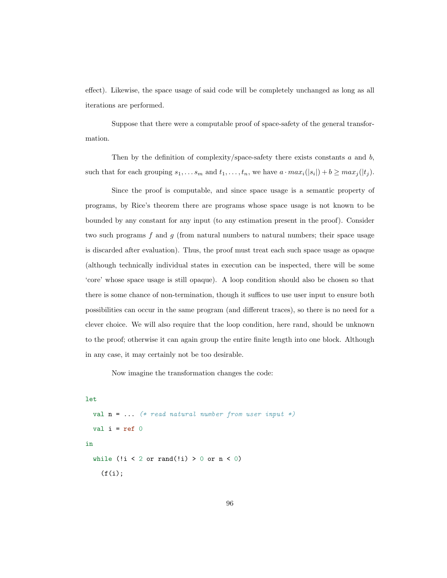effect). Likewise, the space usage of said code will be completely unchanged as long as all iterations are performed.

Suppose that there were a computable proof of space-safety of the general transformation.

Then by the definition of complexity/space-safety there exists constants  $a$  and  $b$ , such that for each grouping  $s_1, \ldots s_m$  and  $t_1, \ldots, t_n$ , we have  $a \cdot max_i(|s_i|) + b \ge max_j(|t_j|)$ .

Since the proof is computable, and since space usage is a semantic property of programs, by Rice's theorem there are programs whose space usage is not known to be bounded by any constant for any input (to any estimation present in the proof). Consider two such programs  $f$  and  $g$  (from natural numbers to natural numbers; their space usage is discarded after evaluation). Thus, the proof must treat each such space usage as opaque (although technically individual states in execution can be inspected, there will be some 'core' whose space usage is still opaque). A loop condition should also be chosen so that there is some chance of non-termination, though it suffices to use user input to ensure both possibilities can occur in the same program (and different traces), so there is no need for a clever choice. We will also require that the loop condition, here rand, should be unknown to the proof; otherwise it can again group the entire finite length into one block. Although in any case, it may certainly not be too desirable.

Now imagine the transformation changes the code:

```
let
 val n = ... (* read natural number from user input *)
 val i = ref 0in
  while (!i < 2 or rand(!i) > 0 or n < 0)
    (f(i);
```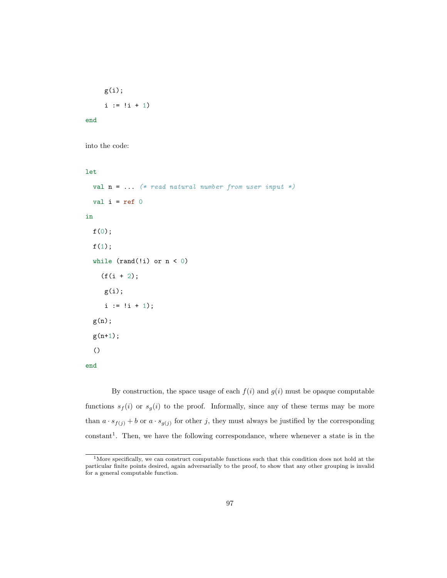```
g(i);i := |i + 1|
```
end

```
into the code:
```

```
let
```

```
val n = ... (* read natural number from user input *)
 val i = ref 0in
 f(0);
 f(1);while (rand(!i) or n < 0)
    (f(i + 2));
    g(i);
     i := !i + 1);g(n);
 g(n+1);
  ()
end
```
By construction, the space usage of each  $f(i)$  and  $g(i)$  must be opaque computable functions  $s_f(i)$  or  $s_g(i)$  to the proof. Informally, since any of these terms may be more than  $a \cdot s_{f(j)} + b$  or  $a \cdot s_{g(j)}$  for other j, they must always be justified by the corresponding  $constant<sup>1</sup>$  $constant<sup>1</sup>$  $constant<sup>1</sup>$ . Then, we have the following correspondance, where whenever a state is in the

<span id="page-104-0"></span><sup>&</sup>lt;sup>1</sup>More specifically, we can construct computable functions such that this condition does not hold at the particular finite points desired, again adversarially to the proof, to show that any other grouping is invalid for a general computable function.